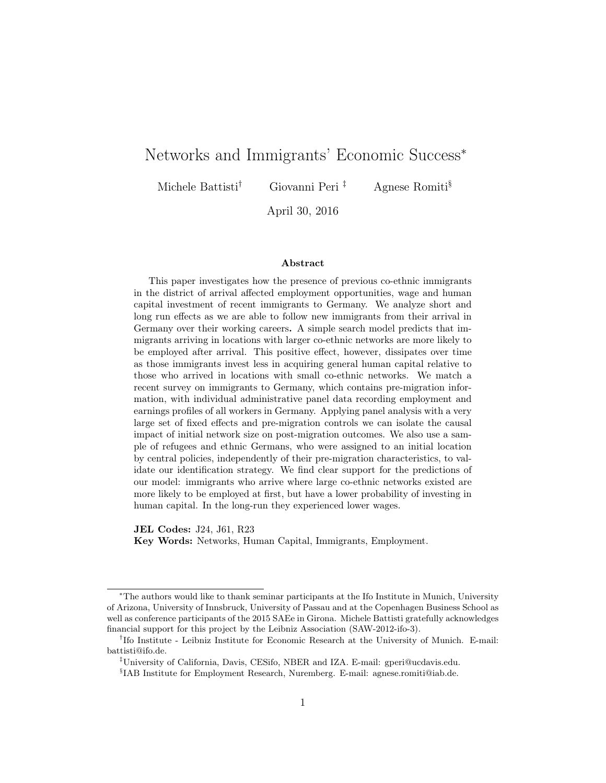## Networks and Immigrants' Economic Success<sup>∗</sup>

Michele Battisti<sup>†</sup> Giovanni Peri<sup>‡</sup> Agnese Romiti<sup>§</sup>

April 30, 2016

#### Abstract

This paper investigates how the presence of previous co-ethnic immigrants in the district of arrival affected employment opportunities, wage and human capital investment of recent immigrants to Germany. We analyze short and long run effects as we are able to follow new immigrants from their arrival in Germany over their working careers. A simple search model predicts that immigrants arriving in locations with larger co-ethnic networks are more likely to be employed after arrival. This positive effect, however, dissipates over time as those immigrants invest less in acquiring general human capital relative to those who arrived in locations with small co-ethnic networks. We match a recent survey on immigrants to Germany, which contains pre-migration information, with individual administrative panel data recording employment and earnings profiles of all workers in Germany. Applying panel analysis with a very large set of fixed effects and pre-migration controls we can isolate the causal impact of initial network size on post-migration outcomes. We also use a sample of refugees and ethnic Germans, who were assigned to an initial location by central policies, independently of their pre-migration characteristics, to validate our identification strategy. We find clear support for the predictions of our model: immigrants who arrive where large co-ethnic networks existed are more likely to be employed at first, but have a lower probability of investing in human capital. In the long-run they experienced lower wages.

JEL Codes: J24, J61, R23 Key Words: Networks, Human Capital, Immigrants, Employment.

<sup>∗</sup>The authors would like to thank seminar participants at the Ifo Institute in Munich, University of Arizona, University of Innsbruck, University of Passau and at the Copenhagen Business School as well as conference participants of the 2015 SAEe in Girona. Michele Battisti gratefully acknowledges financial support for this project by the Leibniz Association (SAW-2012-ifo-3).

<sup>†</sup> Ifo Institute - Leibniz Institute for Economic Research at the University of Munich. E-mail: [battisti@ifo.de.](mailto:battisti@ifo.de)

<sup>‡</sup>University of California, Davis, CESifo, NBER and IZA. E-mail: [gperi@ucdavis.edu.](mailto:gperi@ucdavis.edu)

<sup>§</sup> IAB Institute for Employment Research, Nuremberg. E-mail: [agnese.romiti@iab.de.](mailto:agnese.romiti@iab.de)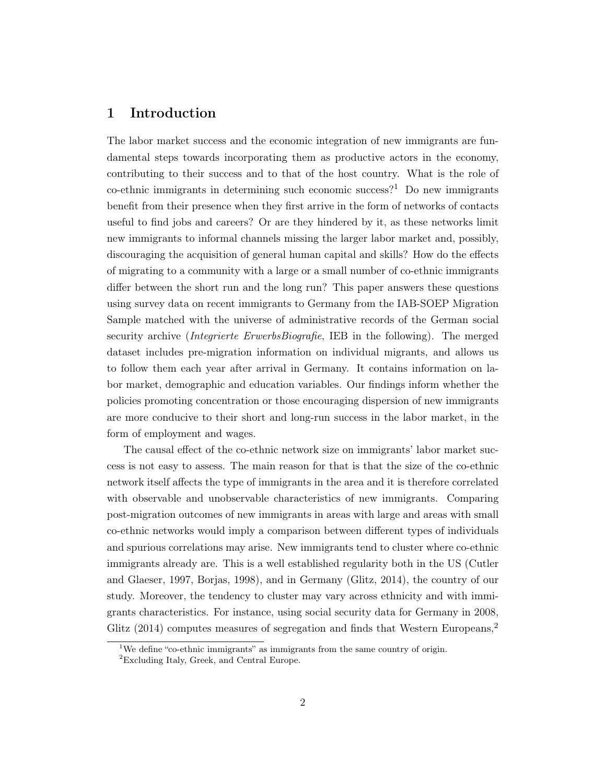## 1 Introduction

The labor market success and the economic integration of new immigrants are fundamental steps towards incorporating them as productive actors in the economy, contributing to their success and to that of the host country. What is the role of co-ethnic immigrants in determining such economic success?<sup>[1](#page-1-0)</sup> Do new immigrants benefit from their presence when they first arrive in the form of networks of contacts useful to find jobs and careers? Or are they hindered by it, as these networks limit new immigrants to informal channels missing the larger labor market and, possibly, discouraging the acquisition of general human capital and skills? How do the effects of migrating to a community with a large or a small number of co-ethnic immigrants differ between the short run and the long run? This paper answers these questions using survey data on recent immigrants to Germany from the IAB-SOEP Migration Sample matched with the universe of administrative records of the German social security archive *(Integrierte ErwerbsBiografie*, IEB in the following). The merged dataset includes pre-migration information on individual migrants, and allows us to follow them each year after arrival in Germany. It contains information on labor market, demographic and education variables. Our findings inform whether the policies promoting concentration or those encouraging dispersion of new immigrants are more conducive to their short and long-run success in the labor market, in the form of employment and wages.

The causal effect of the co-ethnic network size on immigrants' labor market success is not easy to assess. The main reason for that is that the size of the co-ethnic network itself affects the type of immigrants in the area and it is therefore correlated with observable and unobservable characteristics of new immigrants. Comparing post-migration outcomes of new immigrants in areas with large and areas with small co-ethnic networks would imply a comparison between different types of individuals and spurious correlations may arise. New immigrants tend to cluster where co-ethnic immigrants already are. This is a well established regularity both in the US [\(Cutler](#page-48-0) [and Glaeser, 1997,](#page-48-0) [Borjas, 1998\)](#page-48-1), and in Germany [\(Glitz, 2014\)](#page-49-0), the country of our study. Moreover, the tendency to cluster may vary across ethnicity and with immigrants characteristics. For instance, using social security data for Germany in 2008, [Glitz](#page-49-0) [\(2014\)](#page-49-0) computes measures of segregation and finds that Western Europeans,<sup>[2](#page-1-1)</sup>

<span id="page-1-0"></span><sup>&</sup>lt;sup>1</sup>We define "co-ethnic immigrants" as immigrants from the same country of origin.

<span id="page-1-1"></span><sup>2</sup>Excluding Italy, Greek, and Central Europe.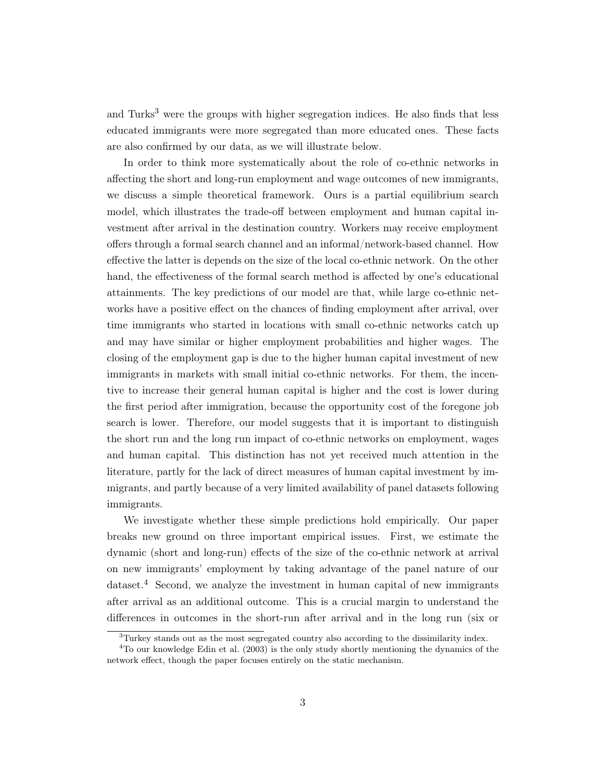and Turks<sup>[3](#page-2-0)</sup> were the groups with higher segregation indices. He also finds that less educated immigrants were more segregated than more educated ones. These facts are also confirmed by our data, as we will illustrate below.

In order to think more systematically about the role of co-ethnic networks in affecting the short and long-run employment and wage outcomes of new immigrants, we discuss a simple theoretical framework. Ours is a partial equilibrium search model, which illustrates the trade-off between employment and human capital investment after arrival in the destination country. Workers may receive employment offers through a formal search channel and an informal/network-based channel. How effective the latter is depends on the size of the local co-ethnic network. On the other hand, the effectiveness of the formal search method is affected by one's educational attainments. The key predictions of our model are that, while large co-ethnic networks have a positive effect on the chances of finding employment after arrival, over time immigrants who started in locations with small co-ethnic networks catch up and may have similar or higher employment probabilities and higher wages. The closing of the employment gap is due to the higher human capital investment of new immigrants in markets with small initial co-ethnic networks. For them, the incentive to increase their general human capital is higher and the cost is lower during the first period after immigration, because the opportunity cost of the foregone job search is lower. Therefore, our model suggests that it is important to distinguish the short run and the long run impact of co-ethnic networks on employment, wages and human capital. This distinction has not yet received much attention in the literature, partly for the lack of direct measures of human capital investment by immigrants, and partly because of a very limited availability of panel datasets following immigrants.

We investigate whether these simple predictions hold empirically. Our paper breaks new ground on three important empirical issues. First, we estimate the dynamic (short and long-run) effects of the size of the co-ethnic network at arrival on new immigrants' employment by taking advantage of the panel nature of our dataset.[4](#page-2-1) Second, we analyze the investment in human capital of new immigrants after arrival as an additional outcome. This is a crucial margin to understand the differences in outcomes in the short-run after arrival and in the long run (six or

<span id="page-2-1"></span><span id="page-2-0"></span><sup>3</sup>Turkey stands out as the most segregated country also according to the dissimilarity index.

<sup>4</sup>To our knowledge [Edin et al.](#page-48-2) [\(2003\)](#page-48-2) is the only study shortly mentioning the dynamics of the network effect, though the paper focuses entirely on the static mechanism.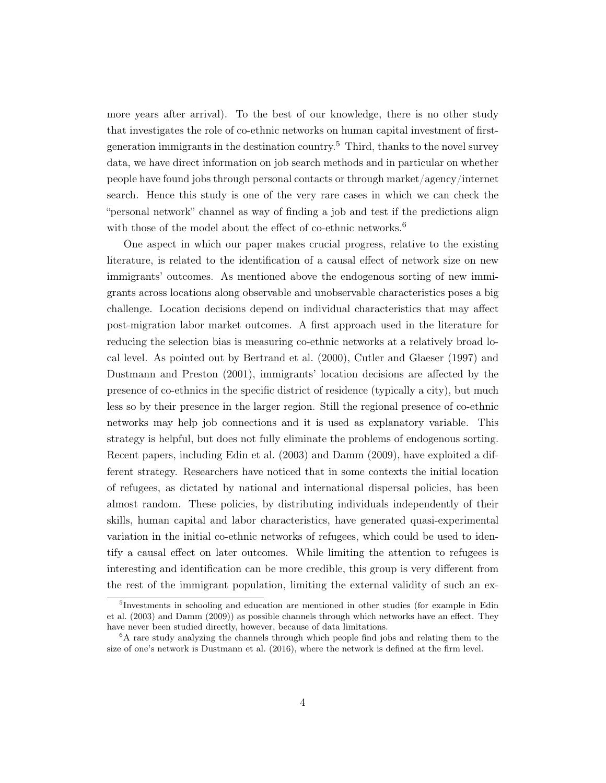more years after arrival). To the best of our knowledge, there is no other study that investigates the role of co-ethnic networks on human capital investment of first-generation immigrants in the destination country.<sup>[5](#page-3-0)</sup> Third, thanks to the novel survey data, we have direct information on job search methods and in particular on whether people have found jobs through personal contacts or through market/agency/internet search. Hence this study is one of the very rare cases in which we can check the "personal network" channel as way of finding a job and test if the predictions align with those of the model about the effect of co-ethnic networks.<sup>[6](#page-3-1)</sup>

One aspect in which our paper makes crucial progress, relative to the existing literature, is related to the identification of a causal effect of network size on new immigrants' outcomes. As mentioned above the endogenous sorting of new immigrants across locations along observable and unobservable characteristics poses a big challenge. Location decisions depend on individual characteristics that may affect post-migration labor market outcomes. A first approach used in the literature for reducing the selection bias is measuring co-ethnic networks at a relatively broad local level. As pointed out by [Bertrand et al.](#page-48-3) [\(2000\)](#page-48-3), [Cutler and Glaeser](#page-48-0) [\(1997\)](#page-48-0) and [Dustmann and Preston](#page-48-4) [\(2001\)](#page-48-4), immigrants' location decisions are affected by the presence of co-ethnics in the specific district of residence (typically a city), but much less so by their presence in the larger region. Still the regional presence of co-ethnic networks may help job connections and it is used as explanatory variable. This strategy is helpful, but does not fully eliminate the problems of endogenous sorting. Recent papers, including [Edin et al.](#page-48-2) [\(2003\)](#page-48-2) and [Damm](#page-48-5) [\(2009\)](#page-48-5), have exploited a different strategy. Researchers have noticed that in some contexts the initial location of refugees, as dictated by national and international dispersal policies, has been almost random. These policies, by distributing individuals independently of their skills, human capital and labor characteristics, have generated quasi-experimental variation in the initial co-ethnic networks of refugees, which could be used to identify a causal effect on later outcomes. While limiting the attention to refugees is interesting and identification can be more credible, this group is very different from the rest of the immigrant population, limiting the external validity of such an ex-

<span id="page-3-0"></span><sup>&</sup>lt;sup>5</sup>Investments in schooling and education are mentioned in other studies (for example in [Edin](#page-48-2) [et al.](#page-48-2) [\(2003\)](#page-48-2) and [Damm](#page-48-5) [\(2009\)](#page-48-5)) as possible channels through which networks have an effect. They have never been studied directly, however, because of data limitations.

<span id="page-3-1"></span> ${}^{6}$ A rare study analyzing the channels through which people find jobs and relating them to the size of one's network is [Dustmann et al.](#page-48-6) [\(2016\)](#page-48-6), where the network is defined at the firm level.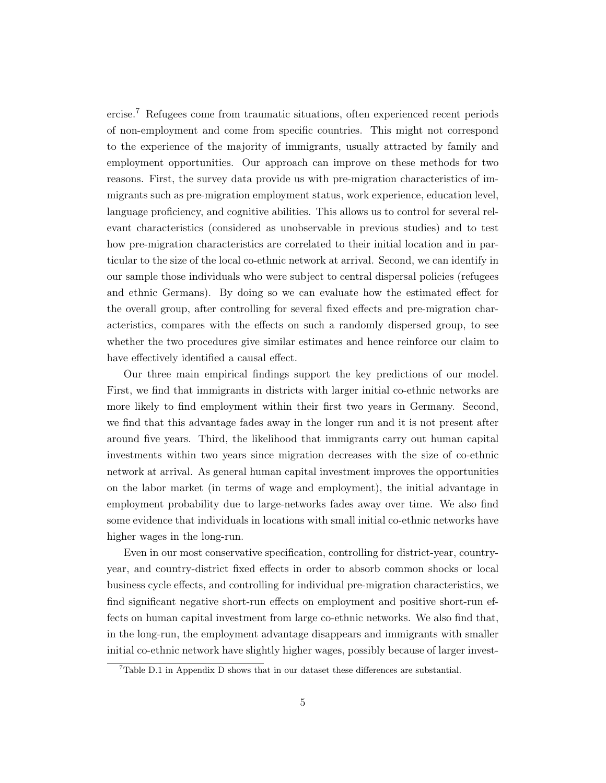ercise.[7](#page-4-0) Refugees come from traumatic situations, often experienced recent periods of non-employment and come from specific countries. This might not correspond to the experience of the majority of immigrants, usually attracted by family and employment opportunities. Our approach can improve on these methods for two reasons. First, the survey data provide us with pre-migration characteristics of immigrants such as pre-migration employment status, work experience, education level, language proficiency, and cognitive abilities. This allows us to control for several relevant characteristics (considered as unobservable in previous studies) and to test how pre-migration characteristics are correlated to their initial location and in particular to the size of the local co-ethnic network at arrival. Second, we can identify in our sample those individuals who were subject to central dispersal policies (refugees and ethnic Germans). By doing so we can evaluate how the estimated effect for the overall group, after controlling for several fixed effects and pre-migration characteristics, compares with the effects on such a randomly dispersed group, to see whether the two procedures give similar estimates and hence reinforce our claim to have effectively identified a causal effect.

Our three main empirical findings support the key predictions of our model. First, we find that immigrants in districts with larger initial co-ethnic networks are more likely to find employment within their first two years in Germany. Second, we find that this advantage fades away in the longer run and it is not present after around five years. Third, the likelihood that immigrants carry out human capital investments within two years since migration decreases with the size of co-ethnic network at arrival. As general human capital investment improves the opportunities on the labor market (in terms of wage and employment), the initial advantage in employment probability due to large-networks fades away over time. We also find some evidence that individuals in locations with small initial co-ethnic networks have higher wages in the long-run.

Even in our most conservative specification, controlling for district-year, countryyear, and country-district fixed effects in order to absorb common shocks or local business cycle effects, and controlling for individual pre-migration characteristics, we find significant negative short-run effects on employment and positive short-run effects on human capital investment from large co-ethnic networks. We also find that, in the long-run, the employment advantage disappears and immigrants with smaller initial co-ethnic network have slightly higher wages, possibly because of larger invest-

<span id="page-4-0"></span><sup>7</sup>Table [D.1](#page-56-0) in Appendix [D](#page-56-1) shows that in our dataset these differences are substantial.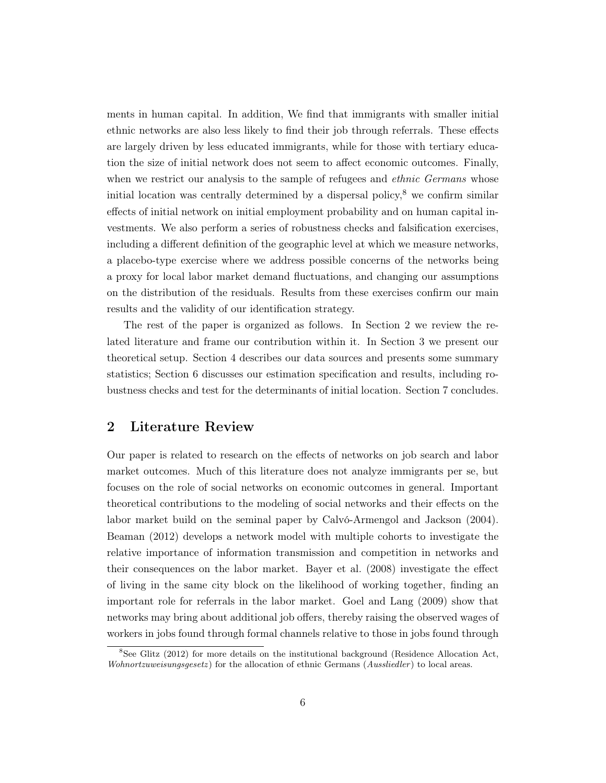ments in human capital. In addition, We find that immigrants with smaller initial ethnic networks are also less likely to find their job through referrals. These effects are largely driven by less educated immigrants, while for those with tertiary education the size of initial network does not seem to affect economic outcomes. Finally, when we restrict our analysis to the sample of refugees and *ethnic Germans* whose initial location was centrally determined by a dispersal policy, $\delta$  we confirm similar effects of initial network on initial employment probability and on human capital investments. We also perform a series of robustness checks and falsification exercises, including a different definition of the geographic level at which we measure networks, a placebo-type exercise where we address possible concerns of the networks being a proxy for local labor market demand fluctuations, and changing our assumptions on the distribution of the residuals. Results from these exercises confirm our main results and the validity of our identification strategy.

The rest of the paper is organized as follows. In Section [2](#page-5-1) we review the related literature and frame our contribution within it. In Section [3](#page-7-0) we present our theoretical setup. Section [4](#page-16-0) describes our data sources and presents some summary statistics; Section [6](#page-21-0) discusses our estimation specification and results, including robustness checks and test for the determinants of initial location. Section [7](#page-31-0) concludes.

## <span id="page-5-1"></span>2 Literature Review

Our paper is related to research on the effects of networks on job search and labor market outcomes. Much of this literature does not analyze immigrants per se, but focuses on the role of social networks on economic outcomes in general. Important theoretical contributions to the modeling of social networks and their effects on the labor market build on the seminal paper by [Calvó-Armengol and Jackson](#page-48-7) [\(2004\)](#page-48-7). [Beaman](#page-48-8) [\(2012\)](#page-48-8) develops a network model with multiple cohorts to investigate the relative importance of information transmission and competition in networks and their consequences on the labor market. [Bayer et al.](#page-48-9) [\(2008\)](#page-48-9) investigate the effect of living in the same city block on the likelihood of working together, finding an important role for referrals in the labor market. [Goel and Lang](#page-49-1) [\(2009\)](#page-49-1) show that networks may bring about additional job offers, thereby raising the observed wages of workers in jobs found through formal channels relative to those in jobs found through

<span id="page-5-0"></span> ${}^{8}$ See [Glitz](#page-49-2) [\(2012\)](#page-49-2) for more details on the institutional background (Residence Allocation Act, Wohnortzuweisungsgesetz) for the allocation of ethnic Germans ( $Aussliedler$ ) to local areas.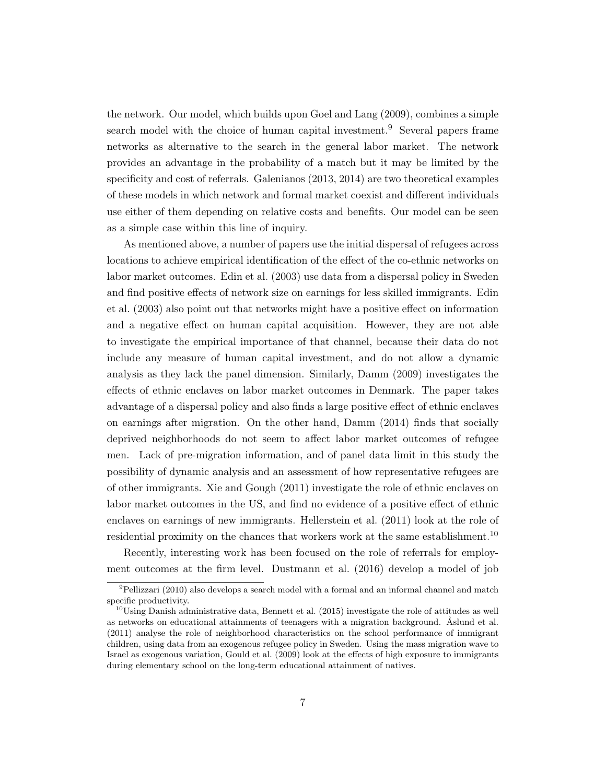the network. Our model, which builds upon [Goel and Lang](#page-49-1) [\(2009\)](#page-49-1), combines a simple search model with the choice of human capital investment.<sup>[9](#page-6-0)</sup> Several papers frame networks as alternative to the search in the general labor market. The network provides an advantage in the probability of a match but it may be limited by the specificity and cost of referrals. [Galenianos](#page-49-3) [\(2013,](#page-49-3) [2014\)](#page-49-4) are two theoretical examples of these models in which network and formal market coexist and different individuals use either of them depending on relative costs and benefits. Our model can be seen as a simple case within this line of inquiry.

As mentioned above, a number of papers use the initial dispersal of refugees across locations to achieve empirical identification of the effect of the co-ethnic networks on labor market outcomes. [Edin et al.](#page-48-2) [\(2003\)](#page-48-2) use data from a dispersal policy in Sweden and find positive effects of network size on earnings for less skilled immigrants. [Edin](#page-48-2) [et al.](#page-48-2) [\(2003\)](#page-48-2) also point out that networks might have a positive effect on information and a negative effect on human capital acquisition. However, they are not able to investigate the empirical importance of that channel, because their data do not include any measure of human capital investment, and do not allow a dynamic analysis as they lack the panel dimension. Similarly, [Damm](#page-48-5) [\(2009\)](#page-48-5) investigates the effects of ethnic enclaves on labor market outcomes in Denmark. The paper takes advantage of a dispersal policy and also finds a large positive effect of ethnic enclaves on earnings after migration. On the other hand, [Damm](#page-48-10) [\(2014\)](#page-48-10) finds that socially deprived neighborhoods do not seem to affect labor market outcomes of refugee men. Lack of pre-migration information, and of panel data limit in this study the possibility of dynamic analysis and an assessment of how representative refugees are of other immigrants. [Xie and Gough](#page-49-5) [\(2011\)](#page-49-5) investigate the role of ethnic enclaves on labor market outcomes in the US, and find no evidence of a positive effect of ethnic enclaves on earnings of new immigrants. [Hellerstein et al.](#page-49-6) [\(2011\)](#page-49-6) look at the role of residential proximity on the chances that workers work at the same establishment.<sup>[10](#page-6-1)</sup>

Recently, interesting work has been focused on the role of referrals for employment outcomes at the firm level. [Dustmann et al.](#page-48-6) [\(2016\)](#page-48-6) develop a model of job

<span id="page-6-0"></span> $9$ [Pellizzari](#page-49-7) [\(2010\)](#page-49-7) also develops a search model with a formal and an informal channel and match specific productivity.

<span id="page-6-1"></span> $10$ Using Danish administrative data, [Bennett et al.](#page-48-11) [\(2015\)](#page-48-11) investigate the role of attitudes as well as networks on educational attainments of teenagers with a migration background. [Åslund et al.](#page-48-12) [\(2011\)](#page-48-12) analyse the role of neighborhood characteristics on the school performance of immigrant children, using data from an exogenous refugee policy in Sweden. Using the mass migration wave to Israel as exogenous variation, [Gould et al.](#page-49-8) [\(2009\)](#page-49-8) look at the effects of high exposure to immigrants during elementary school on the long-term educational attainment of natives.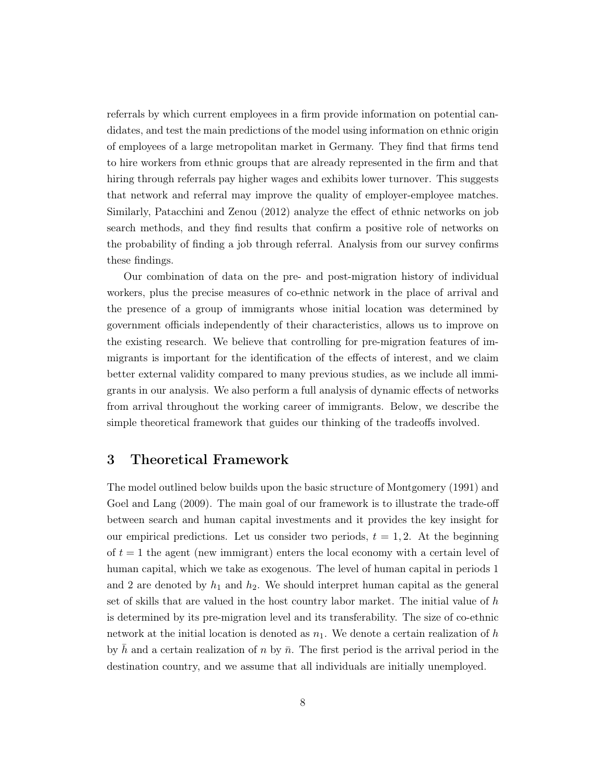referrals by which current employees in a firm provide information on potential candidates, and test the main predictions of the model using information on ethnic origin of employees of a large metropolitan market in Germany. They find that firms tend to hire workers from ethnic groups that are already represented in the firm and that hiring through referrals pay higher wages and exhibits lower turnover. This suggests that network and referral may improve the quality of employer-employee matches. Similarly, [Patacchini and Zenou](#page-49-9) [\(2012\)](#page-49-9) analyze the effect of ethnic networks on job search methods, and they find results that confirm a positive role of networks on the probability of finding a job through referral. Analysis from our survey confirms these findings.

Our combination of data on the pre- and post-migration history of individual workers, plus the precise measures of co-ethnic network in the place of arrival and the presence of a group of immigrants whose initial location was determined by government officials independently of their characteristics, allows us to improve on the existing research. We believe that controlling for pre-migration features of immigrants is important for the identification of the effects of interest, and we claim better external validity compared to many previous studies, as we include all immigrants in our analysis. We also perform a full analysis of dynamic effects of networks from arrival throughout the working career of immigrants. Below, we describe the simple theoretical framework that guides our thinking of the tradeoffs involved.

## <span id="page-7-0"></span>3 Theoretical Framework

The model outlined below builds upon the basic structure of [Montgomery](#page-49-10) [\(1991\)](#page-49-10) and [Goel and Lang](#page-49-1) [\(2009\)](#page-49-1). The main goal of our framework is to illustrate the trade-off between search and human capital investments and it provides the key insight for our empirical predictions. Let us consider two periods,  $t = 1, 2$ . At the beginning of  $t = 1$  the agent (new immigrant) enters the local economy with a certain level of human capital, which we take as exogenous. The level of human capital in periods 1 and 2 are denoted by  $h_1$  and  $h_2$ . We should interpret human capital as the general set of skills that are valued in the host country labor market. The initial value of h is determined by its pre-migration level and its transferability. The size of co-ethnic network at the initial location is denoted as  $n_1$ . We denote a certain realization of h by h and a certain realization of n by  $\bar{n}$ . The first period is the arrival period in the destination country, and we assume that all individuals are initially unemployed.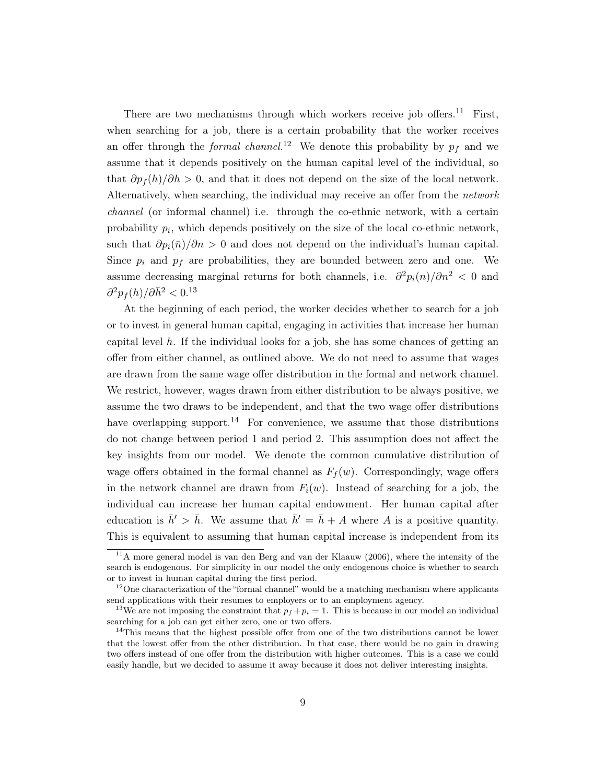There are two mechanisms through which workers receive job offers.<sup>[11](#page-8-0)</sup> First, when searching for a job, there is a certain probability that the worker receives an offer through the *formal channel*.<sup>[12](#page-8-1)</sup> We denote this probability by  $p_f$  and we assume that it depends positively on the human capital level of the individual, so that  $\partial p_f(h)/\partial h > 0$ , and that it does not depend on the size of the local network. Alternatively, when searching, the individual may receive an offer from the network channel (or informal channel) i.e. through the co-ethnic network, with a certain probability  $p_i$ , which depends positively on the size of the local co-ethnic network, such that  $\partial p_i(\bar{n})/\partial n > 0$  and does not depend on the individual's human capital. Since  $p_i$  and  $p_f$  are probabilities, they are bounded between zero and one. We assume decreasing marginal returns for both channels, i.e.  $\partial^2 p_i(n)/\partial n^2 < 0$  and  $\partial^2 p_f(h)/\partial \bar{h}^2 < 0.13$  $\partial^2 p_f(h)/\partial \bar{h}^2 < 0.13$ 

At the beginning of each period, the worker decides whether to search for a job or to invest in general human capital, engaging in activities that increase her human capital level  $h$ . If the individual looks for a job, she has some chances of getting an offer from either channel, as outlined above. We do not need to assume that wages are drawn from the same wage offer distribution in the formal and network channel. We restrict, however, wages drawn from either distribution to be always positive, we assume the two draws to be independent, and that the two wage offer distributions have overlapping support.<sup>[14](#page-8-3)</sup> For convenience, we assume that those distributions do not change between period 1 and period 2. This assumption does not affect the key insights from our model. We denote the common cumulative distribution of wage offers obtained in the formal channel as  $F_f(w)$ . Correspondingly, wage offers in the network channel are drawn from  $F_i(w)$ . Instead of searching for a job, the individual can increase her human capital endowment. Her human capital after education is  $\bar{h}$  >  $\bar{h}$ . We assume that  $\bar{h}' = \bar{h} + A$  where A is a positive quantity. This is equivalent to assuming that human capital increase is independent from its

<span id="page-8-0"></span> $11A$  more general model is [van den Berg and van der Klaauw](#page-49-11) [\(2006\)](#page-49-11), where the intensity of the search is endogenous. For simplicity in our model the only endogenous choice is whether to search or to invest in human capital during the first period.

<span id="page-8-1"></span> $12$ One characterization of the "formal channel" would be a matching mechanism where applicants send applications with their resumes to employers or to an employment agency.

<span id="page-8-2"></span><sup>&</sup>lt;sup>13</sup>We are not imposing the constraint that  $p_f + p_i = 1$ . This is because in our model an individual searching for a job can get either zero, one or two offers.

<span id="page-8-3"></span><sup>&</sup>lt;sup>14</sup>This means that the highest possible offer from one of the two distributions cannot be lower that the lowest offer from the other distribution. In that case, there would be no gain in drawing two offers instead of one offer from the distribution with higher outcomes. This is a case we could easily handle, but we decided to assume it away because it does not deliver interesting insights.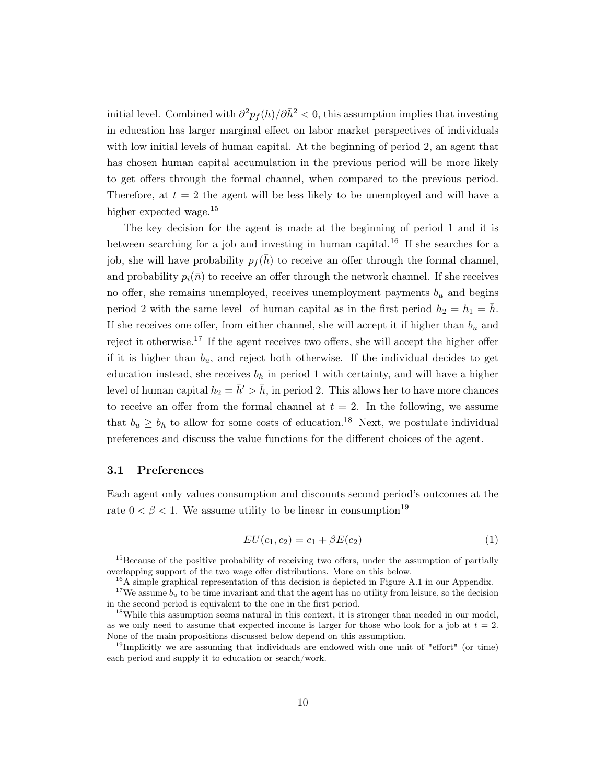initial level. Combined with  $\partial^2 p_f(h)/\partial \bar{h}^2 < 0$ , this assumption implies that investing in education has larger marginal effect on labor market perspectives of individuals with low initial levels of human capital. At the beginning of period 2, an agent that has chosen human capital accumulation in the previous period will be more likely to get offers through the formal channel, when compared to the previous period. Therefore, at  $t = 2$  the agent will be less likely to be unemployed and will have a higher expected wage.<sup>[15](#page-9-0)</sup>

The key decision for the agent is made at the beginning of period 1 and it is between searching for a job and investing in human capital.<sup>[16](#page-9-1)</sup> If she searches for a job, she will have probability  $p_f(\bar{h})$  to receive an offer through the formal channel, and probability  $p_i(\bar{n})$  to receive an offer through the network channel. If she receives no offer, she remains unemployed, receives unemployment payments  $b<sub>u</sub>$  and begins period 2 with the same level of human capital as in the first period  $h_2 = h_1 = h$ . If she receives one offer, from either channel, she will accept it if higher than  $b_u$  and reject it otherwise.[17](#page-9-2) If the agent receives two offers, she will accept the higher offer if it is higher than  $b_u$ , and reject both otherwise. If the individual decides to get education instead, she receives  $b_h$  in period 1 with certainty, and will have a higher level of human capital  $h_2 = \bar{h} > \bar{h}$ , in period 2. This allows her to have more chances to receive an offer from the formal channel at  $t = 2$ . In the following, we assume that  $b_u \geq b_h$  to allow for some costs of education.<sup>[18](#page-9-3)</sup> Next, we postulate individual preferences and discuss the value functions for the different choices of the agent.

#### 3.1 Preferences

Each agent only values consumption and discounts second period's outcomes at the rate  $0 < \beta < 1$ . We assume utility to be linear in consumption<sup>[19](#page-9-4)</sup>

$$
EU(c_1, c_2) = c_1 + \beta E(c_2)
$$
\n(1)

<span id="page-9-0"></span><sup>&</sup>lt;sup>15</sup>Because of the positive probability of receiving two offers, under the assumption of partially overlapping support of the two wage offer distributions. More on this below.

<span id="page-9-2"></span><span id="page-9-1"></span> $^{16}$ A simple graphical representation of this decision is depicted in Figure [A.1](#page-50-0) in our Appendix.

<sup>&</sup>lt;sup>17</sup>We assume  $b_u$  to be time invariant and that the agent has no utility from leisure, so the decision in the second period is equivalent to the one in the first period.

<span id="page-9-3"></span> $18$ While this assumption seems natural in this context, it is stronger than needed in our model, as we only need to assume that expected income is larger for those who look for a job at  $t = 2$ . None of the main propositions discussed below depend on this assumption.

<span id="page-9-4"></span><sup>&</sup>lt;sup>19</sup>Implicitly we are assuming that individuals are endowed with one unit of "effort" (or time) each period and supply it to education or search/work.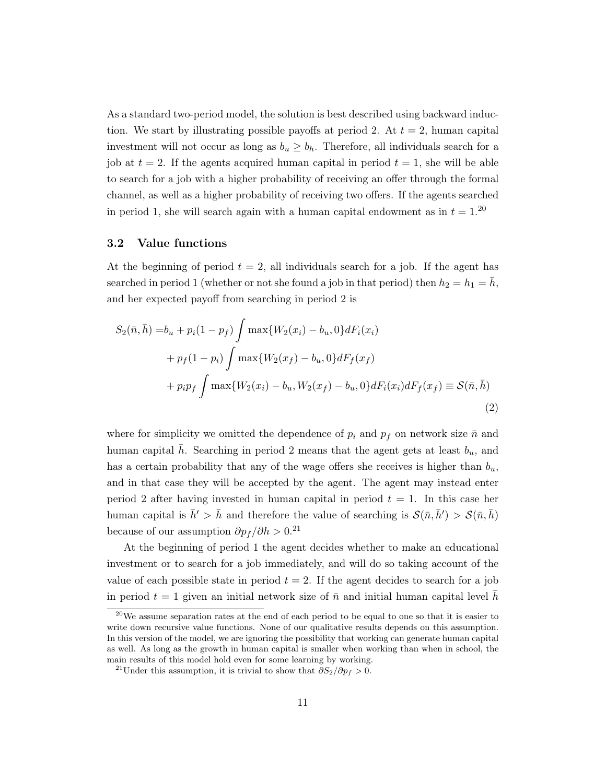As a standard two-period model, the solution is best described using backward induction. We start by illustrating possible payoffs at period 2. At  $t = 2$ , human capital investment will not occur as long as  $b_u \geq b_h$ . Therefore, all individuals search for a job at  $t = 2$ . If the agents acquired human capital in period  $t = 1$ , she will be able to search for a job with a higher probability of receiving an offer through the formal channel, as well as a higher probability of receiving two offers. If the agents searched in period 1, she will search again with a human capital endowment as in  $t = 1$ .<sup>[20](#page-10-0)</sup>

#### 3.2 Value functions

At the beginning of period  $t = 2$ , all individuals search for a job. If the agent has searched in period 1 (whether or not she found a job in that period) then  $h_2 = h_1 = \bar{h}$ , and her expected payoff from searching in period 2 is

$$
S_2(\bar{n}, \bar{h}) = b_u + p_i(1 - p_f) \int \max\{W_2(x_i) - b_u, 0\} dF_i(x_i)
$$
  
+  $p_f(1 - p_i) \int \max\{W_2(x_f) - b_u, 0\} dF_f(x_f)$   
+  $p_i p_f \int \max\{W_2(x_i) - b_u, W_2(x_f) - b_u, 0\} dF_i(x_i) dF_f(x_f) \equiv \mathcal{S}(\bar{n}, \bar{h})$  (2)

where for simplicity we omitted the dependence of  $p_i$  and  $p_f$  on network size  $\bar{n}$  and human capital h. Searching in period 2 means that the agent gets at least  $b_u$ , and has a certain probability that any of the wage offers she receives is higher than  $b_u$ , and in that case they will be accepted by the agent. The agent may instead enter period 2 after having invested in human capital in period  $t = 1$ . In this case her human capital is  $\bar{h}' > \bar{h}$  and therefore the value of searching is  $\mathcal{S}(\bar{n}, \bar{h}') > \mathcal{S}(\bar{n}, \bar{h})$ because of our assumption  $\partial p_f / \partial h > 0$ .<sup>[21](#page-10-1)</sup>

At the beginning of period 1 the agent decides whether to make an educational investment or to search for a job immediately, and will do so taking account of the value of each possible state in period  $t = 2$ . If the agent decides to search for a job in period  $t = 1$  given an initial network size of  $\bar{n}$  and initial human capital level h

<span id="page-10-0"></span><sup>20</sup>We assume separation rates at the end of each period to be equal to one so that it is easier to write down recursive value functions. None of our qualitative results depends on this assumption. In this version of the model, we are ignoring the possibility that working can generate human capital as well. As long as the growth in human capital is smaller when working than when in school, the main results of this model hold even for some learning by working.

<span id="page-10-1"></span><sup>&</sup>lt;sup>21</sup>Under this assumption, it is trivial to show that  $\partial S_2/\partial p_f > 0$ .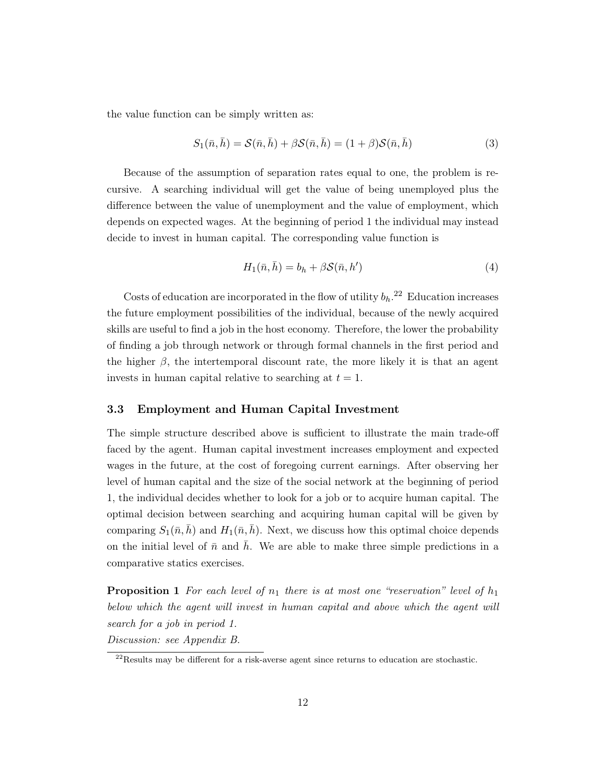the value function can be simply written as:

$$
S_1(\bar{n}, \bar{h}) = \mathcal{S}(\bar{n}, \bar{h}) + \beta \mathcal{S}(\bar{n}, \bar{h}) = (1 + \beta) \mathcal{S}(\bar{n}, \bar{h})
$$
\n(3)

Because of the assumption of separation rates equal to one, the problem is recursive. A searching individual will get the value of being unemployed plus the difference between the value of unemployment and the value of employment, which depends on expected wages. At the beginning of period 1 the individual may instead decide to invest in human capital. The corresponding value function is

$$
H_1(\bar{n}, \bar{h}) = b_h + \beta \mathcal{S}(\bar{n}, h')
$$
\n<sup>(4)</sup>

Costs of education are incorporated in the flow of utility  $b_h$ <sup>[22](#page-11-0)</sup> Education increases the future employment possibilities of the individual, because of the newly acquired skills are useful to find a job in the host economy. Therefore, the lower the probability of finding a job through network or through formal channels in the first period and the higher  $\beta$ , the intertemporal discount rate, the more likely it is that an agent invests in human capital relative to searching at  $t = 1$ .

#### 3.3 Employment and Human Capital Investment

The simple structure described above is sufficient to illustrate the main trade-off faced by the agent. Human capital investment increases employment and expected wages in the future, at the cost of foregoing current earnings. After observing her level of human capital and the size of the social network at the beginning of period 1, the individual decides whether to look for a job or to acquire human capital. The optimal decision between searching and acquiring human capital will be given by comparing  $S_1(\bar{n}, \bar{h})$  and  $H_1(\bar{n}, \bar{h})$ . Next, we discuss how this optimal choice depends on the initial level of  $\bar{n}$  and h. We are able to make three simple predictions in a comparative statics exercises.

<span id="page-11-1"></span>**Proposition 1** For each level of  $n_1$  there is at most one "reservation" level of  $h_1$ below which the agent will invest in human capital and above which the agent will search for a job in period 1. Discussion: see Appendix [B.](#page-50-1)

<span id="page-11-0"></span> $^{22}$ Results may be different for a risk-averse agent since returns to education are stochastic.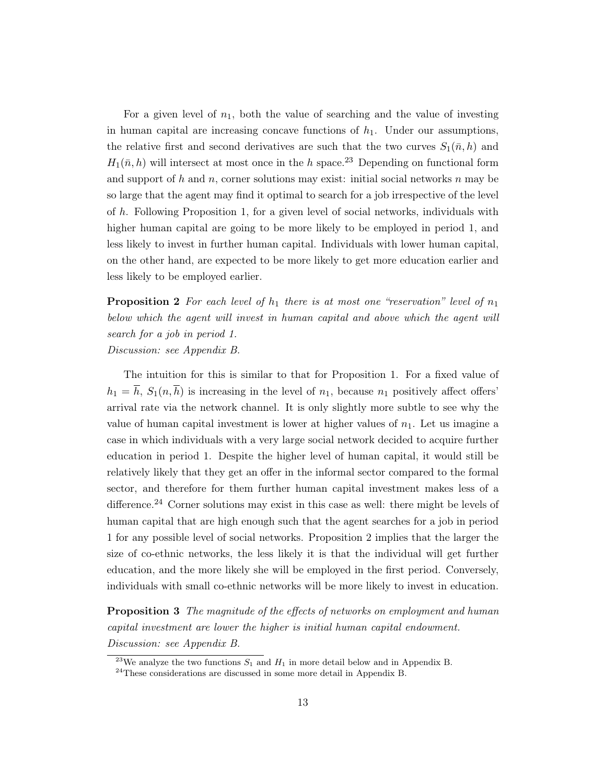For a given level of  $n_1$ , both the value of searching and the value of investing in human capital are increasing concave functions of  $h_1$ . Under our assumptions, the relative first and second derivatives are such that the two curves  $S_1(\bar{n}, h)$  and  $H_1(\bar{n}, h)$  will intersect at most once in the h space.<sup>[23](#page-12-0)</sup> Depending on functional form and support of  $h$  and  $n$ , corner solutions may exist: initial social networks  $n$  may be so large that the agent may find it optimal to search for a job irrespective of the level of h. Following Proposition [1,](#page-11-1) for a given level of social networks, individuals with higher human capital are going to be more likely to be employed in period 1, and less likely to invest in further human capital. Individuals with lower human capital, on the other hand, are expected to be more likely to get more education earlier and less likely to be employed earlier.

<span id="page-12-2"></span>**Proposition 2** For each level of  $h_1$  there is at most one "reservation" level of  $n_1$ below which the agent will invest in human capital and above which the agent will search for a job in period 1. Discussion: see Appendix [B.](#page-50-1)

The intuition for this is similar to that for Proposition [1.](#page-11-1) For a fixed value of  $h_1 = \overline{h}$ ,  $S_1(n, \overline{h})$  is increasing in the level of  $n_1$ , because  $n_1$  positively affect offers' arrival rate via the network channel. It is only slightly more subtle to see why the value of human capital investment is lower at higher values of  $n_1$ . Let us imagine a case in which individuals with a very large social network decided to acquire further education in period 1. Despite the higher level of human capital, it would still be relatively likely that they get an offer in the informal sector compared to the formal sector, and therefore for them further human capital investment makes less of a difference.<sup>[24](#page-12-1)</sup> Corner solutions may exist in this case as well: there might be levels of human capital that are high enough such that the agent searches for a job in period 1 for any possible level of social networks. Proposition [2](#page-12-2) implies that the larger the size of co-ethnic networks, the less likely it is that the individual will get further education, and the more likely she will be employed in the first period. Conversely, individuals with small co-ethnic networks will be more likely to invest in education.

<span id="page-12-3"></span>**Proposition 3** The magnitude of the effects of networks on employment and human capital investment are lower the higher is initial human capital endowment. Discussion: see Appendix [B.](#page-50-1)

<span id="page-12-0"></span><sup>&</sup>lt;sup>23</sup>We analyze the two functions  $S_1$  and  $H_1$  in more detail below and in Appendix [B.](#page-50-1)

<span id="page-12-1"></span> $^{24}$ These considerations are discussed in some more detail in Appendix [B.](#page-50-1)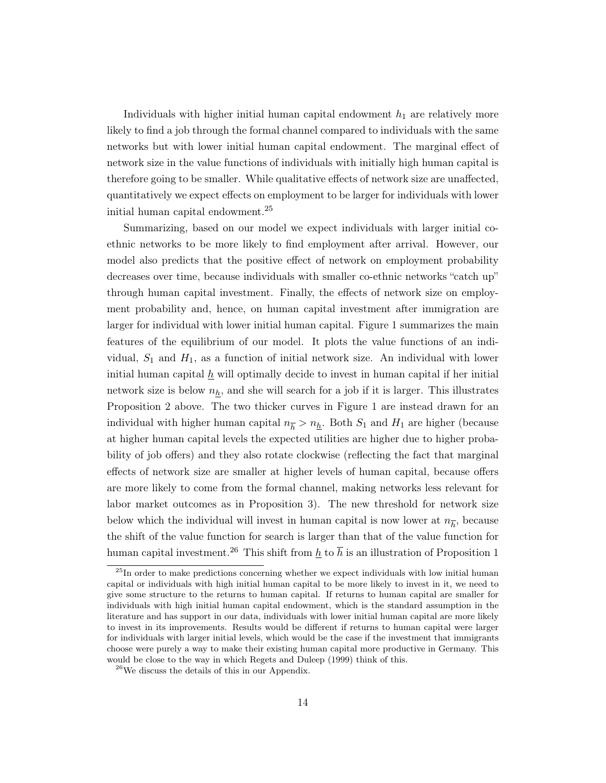Individuals with higher initial human capital endowment  $h_1$  are relatively more likely to find a job through the formal channel compared to individuals with the same networks but with lower initial human capital endowment. The marginal effect of network size in the value functions of individuals with initially high human capital is therefore going to be smaller. While qualitative effects of network size are unaffected, quantitatively we expect effects on employment to be larger for individuals with lower initial human capital endowment.[25](#page-13-0)

Summarizing, based on our model we expect individuals with larger initial coethnic networks to be more likely to find employment after arrival. However, our model also predicts that the positive effect of network on employment probability decreases over time, because individuals with smaller co-ethnic networks "catch up" through human capital investment. Finally, the effects of network size on employment probability and, hence, on human capital investment after immigration are larger for individual with lower initial human capital. Figure [1](#page-43-0) summarizes the main features of the equilibrium of our model. It plots the value functions of an individual,  $S_1$  and  $H_1$ , as a function of initial network size. An individual with lower initial human capital  $\underline{h}$  will optimally decide to invest in human capital if her initial network size is below  $n_h$ , and she will search for a job if it is larger. This illustrates Proposition 2 above. The two thicker curves in Figure [1](#page-43-0) are instead drawn for an individual with higher human capital  $n_{\overline{h}} > n_h$ . Both  $S_1$  and  $H_1$  are higher (because at higher human capital levels the expected utilities are higher due to higher probability of job offers) and they also rotate clockwise (reflecting the fact that marginal effects of network size are smaller at higher levels of human capital, because offers are more likely to come from the formal channel, making networks less relevant for labor market outcomes as in Proposition [3\)](#page-12-3). The new threshold for network size below which the individual will invest in human capital is now lower at  $n_{\overline{h}}$ , because the shift of the value function for search is larger than that of the value function for human capital investment.<sup>[26](#page-13-1)</sup> This shift from h to  $\bar{h}$  is an illustration of Proposition 1

<span id="page-13-0"></span> $^{25}$ In order to make predictions concerning whether we expect individuals with low initial human capital or individuals with high initial human capital to be more likely to invest in it, we need to give some structure to the returns to human capital. If returns to human capital are smaller for individuals with high initial human capital endowment, which is the standard assumption in the literature and has support in our data, individuals with lower initial human capital are more likely to invest in its improvements. Results would be different if returns to human capital were larger for individuals with larger initial levels, which would be the case if the investment that immigrants choose were purely a way to make their existing human capital more productive in Germany. This would be close to the way in which [Regets and Duleep](#page-49-12) [\(1999\)](#page-49-12) think of this.

<span id="page-13-1"></span> $^{26}$ We discuss the details of this in our Appendix.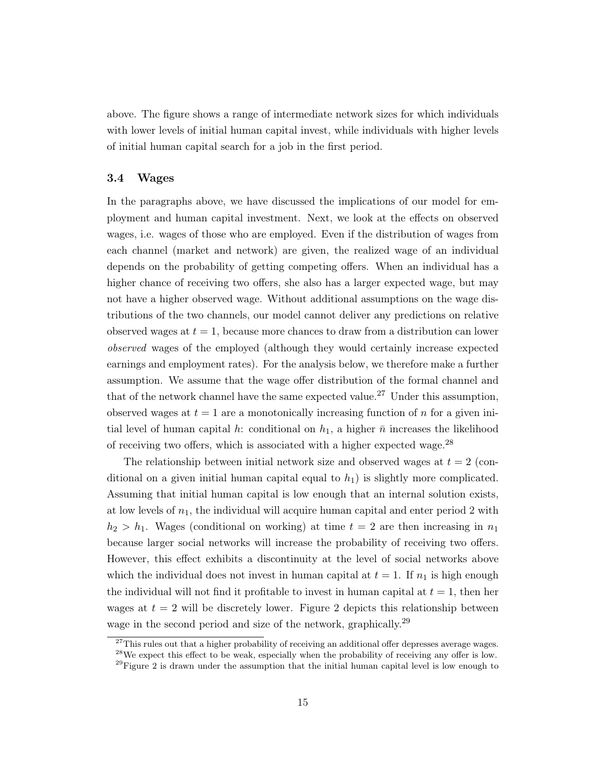above. The figure shows a range of intermediate network sizes for which individuals with lower levels of initial human capital invest, while individuals with higher levels of initial human capital search for a job in the first period.

#### 3.4 Wages

In the paragraphs above, we have discussed the implications of our model for employment and human capital investment. Next, we look at the effects on observed wages, i.e. wages of those who are employed. Even if the distribution of wages from each channel (market and network) are given, the realized wage of an individual depends on the probability of getting competing offers. When an individual has a higher chance of receiving two offers, she also has a larger expected wage, but may not have a higher observed wage. Without additional assumptions on the wage distributions of the two channels, our model cannot deliver any predictions on relative observed wages at  $t = 1$ , because more chances to draw from a distribution can lower observed wages of the employed (although they would certainly increase expected earnings and employment rates). For the analysis below, we therefore make a further assumption. We assume that the wage offer distribution of the formal channel and that of the network channel have the same expected value.<sup>[27](#page-14-0)</sup> Under this assumption, observed wages at  $t = 1$  are a monotonically increasing function of n for a given initial level of human capital h: conditional on  $h_1$ , a higher  $\bar{n}$  increases the likelihood of receiving two offers, which is associated with a higher expected wage.<sup>[28](#page-14-1)</sup>

The relationship between initial network size and observed wages at  $t = 2$  (conditional on a given initial human capital equal to  $h_1$ ) is slightly more complicated. Assuming that initial human capital is low enough that an internal solution exists, at low levels of  $n_1$ , the individual will acquire human capital and enter period 2 with  $h_2 > h_1$ . Wages (conditional on working) at time  $t = 2$  are then increasing in  $n_1$ because larger social networks will increase the probability of receiving two offers. However, this effect exhibits a discontinuity at the level of social networks above which the individual does not invest in human capital at  $t = 1$ . If  $n_1$  is high enough the individual will not find it profitable to invest in human capital at  $t = 1$ , then her wages at  $t = 2$  $t = 2$  will be discretely lower. Figure 2 depicts this relationship between wage in the second period and size of the network, graphically.<sup>[29](#page-14-2)</sup>

<span id="page-14-0"></span> $27$ This rules out that a higher probability of receiving an additional offer depresses average wages.

<span id="page-14-1"></span><sup>&</sup>lt;sup>28</sup>We expect this effect to be weak, especially when the probability of receiving any offer is low.

<span id="page-14-2"></span><sup>&</sup>lt;sup>29</sup>Figure [2](#page-44-0) is drawn under the assumption that the initial human capital level is low enough to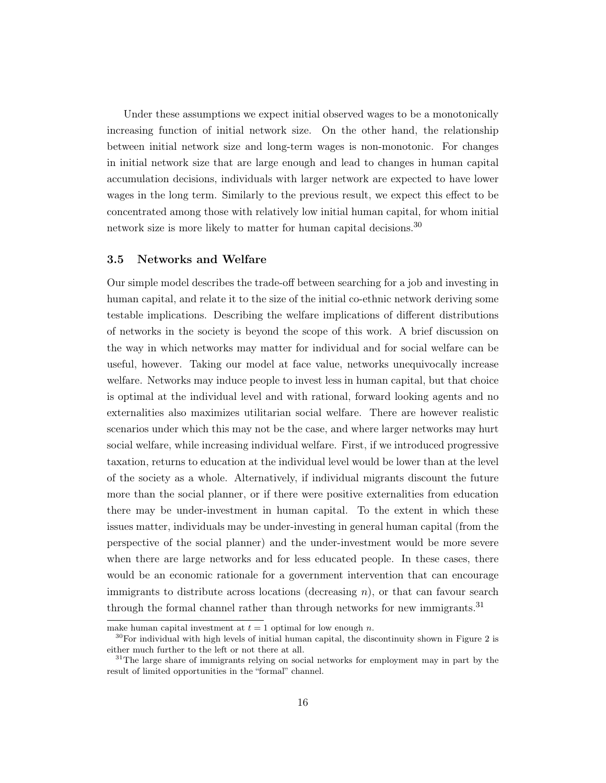Under these assumptions we expect initial observed wages to be a monotonically increasing function of initial network size. On the other hand, the relationship between initial network size and long-term wages is non-monotonic. For changes in initial network size that are large enough and lead to changes in human capital accumulation decisions, individuals with larger network are expected to have lower wages in the long term. Similarly to the previous result, we expect this effect to be concentrated among those with relatively low initial human capital, for whom initial network size is more likely to matter for human capital decisions.<sup>[30](#page-15-0)</sup>

#### 3.5 Networks and Welfare

Our simple model describes the trade-off between searching for a job and investing in human capital, and relate it to the size of the initial co-ethnic network deriving some testable implications. Describing the welfare implications of different distributions of networks in the society is beyond the scope of this work. A brief discussion on the way in which networks may matter for individual and for social welfare can be useful, however. Taking our model at face value, networks unequivocally increase welfare. Networks may induce people to invest less in human capital, but that choice is optimal at the individual level and with rational, forward looking agents and no externalities also maximizes utilitarian social welfare. There are however realistic scenarios under which this may not be the case, and where larger networks may hurt social welfare, while increasing individual welfare. First, if we introduced progressive taxation, returns to education at the individual level would be lower than at the level of the society as a whole. Alternatively, if individual migrants discount the future more than the social planner, or if there were positive externalities from education there may be under-investment in human capital. To the extent in which these issues matter, individuals may be under-investing in general human capital (from the perspective of the social planner) and the under-investment would be more severe when there are large networks and for less educated people. In these cases, there would be an economic rationale for a government intervention that can encourage immigrants to distribute across locations (decreasing  $n$ ), or that can favour search through the formal channel rather than through networks for new immigrants.<sup>[31](#page-15-1)</sup>

make human capital investment at  $t = 1$  optimal for low enough n.

<span id="page-15-0"></span> $30$ For individual with high levels of initial human capital, the discontinuity shown in Figure [2](#page-44-0) is either much further to the left or not there at all.

<span id="page-15-1"></span> $31$ The large share of immigrants relying on social networks for employment may in part by the result of limited opportunities in the "formal" channel.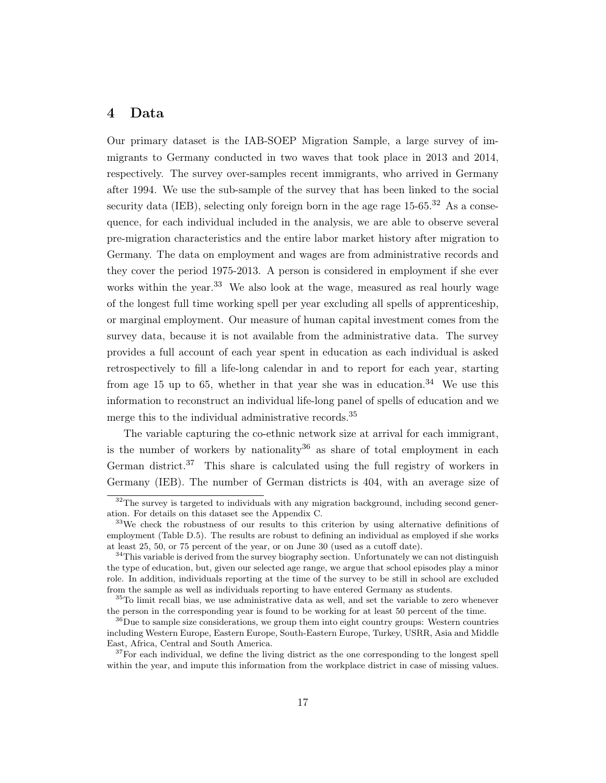## <span id="page-16-0"></span>4 Data

Our primary dataset is the IAB-SOEP Migration Sample, a large survey of immigrants to Germany conducted in two waves that took place in 2013 and 2014, respectively. The survey over-samples recent immigrants, who arrived in Germany after 1994. We use the sub-sample of the survey that has been linked to the social security data (IEB), selecting only foreign born in the age rage  $15{\text -}65^{32}$  $15{\text -}65^{32}$  $15{\text -}65^{32}$  As a consequence, for each individual included in the analysis, we are able to observe several pre-migration characteristics and the entire labor market history after migration to Germany. The data on employment and wages are from administrative records and they cover the period 1975-2013. A person is considered in employment if she ever works within the year.<sup>[33](#page-16-2)</sup> We also look at the wage, measured as real hourly wage of the longest full time working spell per year excluding all spells of apprenticeship, or marginal employment. Our measure of human capital investment comes from the survey data, because it is not available from the administrative data. The survey provides a full account of each year spent in education as each individual is asked retrospectively to fill a life-long calendar in and to report for each year, starting from age 15 up to 65, whether in that year she was in education.<sup>[34](#page-16-3)</sup> We use this information to reconstruct an individual life-long panel of spells of education and we merge this to the individual administrative records.<sup>[35](#page-16-4)</sup>

The variable capturing the co-ethnic network size at arrival for each immigrant, is the number of workers by nationality<sup>[36](#page-16-5)</sup> as share of total employment in each German district.<sup>[37](#page-16-6)</sup> This share is calculated using the full registry of workers in Germany (IEB). The number of German districts is 404, with an average size of

<span id="page-16-1"></span> $32$ The survey is targeted to individuals with any migration background, including second generation. For details on this dataset see the Appendix [C.](#page-55-0)

<span id="page-16-2"></span><sup>&</sup>lt;sup>33</sup>We check the robustness of our results to this criterion by using alternative definitions of employment (Table [D.5\)](#page-58-0). The results are robust to defining an individual as employed if she works at least 25, 50, or 75 percent of the year, or on June 30 (used as a cutoff date).

<span id="page-16-3"></span> $34$ This variable is derived from the survey biography section. Unfortunately we can not distinguish the type of education, but, given our selected age range, we argue that school episodes play a minor role. In addition, individuals reporting at the time of the survey to be still in school are excluded from the sample as well as individuals reporting to have entered Germany as students.

<span id="page-16-4"></span><sup>&</sup>lt;sup>35</sup>To limit recall bias, we use administrative data as well, and set the variable to zero whenever the person in the corresponding year is found to be working for at least 50 percent of the time.

<span id="page-16-5"></span> $36$ Due to sample size considerations, we group them into eight country groups: Western countries including Western Europe, Eastern Europe, South-Eastern Europe, Turkey, USRR, Asia and Middle East, Africa, Central and South America.

<span id="page-16-6"></span> $37$  For each individual, we define the living district as the one corresponding to the longest spell within the year, and impute this information from the workplace district in case of missing values.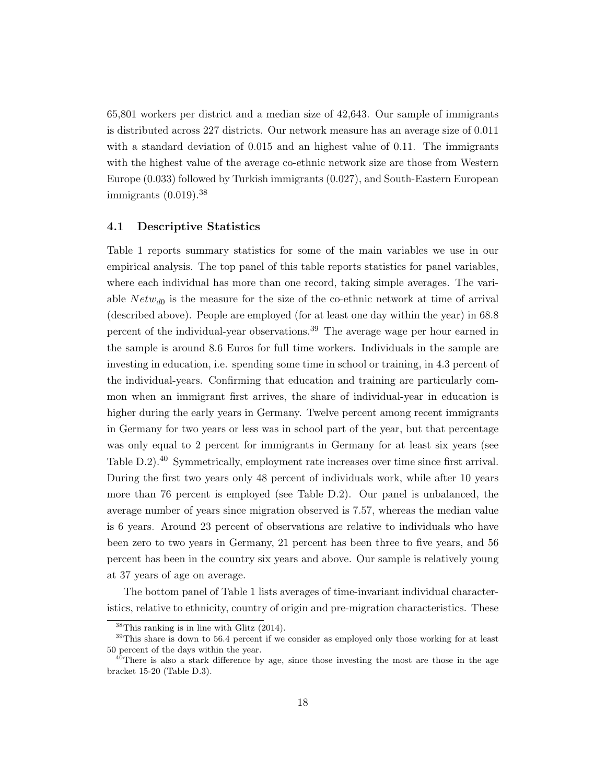65,801 workers per district and a median size of 42,643. Our sample of immigrants is distributed across 227 districts. Our network measure has an average size of 0.011 with a standard deviation of 0.015 and an highest value of 0.11. The immigrants with the highest value of the average co-ethnic network size are those from Western Europe (0.033) followed by Turkish immigrants (0.027), and South-Eastern European immigrants (0.019).[38](#page-17-0)

#### 4.1 Descriptive Statistics

Table [1](#page-33-0) reports summary statistics for some of the main variables we use in our empirical analysis. The top panel of this table reports statistics for panel variables, where each individual has more than one record, taking simple averages. The variable  $Network_{d0}$  is the measure for the size of the co-ethnic network at time of arrival (described above). People are employed (for at least one day within the year) in 68.8 percent of the individual-year observations.<sup>[39](#page-17-1)</sup> The average wage per hour earned in the sample is around 8.6 Euros for full time workers. Individuals in the sample are investing in education, i.e. spending some time in school or training, in 4.3 percent of the individual-years. Confirming that education and training are particularly common when an immigrant first arrives, the share of individual-year in education is higher during the early years in Germany. Twelve percent among recent immigrants in Germany for two years or less was in school part of the year, but that percentage was only equal to 2 percent for immigrants in Germany for at least six years (see Table [D.2\)](#page-56-2).<sup>[40](#page-17-2)</sup> Symmetrically, employment rate increases over time since first arrival. During the first two years only 48 percent of individuals work, while after 10 years more than 76 percent is employed (see Table [D.2\)](#page-56-2). Our panel is unbalanced, the average number of years since migration observed is 7.57, whereas the median value is 6 years. Around 23 percent of observations are relative to individuals who have been zero to two years in Germany, 21 percent has been three to five years, and 56 percent has been in the country six years and above. Our sample is relatively young at 37 years of age on average.

The bottom panel of Table [1](#page-33-0) lists averages of time-invariant individual characteristics, relative to ethnicity, country of origin and pre-migration characteristics. These

<span id="page-17-1"></span><span id="page-17-0"></span> $38$ This ranking is in line with [Glitz](#page-49-0) [\(2014\)](#page-49-0).

<sup>&</sup>lt;sup>39</sup>This share is down to 56.4 percent if we consider as employed only those working for at least 50 percent of the days within the year.

<span id="page-17-2"></span> $^{40}$ There is also a stark difference by age, since those investing the most are those in the age bracket 15-20 (Table [D.3\)](#page-56-3).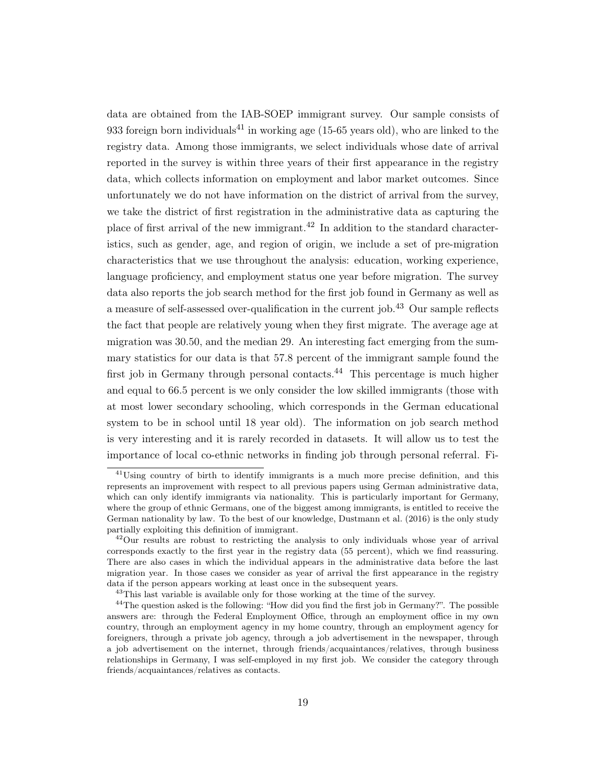data are obtained from the IAB-SOEP immigrant survey. Our sample consists of 933 foreign born individuals<sup>[41](#page-18-0)</sup> in working age (15-65 years old), who are linked to the registry data. Among those immigrants, we select individuals whose date of arrival reported in the survey is within three years of their first appearance in the registry data, which collects information on employment and labor market outcomes. Since unfortunately we do not have information on the district of arrival from the survey, we take the district of first registration in the administrative data as capturing the place of first arrival of the new immigrant.[42](#page-18-1) In addition to the standard characteristics, such as gender, age, and region of origin, we include a set of pre-migration characteristics that we use throughout the analysis: education, working experience, language proficiency, and employment status one year before migration. The survey data also reports the job search method for the first job found in Germany as well as a measure of self-assessed over-qualification in the current job.<sup>[43](#page-18-2)</sup> Our sample reflects the fact that people are relatively young when they first migrate. The average age at migration was 30.50, and the median 29. An interesting fact emerging from the summary statistics for our data is that 57.8 percent of the immigrant sample found the first job in Germany through personal contacts.<sup>[44](#page-18-3)</sup> This percentage is much higher and equal to 66.5 percent is we only consider the low skilled immigrants (those with at most lower secondary schooling, which corresponds in the German educational system to be in school until 18 year old). The information on job search method is very interesting and it is rarely recorded in datasets. It will allow us to test the importance of local co-ethnic networks in finding job through personal referral. Fi-

<span id="page-18-0"></span> $41$ Using country of birth to identify immigrants is a much more precise definition, and this represents an improvement with respect to all previous papers using German administrative data, which can only identify immigrants via nationality. This is particularly important for Germany, where the group of ethnic Germans, one of the biggest among immigrants, is entitled to receive the German nationality by law. To the best of our knowledge, [Dustmann et al.](#page-48-6) [\(2016\)](#page-48-6) is the only study partially exploiting this definition of immigrant.

<span id="page-18-1"></span> $^{42}$ Our results are robust to restricting the analysis to only individuals whose year of arrival corresponds exactly to the first year in the registry data (55 percent), which we find reassuring. There are also cases in which the individual appears in the administrative data before the last migration year. In those cases we consider as year of arrival the first appearance in the registry data if the person appears working at least once in the subsequent years.

<span id="page-18-3"></span><span id="page-18-2"></span><sup>&</sup>lt;sup>43</sup>This last variable is available only for those working at the time of the survey.

<sup>&</sup>lt;sup>44</sup>The question asked is the following: "How did you find the first job in Germany?". The possible answers are: through the Federal Employment Office, through an employment office in my own country, through an employment agency in my home country, through an employment agency for foreigners, through a private job agency, through a job advertisement in the newspaper, through a job advertisement on the internet, through friends/acquaintances/relatives, through business relationships in Germany, I was self-employed in my first job. We consider the category through friends/acquaintances/relatives as contacts.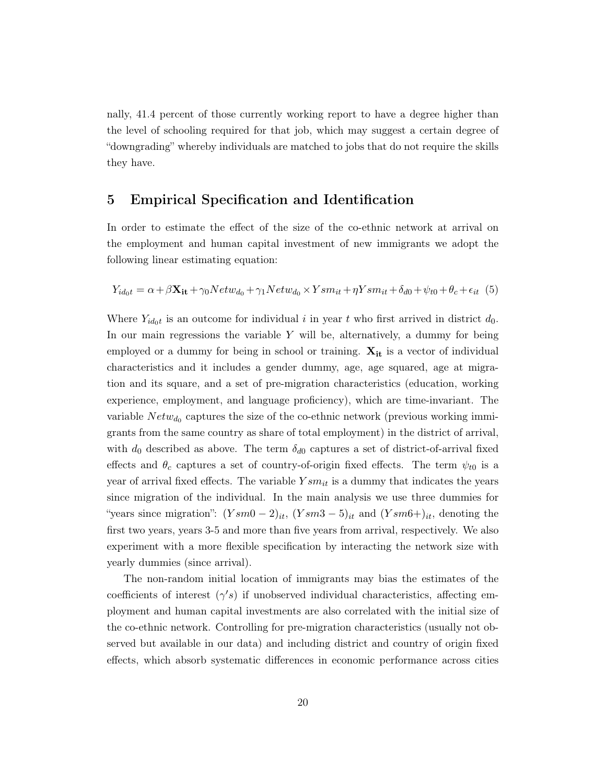nally, 41.4 percent of those currently working report to have a degree higher than the level of schooling required for that job, which may suggest a certain degree of "downgrading" whereby individuals are matched to jobs that do not require the skills they have.

## 5 Empirical Specification and Identification

In order to estimate the effect of the size of the co-ethnic network at arrival on the employment and human capital investment of new immigrants we adopt the following linear estimating equation:

<span id="page-19-0"></span>
$$
Y_{id_0t} = \alpha + \beta \mathbf{X_{it}} + \gamma_0 Netw_{d_0} + \gamma_1 Netw_{d_0} \times Ysm_{it} + \eta Ysm_{it} + \delta_{d0} + \psi_{t0} + \theta_c + \epsilon_{it} \tag{5}
$$

Where  $Y_{id_0t}$  is an outcome for individual i in year t who first arrived in district  $d_0$ . In our main regressions the variable  $Y$  will be, alternatively, a dummy for being employed or a dummy for being in school or training.  $X_{it}$  is a vector of individual characteristics and it includes a gender dummy, age, age squared, age at migration and its square, and a set of pre-migration characteristics (education, working experience, employment, and language proficiency), which are time-invariant. The variable  $Netw_{d_0}$  captures the size of the co-ethnic network (previous working immigrants from the same country as share of total employment) in the district of arrival, with  $d_0$  described as above. The term  $\delta_{d0}$  captures a set of district-of-arrival fixed effects and  $\theta_c$  captures a set of country-of-origin fixed effects. The term  $\psi_{t0}$  is a year of arrival fixed effects. The variable  $Ysm_{it}$  is a dummy that indicates the years since migration of the individual. In the main analysis we use three dummies for "years since migration":  $(Ysm0 - 2)_{it}$ ,  $(Ysm3 - 5)_{it}$  and  $(Ysm6 + )_{it}$ , denoting the first two years, years 3-5 and more than five years from arrival, respectively. We also experiment with a more flexible specification by interacting the network size with yearly dummies (since arrival).

The non-random initial location of immigrants may bias the estimates of the coefficients of interest  $(\gamma's)$  if unobserved individual characteristics, affecting employment and human capital investments are also correlated with the initial size of the co-ethnic network. Controlling for pre-migration characteristics (usually not observed but available in our data) and including district and country of origin fixed effects, which absorb systematic differences in economic performance across cities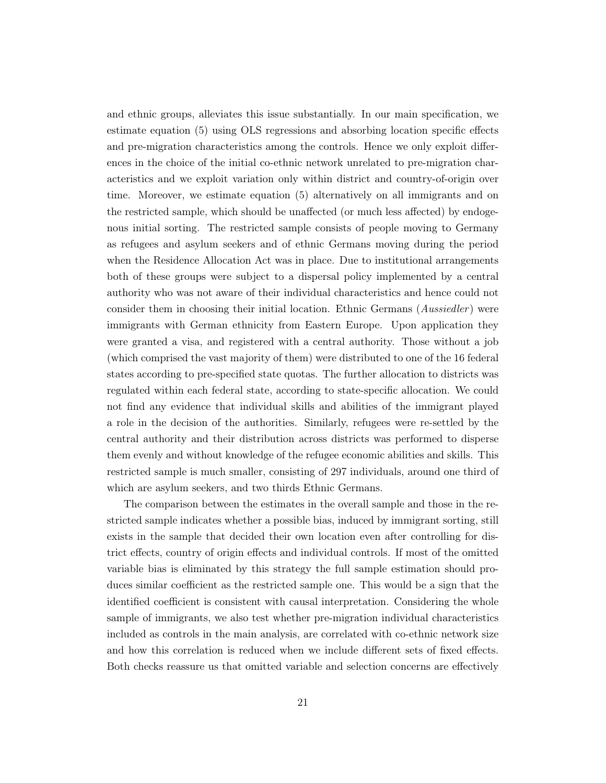and ethnic groups, alleviates this issue substantially. In our main specification, we estimate equation [\(5\)](#page-19-0) using OLS regressions and absorbing location specific effects and pre-migration characteristics among the controls. Hence we only exploit differences in the choice of the initial co-ethnic network unrelated to pre-migration characteristics and we exploit variation only within district and country-of-origin over time. Moreover, we estimate equation [\(5\)](#page-19-0) alternatively on all immigrants and on the restricted sample, which should be unaffected (or much less affected) by endogenous initial sorting. The restricted sample consists of people moving to Germany as refugees and asylum seekers and of ethnic Germans moving during the period when the Residence Allocation Act was in place. Due to institutional arrangements both of these groups were subject to a dispersal policy implemented by a central authority who was not aware of their individual characteristics and hence could not consider them in choosing their initial location. Ethnic Germans (*Aussiedler*) were immigrants with German ethnicity from Eastern Europe. Upon application they were granted a visa, and registered with a central authority. Those without a job (which comprised the vast majority of them) were distributed to one of the 16 federal states according to pre-specified state quotas. The further allocation to districts was regulated within each federal state, according to state-specific allocation. We could not find any evidence that individual skills and abilities of the immigrant played a role in the decision of the authorities. Similarly, refugees were re-settled by the central authority and their distribution across districts was performed to disperse them evenly and without knowledge of the refugee economic abilities and skills. This restricted sample is much smaller, consisting of 297 individuals, around one third of which are asylum seekers, and two thirds Ethnic Germans.

The comparison between the estimates in the overall sample and those in the restricted sample indicates whether a possible bias, induced by immigrant sorting, still exists in the sample that decided their own location even after controlling for district effects, country of origin effects and individual controls. If most of the omitted variable bias is eliminated by this strategy the full sample estimation should produces similar coefficient as the restricted sample one. This would be a sign that the identified coefficient is consistent with causal interpretation. Considering the whole sample of immigrants, we also test whether pre-migration individual characteristics included as controls in the main analysis, are correlated with co-ethnic network size and how this correlation is reduced when we include different sets of fixed effects. Both checks reassure us that omitted variable and selection concerns are effectively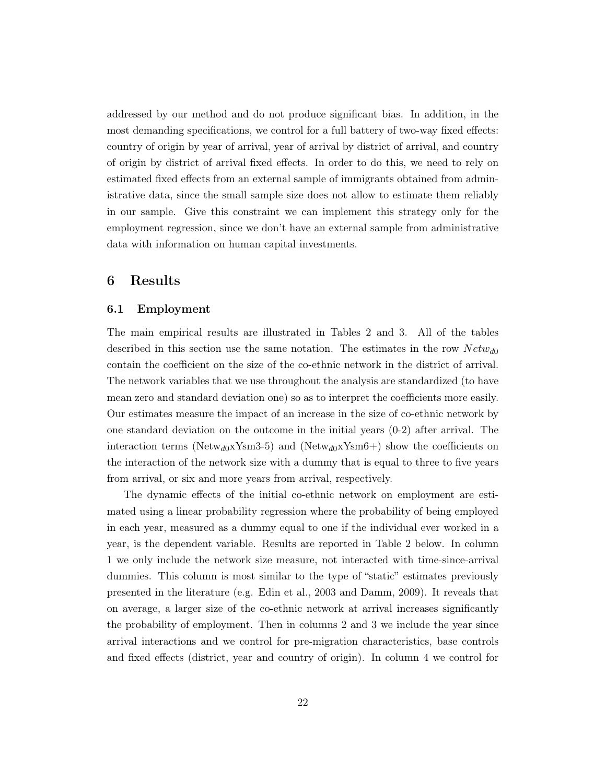addressed by our method and do not produce significant bias. In addition, in the most demanding specifications, we control for a full battery of two-way fixed effects: country of origin by year of arrival, year of arrival by district of arrival, and country of origin by district of arrival fixed effects. In order to do this, we need to rely on estimated fixed effects from an external sample of immigrants obtained from administrative data, since the small sample size does not allow to estimate them reliably in our sample. Give this constraint we can implement this strategy only for the employment regression, since we don't have an external sample from administrative data with information on human capital investments.

## <span id="page-21-0"></span>6 Results

#### 6.1 Employment

The main empirical results are illustrated in Tables [2](#page-34-0) and [3.](#page-35-0) All of the tables described in this section use the same notation. The estimates in the row  $Netw_{d0}$ contain the coefficient on the size of the co-ethnic network in the district of arrival. The network variables that we use throughout the analysis are standardized (to have mean zero and standard deviation one) so as to interpret the coefficients more easily. Our estimates measure the impact of an increase in the size of co-ethnic network by one standard deviation on the outcome in the initial years (0-2) after arrival. The interaction terms (Netw<sub>d0</sub>xYsm3-5) and (Netw<sub>d0</sub>xYsm6+) show the coefficients on the interaction of the network size with a dummy that is equal to three to five years from arrival, or six and more years from arrival, respectively.

The dynamic effects of the initial co-ethnic network on employment are estimated using a linear probability regression where the probability of being employed in each year, measured as a dummy equal to one if the individual ever worked in a year, is the dependent variable. Results are reported in Table [2](#page-34-0) below. In column 1 we only include the network size measure, not interacted with time-since-arrival dummies. This column is most similar to the type of "static" estimates previously presented in the literature (e.g. [Edin et al., 2003](#page-48-2) and [Damm, 2009\)](#page-48-5). It reveals that on average, a larger size of the co-ethnic network at arrival increases significantly the probability of employment. Then in columns 2 and 3 we include the year since arrival interactions and we control for pre-migration characteristics, base controls and fixed effects (district, year and country of origin). In column 4 we control for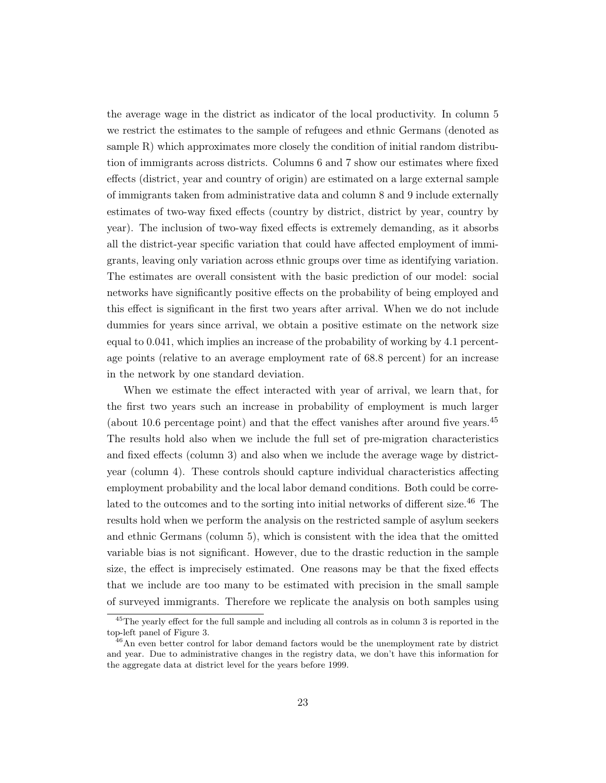the average wage in the district as indicator of the local productivity. In column 5 we restrict the estimates to the sample of refugees and ethnic Germans (denoted as sample R) which approximates more closely the condition of initial random distribution of immigrants across districts. Columns 6 and 7 show our estimates where fixed effects (district, year and country of origin) are estimated on a large external sample of immigrants taken from administrative data and column 8 and 9 include externally estimates of two-way fixed effects (country by district, district by year, country by year). The inclusion of two-way fixed effects is extremely demanding, as it absorbs all the district-year specific variation that could have affected employment of immigrants, leaving only variation across ethnic groups over time as identifying variation. The estimates are overall consistent with the basic prediction of our model: social networks have significantly positive effects on the probability of being employed and this effect is significant in the first two years after arrival. When we do not include dummies for years since arrival, we obtain a positive estimate on the network size equal to 0.041, which implies an increase of the probability of working by 4.1 percentage points (relative to an average employment rate of 68.8 percent) for an increase in the network by one standard deviation.

When we estimate the effect interacted with year of arrival, we learn that, for the first two years such an increase in probability of employment is much larger (about 10.6 percentage point) and that the effect vanishes after around five years.<sup>[45](#page-22-0)</sup> The results hold also when we include the full set of pre-migration characteristics and fixed effects (column 3) and also when we include the average wage by districtyear (column 4). These controls should capture individual characteristics affecting employment probability and the local labor demand conditions. Both could be corre-lated to the outcomes and to the sorting into initial networks of different size.<sup>[46](#page-22-1)</sup> The results hold when we perform the analysis on the restricted sample of asylum seekers and ethnic Germans (column 5), which is consistent with the idea that the omitted variable bias is not significant. However, due to the drastic reduction in the sample size, the effect is imprecisely estimated. One reasons may be that the fixed effects that we include are too many to be estimated with precision in the small sample of surveyed immigrants. Therefore we replicate the analysis on both samples using

<span id="page-22-0"></span> $45$ The yearly effect for the full sample and including all controls as in column 3 is reported in the top-left panel of Figure [3.](#page-45-0)

<span id="page-22-1"></span><sup>&</sup>lt;sup>46</sup>An even better control for labor demand factors would be the unemployment rate by district and year. Due to administrative changes in the registry data, we don't have this information for the aggregate data at district level for the years before 1999.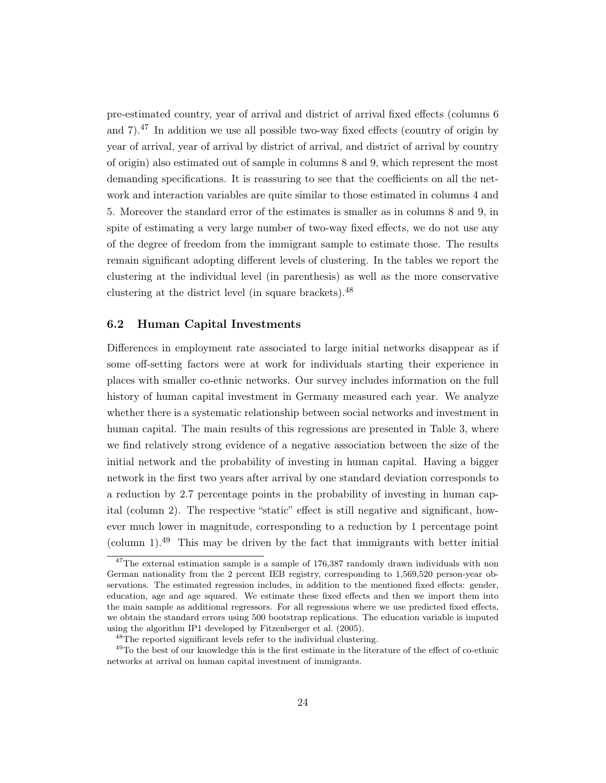pre-estimated country, year of arrival and district of arrival fixed effects (columns 6 and  $7$ ).<sup>[47](#page-23-0)</sup> In addition we use all possible two-way fixed effects (country of origin by year of arrival, year of arrival by district of arrival, and district of arrival by country of origin) also estimated out of sample in columns 8 and 9, which represent the most demanding specifications. It is reassuring to see that the coefficients on all the network and interaction variables are quite similar to those estimated in columns 4 and 5. Moreover the standard error of the estimates is smaller as in columns 8 and 9, in spite of estimating a very large number of two-way fixed effects, we do not use any of the degree of freedom from the immigrant sample to estimate those. The results remain significant adopting different levels of clustering. In the tables we report the clustering at the individual level (in parenthesis) as well as the more conservative clustering at the district level (in square brackets).<sup>[48](#page-23-1)</sup>

#### 6.2 Human Capital Investments

Differences in employment rate associated to large initial networks disappear as if some off-setting factors were at work for individuals starting their experience in places with smaller co-ethnic networks. Our survey includes information on the full history of human capital investment in Germany measured each year. We analyze whether there is a systematic relationship between social networks and investment in human capital. The main results of this regressions are presented in Table [3,](#page-35-0) where we find relatively strong evidence of a negative association between the size of the initial network and the probability of investing in human capital. Having a bigger network in the first two years after arrival by one standard deviation corresponds to a reduction by 2.7 percentage points in the probability of investing in human capital (column 2). The respective "static" effect is still negative and significant, however much lower in magnitude, corresponding to a reduction by 1 percentage point (column 1).<sup>[49](#page-23-2)</sup> This may be driven by the fact that immigrants with better initial

<span id="page-23-0"></span><sup>&</sup>lt;sup>47</sup>The external estimation sample is a sample of 176,387 randomly drawn individuals with non German nationality from the 2 percent IEB registry, corresponding to 1,569,520 person-year observations. The estimated regression includes, in addition to the mentioned fixed effects: gender, education, age and age squared. We estimate these fixed effects and then we import them into the main sample as additional regressors. For all regressions where we use predicted fixed effects, we obtain the standard errors using 500 bootstrap replications. The education variable is imputed using the algorithm IP1 developed by [Fitzenberger et al.](#page-48-13) [\(2005\)](#page-48-13).

<span id="page-23-2"></span><span id="page-23-1"></span><sup>&</sup>lt;sup>48</sup>The reported significant levels refer to the individual clustering.

<sup>&</sup>lt;sup>49</sup>To the best of our knowledge this is the first estimate in the literature of the effect of co-ethnic networks at arrival on human capital investment of immigrants.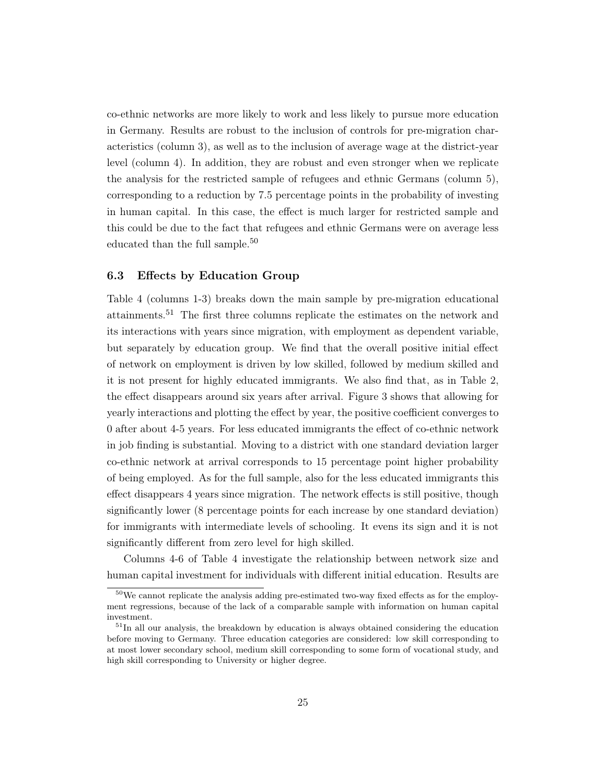co-ethnic networks are more likely to work and less likely to pursue more education in Germany. Results are robust to the inclusion of controls for pre-migration characteristics (column 3), as well as to the inclusion of average wage at the district-year level (column 4). In addition, they are robust and even stronger when we replicate the analysis for the restricted sample of refugees and ethnic Germans (column 5), corresponding to a reduction by 7.5 percentage points in the probability of investing in human capital. In this case, the effect is much larger for restricted sample and this could be due to the fact that refugees and ethnic Germans were on average less educated than the full sample.<sup>[50](#page-24-0)</sup>

#### 6.3 Effects by Education Group

Table [4](#page-36-0) (columns 1-3) breaks down the main sample by pre-migration educational attainments.[51](#page-24-1) The first three columns replicate the estimates on the network and its interactions with years since migration, with employment as dependent variable, but separately by education group. We find that the overall positive initial effect of network on employment is driven by low skilled, followed by medium skilled and it is not present for highly educated immigrants. We also find that, as in Table [2,](#page-34-0) the effect disappears around six years after arrival. Figure [3](#page-45-0) shows that allowing for yearly interactions and plotting the effect by year, the positive coefficient converges to 0 after about 4-5 years. For less educated immigrants the effect of co-ethnic network in job finding is substantial. Moving to a district with one standard deviation larger co-ethnic network at arrival corresponds to 15 percentage point higher probability of being employed. As for the full sample, also for the less educated immigrants this effect disappears 4 years since migration. The network effects is still positive, though significantly lower (8 percentage points for each increase by one standard deviation) for immigrants with intermediate levels of schooling. It evens its sign and it is not significantly different from zero level for high skilled.

Columns 4-6 of Table [4](#page-36-0) investigate the relationship between network size and human capital investment for individuals with different initial education. Results are

<span id="page-24-0"></span> $50\,\text{We cannot replicate the analysis adding pre-estimated two-way fixed effects as for the employ-}$ ment regressions, because of the lack of a comparable sample with information on human capital investment.

<span id="page-24-1"></span> $51$ In all our analysis, the breakdown by education is always obtained considering the education before moving to Germany. Three education categories are considered: low skill corresponding to at most lower secondary school, medium skill corresponding to some form of vocational study, and high skill corresponding to University or higher degree.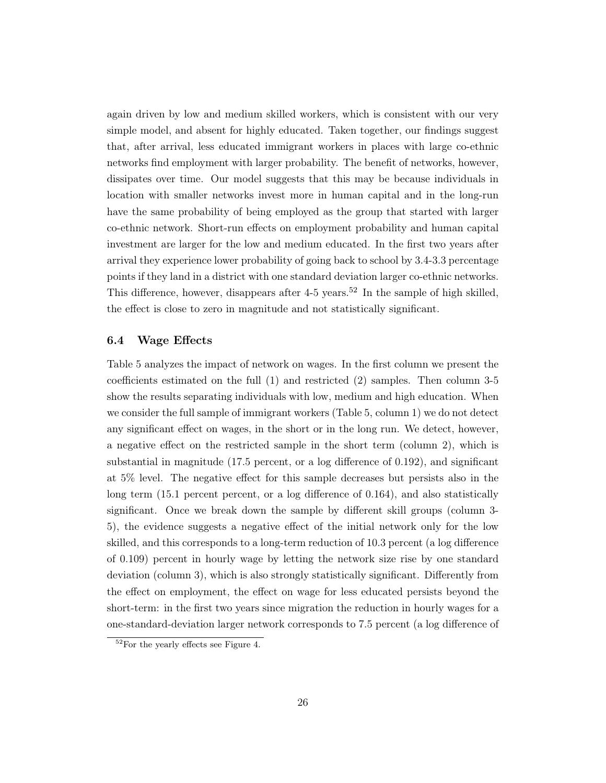again driven by low and medium skilled workers, which is consistent with our very simple model, and absent for highly educated. Taken together, our findings suggest that, after arrival, less educated immigrant workers in places with large co-ethnic networks find employment with larger probability. The benefit of networks, however, dissipates over time. Our model suggests that this may be because individuals in location with smaller networks invest more in human capital and in the long-run have the same probability of being employed as the group that started with larger co-ethnic network. Short-run effects on employment probability and human capital investment are larger for the low and medium educated. In the first two years after arrival they experience lower probability of going back to school by 3.4-3.3 percentage points if they land in a district with one standard deviation larger co-ethnic networks. This difference, however, disappears after  $4-5$  years.<sup>[52](#page-25-0)</sup> In the sample of high skilled, the effect is close to zero in magnitude and not statistically significant.

#### 6.4 Wage Effects

Table [5](#page-37-0) analyzes the impact of network on wages. In the first column we present the coefficients estimated on the full (1) and restricted (2) samples. Then column 3-5 show the results separating individuals with low, medium and high education. When we consider the full sample of immigrant workers (Table [5,](#page-37-0) column 1) we do not detect any significant effect on wages, in the short or in the long run. We detect, however, a negative effect on the restricted sample in the short term (column 2), which is substantial in magnitude (17.5 percent, or a log difference of 0.192), and significant at 5% level. The negative effect for this sample decreases but persists also in the long term (15.1 percent percent, or a log difference of 0.164), and also statistically significant. Once we break down the sample by different skill groups (column 3- 5), the evidence suggests a negative effect of the initial network only for the low skilled, and this corresponds to a long-term reduction of 10.3 percent (a log difference of 0.109) percent in hourly wage by letting the network size rise by one standard deviation (column 3), which is also strongly statistically significant. Differently from the effect on employment, the effect on wage for less educated persists beyond the short-term: in the first two years since migration the reduction in hourly wages for a one-standard-deviation larger network corresponds to 7.5 percent (a log difference of

<span id="page-25-0"></span> $52$ For the yearly effects see Figure [4.](#page-46-0)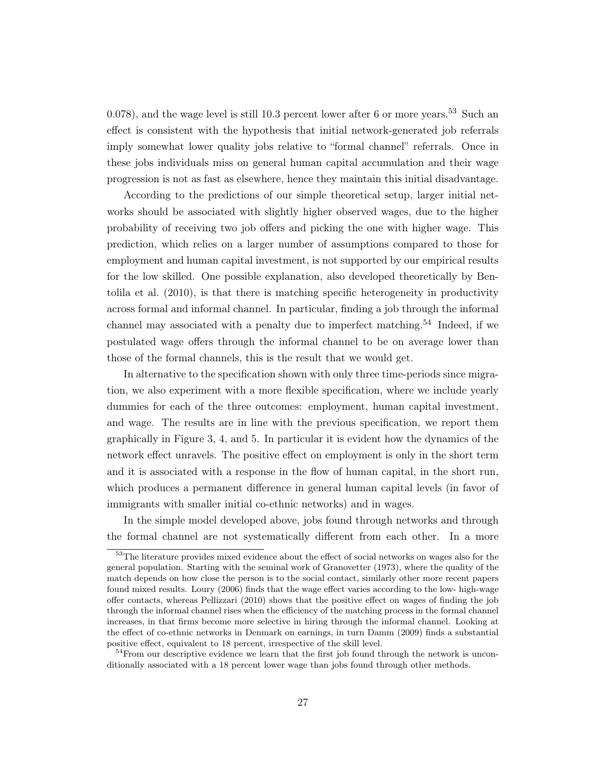0.078), and the wage level is still 10.3 percent lower after 6 or more years.<sup>[53](#page-26-0)</sup> Such an effect is consistent with the hypothesis that initial network-generated job referrals imply somewhat lower quality jobs relative to "formal channel" referrals. Once in these jobs individuals miss on general human capital accumulation and their wage progression is not as fast as elsewhere, hence they maintain this initial disadvantage.

According to the predictions of our simple theoretical setup, larger initial networks should be associated with slightly higher observed wages, due to the higher probability of receiving two job offers and picking the one with higher wage. This prediction, which relies on a larger number of assumptions compared to those for employment and human capital investment, is not supported by our empirical results for the low skilled. One possible explanation, also developed theoretically by [Ben](#page-48-14)[tolila et al.](#page-48-14) [\(2010\)](#page-48-14), is that there is matching specific heterogeneity in productivity across formal and informal channel. In particular, finding a job through the informal channel may associated with a penalty due to imperfect matching.<sup>[54](#page-26-1)</sup> Indeed, if we postulated wage offers through the informal channel to be on average lower than those of the formal channels, this is the result that we would get.

In alternative to the specification shown with only three time-periods since migration, we also experiment with a more flexible specification, where we include yearly dummies for each of the three outcomes: employment, human capital investment, and wage. The results are in line with the previous specification, we report them graphically in Figure [3,](#page-45-0) [4,](#page-46-0) and [5.](#page-47-0) In particular it is evident how the dynamics of the network effect unravels. The positive effect on employment is only in the short term and it is associated with a response in the flow of human capital, in the short run, which produces a permanent difference in general human capital levels (in favor of immigrants with smaller initial co-ethnic networks) and in wages.

In the simple model developed above, jobs found through networks and through the formal channel are not systematically different from each other. In a more

<span id="page-26-0"></span><sup>&</sup>lt;sup>53</sup>The literature provides mixed evidence about the effect of social networks on wages also for the general population. Starting with the seminal work of [Granovetter](#page-49-13) [\(1973\)](#page-49-13), where the quality of the match depends on how close the person is to the social contact, similarly other more recent papers found mixed results. [Loury](#page-49-14) [\(2006\)](#page-49-14) finds that the wage effect varies according to the low- high-wage offer contacts, whereas [Pellizzari](#page-49-7) [\(2010\)](#page-49-7) shows that the positive effect on wages of finding the job through the informal channel rises when the efficiency of the matching process in the formal channel increases, in that firms become more selective in hiring through the informal channel. Looking at the effect of co-ethnic networks in Denmark on earnings, in turn [Damm](#page-48-5) [\(2009\)](#page-48-5) finds a substantial positive effect, equivalent to 18 percent, irrespective of the skill level.

<span id="page-26-1"></span> $54$  From our descriptive evidence we learn that the first job found through the network is unconditionally associated with a 18 percent lower wage than jobs found through other methods.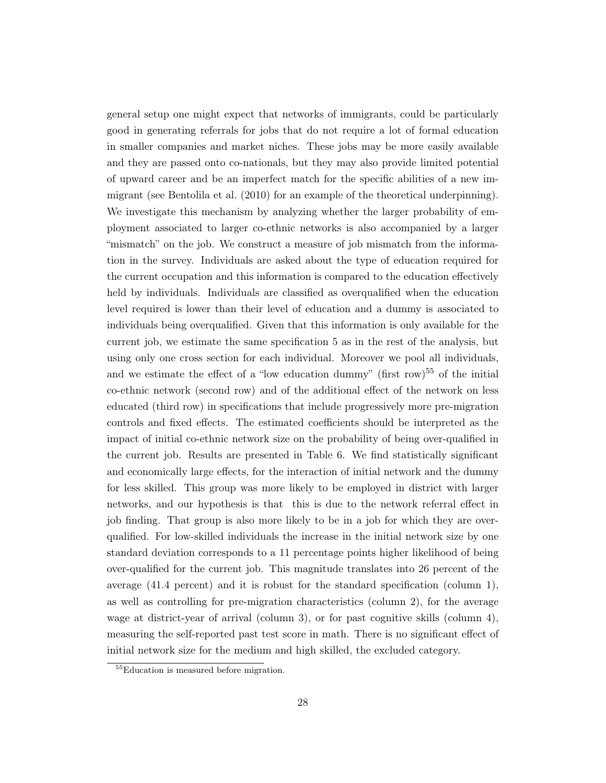general setup one might expect that networks of immigrants, could be particularly good in generating referrals for jobs that do not require a lot of formal education in smaller companies and market niches. These jobs may be more easily available and they are passed onto co-nationals, but they may also provide limited potential of upward career and be an imperfect match for the specific abilities of a new immigrant (see [Bentolila et al.](#page-48-14) [\(2010\)](#page-48-14) for an example of the theoretical underpinning). We investigate this mechanism by analyzing whether the larger probability of employment associated to larger co-ethnic networks is also accompanied by a larger "mismatch" on the job. We construct a measure of job mismatch from the information in the survey. Individuals are asked about the type of education required for the current occupation and this information is compared to the education effectively held by individuals. Individuals are classified as overqualified when the education level required is lower than their level of education and a dummy is associated to individuals being overqualified. Given that this information is only available for the current job, we estimate the same specification [5](#page-19-0) as in the rest of the analysis, but using only one cross section for each individual. Moreover we pool all individuals, and we estimate the effect of a "low education dummy" (first row)<sup>[55](#page-27-0)</sup> of the initial co-ethnic network (second row) and of the additional effect of the network on less educated (third row) in specifications that include progressively more pre-migration controls and fixed effects. The estimated coefficients should be interpreted as the impact of initial co-ethnic network size on the probability of being over-qualified in the current job. Results are presented in Table [6.](#page-38-0) We find statistically significant and economically large effects, for the interaction of initial network and the dummy for less skilled. This group was more likely to be employed in district with larger networks, and our hypothesis is that this is due to the network referral effect in job finding. That group is also more likely to be in a job for which they are overqualified. For low-skilled individuals the increase in the initial network size by one standard deviation corresponds to a 11 percentage points higher likelihood of being over-qualified for the current job. This magnitude translates into 26 percent of the average (41.4 percent) and it is robust for the standard specification (column 1), as well as controlling for pre-migration characteristics (column 2), for the average wage at district-year of arrival (column 3), or for past cognitive skills (column 4), measuring the self-reported past test score in math. There is no significant effect of initial network size for the medium and high skilled, the excluded category.

<span id="page-27-0"></span><sup>55</sup>Education is measured before migration.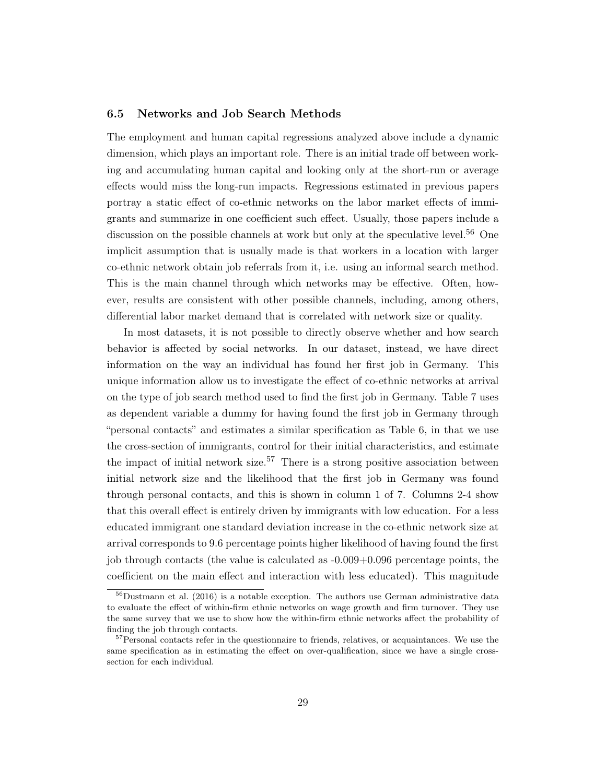#### 6.5 Networks and Job Search Methods

The employment and human capital regressions analyzed above include a dynamic dimension, which plays an important role. There is an initial trade off between working and accumulating human capital and looking only at the short-run or average effects would miss the long-run impacts. Regressions estimated in previous papers portray a static effect of co-ethnic networks on the labor market effects of immigrants and summarize in one coefficient such effect. Usually, those papers include a discussion on the possible channels at work but only at the speculative level.<sup>[56](#page-28-0)</sup> One implicit assumption that is usually made is that workers in a location with larger co-ethnic network obtain job referrals from it, i.e. using an informal search method. This is the main channel through which networks may be effective. Often, however, results are consistent with other possible channels, including, among others, differential labor market demand that is correlated with network size or quality.

In most datasets, it is not possible to directly observe whether and how search behavior is affected by social networks. In our dataset, instead, we have direct information on the way an individual has found her first job in Germany. This unique information allow us to investigate the effect of co-ethnic networks at arrival on the type of job search method used to find the first job in Germany. Table [7](#page-39-0) uses as dependent variable a dummy for having found the first job in Germany through "personal contacts" and estimates a similar specification as Table [6,](#page-38-0) in that we use the cross-section of immigrants, control for their initial characteristics, and estimate the impact of initial network size.<sup>[57](#page-28-1)</sup> There is a strong positive association between initial network size and the likelihood that the first job in Germany was found through personal contacts, and this is shown in column 1 of [7.](#page-39-0) Columns 2-4 show that this overall effect is entirely driven by immigrants with low education. For a less educated immigrant one standard deviation increase in the co-ethnic network size at arrival corresponds to 9.6 percentage points higher likelihood of having found the first job through contacts (the value is calculated as -0.009+0.096 percentage points, the coefficient on the main effect and interaction with less educated). This magnitude

<span id="page-28-0"></span> $56$ [Dustmann et al.](#page-48-6) [\(2016\)](#page-48-6) is a notable exception. The authors use German administrative data to evaluate the effect of within-firm ethnic networks on wage growth and firm turnover. They use the same survey that we use to show how the within-firm ethnic networks affect the probability of finding the job through contacts.

<span id="page-28-1"></span><sup>&</sup>lt;sup>57</sup>Personal contacts refer in the questionnaire to friends, relatives, or acquaintances. We use the same specification as in estimating the effect on over-qualification, since we have a single crosssection for each individual.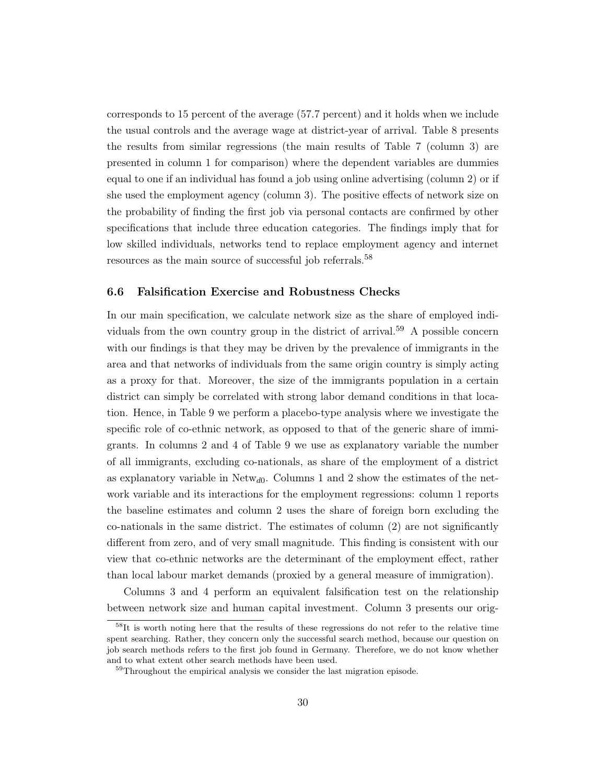corresponds to 15 percent of the average (57.7 percent) and it holds when we include the usual controls and the average wage at district-year of arrival. Table [8](#page-40-0) presents the results from similar regressions (the main results of Table [7](#page-39-0) (column 3) are presented in column 1 for comparison) where the dependent variables are dummies equal to one if an individual has found a job using online advertising (column 2) or if she used the employment agency (column 3). The positive effects of network size on the probability of finding the first job via personal contacts are confirmed by other specifications that include three education categories. The findings imply that for low skilled individuals, networks tend to replace employment agency and internet resources as the main source of successful job referrals.<sup>[58](#page-29-0)</sup>

#### 6.6 Falsification Exercise and Robustness Checks

In our main specification, we calculate network size as the share of employed indi-viduals from the own country group in the district of arrival.<sup>[59](#page-29-1)</sup> A possible concern with our findings is that they may be driven by the prevalence of immigrants in the area and that networks of individuals from the same origin country is simply acting as a proxy for that. Moreover, the size of the immigrants population in a certain district can simply be correlated with strong labor demand conditions in that location. Hence, in Table [9](#page-41-0) we perform a placebo-type analysis where we investigate the specific role of co-ethnic network, as opposed to that of the generic share of immigrants. In columns 2 and 4 of Table [9](#page-41-0) we use as explanatory variable the number of all immigrants, excluding co-nationals, as share of the employment of a district as explanatory variable in  $Network_{d0}$ . Columns 1 and 2 show the estimates of the network variable and its interactions for the employment regressions: column 1 reports the baseline estimates and column 2 uses the share of foreign born excluding the co-nationals in the same district. The estimates of column (2) are not significantly different from zero, and of very small magnitude. This finding is consistent with our view that co-ethnic networks are the determinant of the employment effect, rather than local labour market demands (proxied by a general measure of immigration).

Columns 3 and 4 perform an equivalent falsification test on the relationship between network size and human capital investment. Column 3 presents our orig-

<span id="page-29-0"></span><sup>&</sup>lt;sup>58</sup>It is worth noting here that the results of these regressions do not refer to the relative time spent searching. Rather, they concern only the successful search method, because our question on job search methods refers to the first job found in Germany. Therefore, we do not know whether and to what extent other search methods have been used.

<span id="page-29-1"></span> $59$ Throughout the empirical analysis we consider the last migration episode.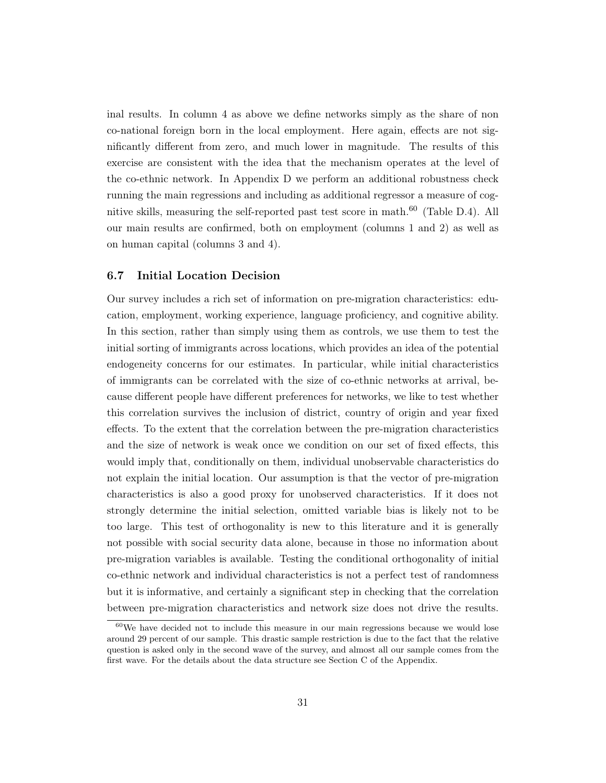inal results. In column 4 as above we define networks simply as the share of non co-national foreign born in the local employment. Here again, effects are not significantly different from zero, and much lower in magnitude. The results of this exercise are consistent with the idea that the mechanism operates at the level of the co-ethnic network. In Appendix [D](#page-56-1) we perform an additional robustness check running the main regressions and including as additional regressor a measure of cognitive skills, measuring the self-reported past test score in math. $^{60}$  $^{60}$  $^{60}$  (Table [D.4\)](#page-57-0). All our main results are confirmed, both on employment (columns 1 and 2) as well as on human capital (columns 3 and 4).

#### 6.7 Initial Location Decision

Our survey includes a rich set of information on pre-migration characteristics: education, employment, working experience, language proficiency, and cognitive ability. In this section, rather than simply using them as controls, we use them to test the initial sorting of immigrants across locations, which provides an idea of the potential endogeneity concerns for our estimates. In particular, while initial characteristics of immigrants can be correlated with the size of co-ethnic networks at arrival, because different people have different preferences for networks, we like to test whether this correlation survives the inclusion of district, country of origin and year fixed effects. To the extent that the correlation between the pre-migration characteristics and the size of network is weak once we condition on our set of fixed effects, this would imply that, conditionally on them, individual unobservable characteristics do not explain the initial location. Our assumption is that the vector of pre-migration characteristics is also a good proxy for unobserved characteristics. If it does not strongly determine the initial selection, omitted variable bias is likely not to be too large. This test of orthogonality is new to this literature and it is generally not possible with social security data alone, because in those no information about pre-migration variables is available. Testing the conditional orthogonality of initial co-ethnic network and individual characteristics is not a perfect test of randomness but it is informative, and certainly a significant step in checking that the correlation between pre-migration characteristics and network size does not drive the results.

<span id="page-30-0"></span> $60$ We have decided not to include this measure in our main regressions because we would lose around 29 percent of our sample. This drastic sample restriction is due to the fact that the relative question is asked only in the second wave of the survey, and almost all our sample comes from the first wave. For the details about the data structure see Section [C](#page-55-0) of the Appendix.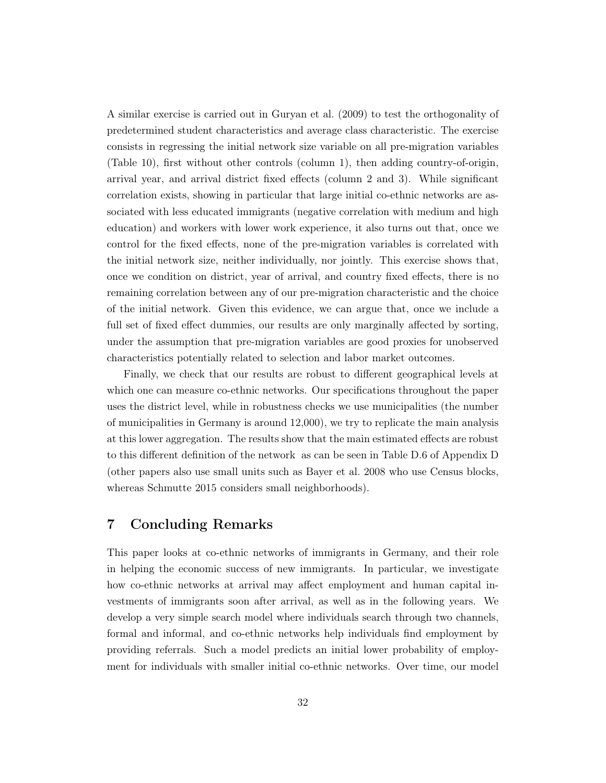A similar exercise is carried out in [Guryan et al.](#page-49-15) [\(2009\)](#page-49-15) to test the orthogonality of predetermined student characteristics and average class characteristic. The exercise consists in regressing the initial network size variable on all pre-migration variables (Table [10\)](#page-42-0), first without other controls (column 1), then adding country-of-origin, arrival year, and arrival district fixed effects (column 2 and 3). While significant correlation exists, showing in particular that large initial co-ethnic networks are associated with less educated immigrants (negative correlation with medium and high education) and workers with lower work experience, it also turns out that, once we control for the fixed effects, none of the pre-migration variables is correlated with the initial network size, neither individually, nor jointly. This exercise shows that, once we condition on district, year of arrival, and country fixed effects, there is no remaining correlation between any of our pre-migration characteristic and the choice of the initial network. Given this evidence, we can argue that, once we include a full set of fixed effect dummies, our results are only marginally affected by sorting, under the assumption that pre-migration variables are good proxies for unobserved characteristics potentially related to selection and labor market outcomes.

Finally, we check that our results are robust to different geographical levels at which one can measure co-ethnic networks. Our specifications throughout the paper uses the district level, while in robustness checks we use municipalities (the number of municipalities in Germany is around 12,000), we try to replicate the main analysis at this lower aggregation. The results show that the main estimated effects are robust to this different definition of the network as can be seen in Table [D.6](#page-59-0) of Appendix [D](#page-56-1) (other papers also use small units such as [Bayer et al. 2008](#page-48-9) who use Census blocks, whereas [Schmutte 2015](#page-49-16) considers small neighborhoods).

## <span id="page-31-0"></span>7 Concluding Remarks

This paper looks at co-ethnic networks of immigrants in Germany, and their role in helping the economic success of new immigrants. In particular, we investigate how co-ethnic networks at arrival may affect employment and human capital investments of immigrants soon after arrival, as well as in the following years. We develop a very simple search model where individuals search through two channels, formal and informal, and co-ethnic networks help individuals find employment by providing referrals. Such a model predicts an initial lower probability of employment for individuals with smaller initial co-ethnic networks. Over time, our model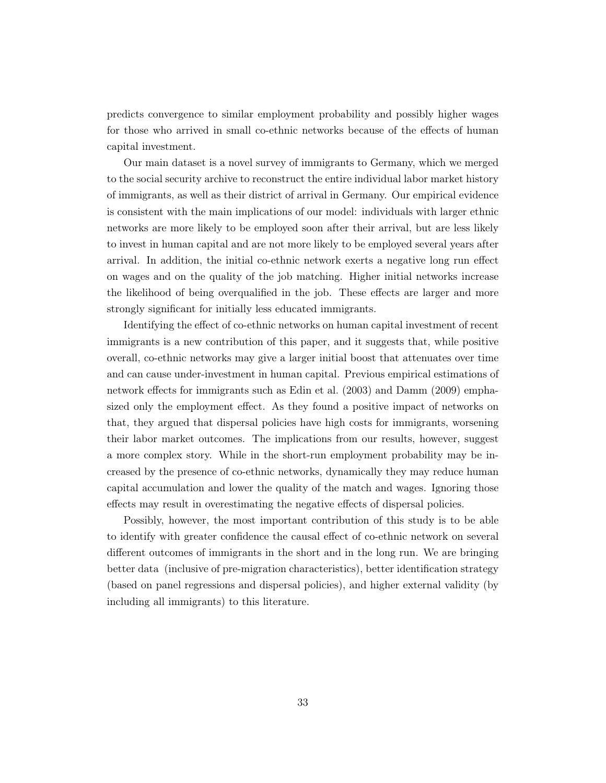predicts convergence to similar employment probability and possibly higher wages for those who arrived in small co-ethnic networks because of the effects of human capital investment.

Our main dataset is a novel survey of immigrants to Germany, which we merged to the social security archive to reconstruct the entire individual labor market history of immigrants, as well as their district of arrival in Germany. Our empirical evidence is consistent with the main implications of our model: individuals with larger ethnic networks are more likely to be employed soon after their arrival, but are less likely to invest in human capital and are not more likely to be employed several years after arrival. In addition, the initial co-ethnic network exerts a negative long run effect on wages and on the quality of the job matching. Higher initial networks increase the likelihood of being overqualified in the job. These effects are larger and more strongly significant for initially less educated immigrants.

Identifying the effect of co-ethnic networks on human capital investment of recent immigrants is a new contribution of this paper, and it suggests that, while positive overall, co-ethnic networks may give a larger initial boost that attenuates over time and can cause under-investment in human capital. Previous empirical estimations of network effects for immigrants such as [Edin et al.](#page-48-2) [\(2003\)](#page-48-2) and [Damm](#page-48-5) [\(2009\)](#page-48-5) emphasized only the employment effect. As they found a positive impact of networks on that, they argued that dispersal policies have high costs for immigrants, worsening their labor market outcomes. The implications from our results, however, suggest a more complex story. While in the short-run employment probability may be increased by the presence of co-ethnic networks, dynamically they may reduce human capital accumulation and lower the quality of the match and wages. Ignoring those effects may result in overestimating the negative effects of dispersal policies.

Possibly, however, the most important contribution of this study is to be able to identify with greater confidence the causal effect of co-ethnic network on several different outcomes of immigrants in the short and in the long run. We are bringing better data (inclusive of pre-migration characteristics), better identification strategy (based on panel regressions and dispersal policies), and higher external validity (by including all immigrants) to this literature.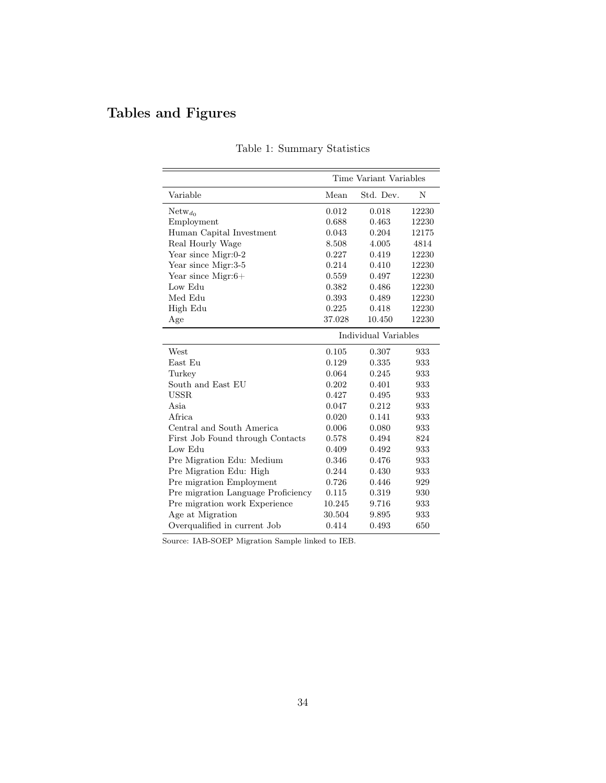# <span id="page-33-0"></span>Tables and Figures

|                                    | Time Variant Variables |                      |       |  |
|------------------------------------|------------------------|----------------------|-------|--|
| Variable                           | Mean                   | Std. Dev.            | N     |  |
| $Network_{d_0}$                    | 0.012                  | 0.018                | 12230 |  |
| Employment                         | 0.688                  | 0.463                | 12230 |  |
| Human Capital Investment           | 0.043                  | 0.204                | 12175 |  |
| Real Hourly Wage                   | 8.508                  | 4.005                | 4814  |  |
| Year since Migr:0-2                | 0.227                  | 0.419                | 12230 |  |
| Year since Migr:3-5                | 0.214                  | 0.410                | 12230 |  |
| Year since Migr: $6+$              | 0.559                  | 0.497                | 12230 |  |
| Low Edu                            | 0.382                  | 0.486                | 12230 |  |
| Med Edu                            | 0.393                  | 0.489                | 12230 |  |
| High Edu                           | 0.225                  | 0.418                | 12230 |  |
| Age                                | 37.028                 | 10.450               | 12230 |  |
|                                    |                        | Individual Variables |       |  |
| West                               | 0.105                  | 0.307                | 933   |  |
| East Eu                            | 0.129                  | 0.335                | 933   |  |
| Turkey                             | 0.064                  | 0.245                | 933   |  |
| South and East EU                  | 0.202                  | 0.401                | 933   |  |
| <b>USSR</b>                        | 0.427                  | 0.495                | 933   |  |
| Asia                               | 0.047                  | 0.212                | 933   |  |
| Africa.                            | 0.020                  | 0.141                | 933   |  |
| Central and South America          | 0.006                  | 0.080                | 933   |  |
| First Job Found through Contacts   | 0.578                  | 0.494                | 824   |  |
| Low Edu                            | 0.409                  | 0.492                | 933   |  |
| Pre Migration Edu: Medium          | 0.346                  | 0.476                | 933   |  |
| Pre Migration Edu: High            | 0.244                  | 0.430                | 933   |  |
| Pre migration Employment           | 0.726                  | 0.446                | 929   |  |
| Pre migration Language Proficiency | 0.115                  | 0.319                | 930   |  |
| Pre migration work Experience      | 10.245                 | 9.716                | 933   |  |
| Age at Migration                   | 30.504                 | 9.895                | 933   |  |
| Overqualified in current Job       | 0.414                  | 0.493                | 650   |  |

|  | Table 1: Summary Statistics |  |
|--|-----------------------------|--|
|--|-----------------------------|--|

Source: IAB-SOEP Migration Sample linked to IEB.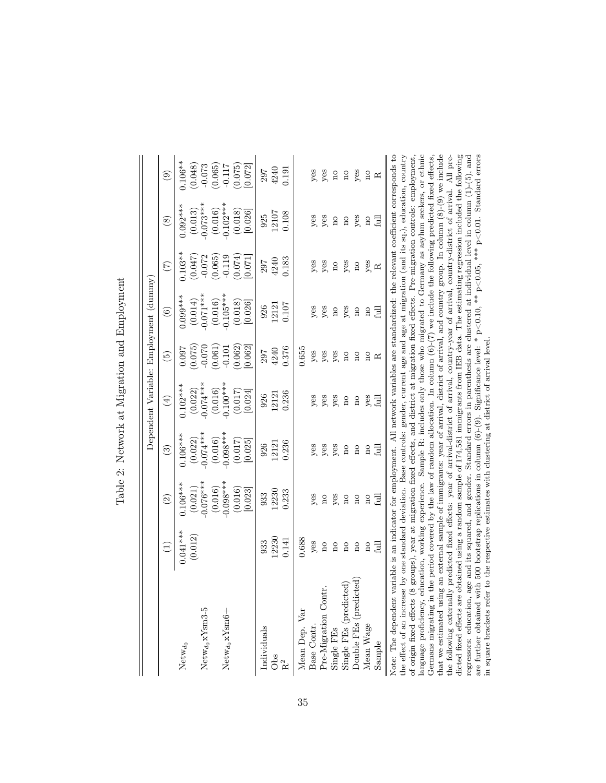|                                                                                                                                                                                                                                                                                                                                                   |                         |                         |                         | Dependent Variable: Employment (dummy)                                                                                    |                         |                                                                                                                 |                         |                         |                         |
|---------------------------------------------------------------------------------------------------------------------------------------------------------------------------------------------------------------------------------------------------------------------------------------------------------------------------------------------------|-------------------------|-------------------------|-------------------------|---------------------------------------------------------------------------------------------------------------------------|-------------------------|-----------------------------------------------------------------------------------------------------------------|-------------------------|-------------------------|-------------------------|
|                                                                                                                                                                                                                                                                                                                                                   | $\bigoplus$             | $\odot$                 | $\odot$                 | $\left( \pm \right)$                                                                                                      | $\widetilde{5}$         | $\odot$                                                                                                         | $(\tilde{\tau})$        | $\circledast$           | $\odot$                 |
| Netw $_{d_0}$                                                                                                                                                                                                                                                                                                                                     | $0.041***$              | $0.106***$              | $0.106***$              | $0.102***$                                                                                                                | 0.097                   | $0.099***$                                                                                                      | $0.103**$               | $0.092***$              | $0.106**$               |
|                                                                                                                                                                                                                                                                                                                                                   | (0.012)                 | (0.021)                 | (0.022)                 | (0.022)                                                                                                                   | (0.075)                 | $\left(0.014\right)$                                                                                            | (0.047)                 |                         | (0.048)                 |
| $N$ etw <sub>do</sub> x $Y$ sm3-5                                                                                                                                                                                                                                                                                                                 |                         | $0.076***$              | $0.074***$              | $-0.074***$                                                                                                               | $-0.070$                | $0.071***$                                                                                                      | $-0.072$                | $(0.013)$<br>$0.073***$ | $-0.073$                |
|                                                                                                                                                                                                                                                                                                                                                   |                         | (0.016)                 | (0.016)                 | (0.016)                                                                                                                   |                         | (0.016)                                                                                                         | (0.065)                 |                         |                         |
| ${\rm Netw}_{d_0} {\rm xYsm6} +$                                                                                                                                                                                                                                                                                                                  |                         | $0.098***$              | $0.098***$              | $0.100***$                                                                                                                | $(0.061)$<br>$-0.101$   | $0.105***$                                                                                                      | 0.119                   | $(0.016)$<br>0.102***   | $(0.065)$<br>-0.117     |
|                                                                                                                                                                                                                                                                                                                                                   |                         | (0.016)                 | (0.017)                 | (0.017)                                                                                                                   | (0.062)                 | (0.018)                                                                                                         | (670.07)                | (0.018)                 | (0.075)                 |
|                                                                                                                                                                                                                                                                                                                                                   |                         | [0.023]                 | [0.025]                 | [0.024]                                                                                                                   | 0.062                   | [0.026]                                                                                                         | [0.071]                 | [0.026]                 | 0.072                   |
| Individuals                                                                                                                                                                                                                                                                                                                                       | 933                     | 933                     | 926                     | 926                                                                                                                       | 297                     | 926                                                                                                             | 297                     | 925                     | 297                     |
| Obs                                                                                                                                                                                                                                                                                                                                               | 12230                   | 12230                   | 12121                   | 12121                                                                                                                     | 4240                    | 12121                                                                                                           | 4240                    | 12107                   | 4240                    |
| R <sup>2</sup>                                                                                                                                                                                                                                                                                                                                    | 0.141                   | 0.233                   | 0.236                   | 0.236                                                                                                                     | 0.376                   | 0.107                                                                                                           | 0.183                   | 0.108                   | 0.191                   |
| Mean Dep. Var                                                                                                                                                                                                                                                                                                                                     | 0.688                   |                         |                         |                                                                                                                           | 0.655                   |                                                                                                                 |                         |                         |                         |
| Base Contr.                                                                                                                                                                                                                                                                                                                                       | yes                     | yes                     | $y$ es                  | yes                                                                                                                       | yes                     | yes                                                                                                             | yes                     | $y$ es                  | $y$ es                  |
| Pre-Migration Contr.                                                                                                                                                                                                                                                                                                                              | $\overline{\mathrm{n}}$ | $\overline{\mathbf{n}}$ |                         | $y$ es                                                                                                                    | yes                     | yes                                                                                                             | yes                     | yes                     | $y$ es                  |
| Single FEs                                                                                                                                                                                                                                                                                                                                        | $\overline{\mathbf{n}}$ | yes                     | yes<br>yes              | yes                                                                                                                       | yes                     | $\overline{\mathbf{n}}$                                                                                         | $\overline{\text{no}}$  | $\overline{\mathbf{n}}$ | $\overline{\mathbf{n}}$ |
| Single FEs (predicted)                                                                                                                                                                                                                                                                                                                            | $\overline{\rm n}$      | $\overline{\mathbf{n}}$ | $\overline{\mathbf{n}}$ | $\overline{\mathbf{n}}$                                                                                                   | $\overline{\mathbf{n}}$ | yes                                                                                                             | yes                     | $\overline{\mathbf{n}}$ | $\overline{\mathbf{n}}$ |
| Double FEs (predicted)                                                                                                                                                                                                                                                                                                                            | $\overline{\mathbf{a}}$ | $\overline{n}$          | $\overline{\mathbf{n}}$ | $\overline{\mathbf{n}}$                                                                                                   | $\overline{\mathbf{n}}$ | $\overline{\mathbf{n}}$                                                                                         | $\overline{\mathbf{n}}$ | yes                     | yes                     |
| Mean Wage                                                                                                                                                                                                                                                                                                                                         | $\overline{n}$          | $\overline{\mathbf{n}}$ | $\overline{\mathbf{n}}$ | yes                                                                                                                       | $\overline{\mathbf{n}}$ | $\overline{n}$                                                                                                  |                         | $\overline{\mathbf{n}}$ | $\rm ^{10}$             |
| Sample                                                                                                                                                                                                                                                                                                                                            | full                    | full                    | 급                       | full                                                                                                                      | ≃                       | full                                                                                                            | yes<br>R                | full                    | ≃                       |
| Note: The dependent variable is an indicator for employment. All network variables are standardized: the relevant coefficient corresponds to<br>the effect of an increase by one standard deviation. Base controls: gender, current age and age at migration (and its sq.), education, country<br>of origin fixed effects<br>language proficiency |                         |                         |                         | (8 groups), year at migration fixed effects, and district at migration fixed effects. Pre-migration controls: employment, |                         | ducation working experience. Sample B: includes only those who migrated to Germany as asylum seekers, or ethnic |                         |                         |                         |

<span id="page-34-0"></span>

| j<br>ׇ֒<br>ı                                                                                                                |
|-----------------------------------------------------------------------------------------------------------------------------|
| $\ddot{\phantom{a}}$                                                                                                        |
| くらく こうへいこう<br>J<br>ı<br>١<br>ı<br>ı<br>ı                                                                                    |
| j<br>j                                                                                                                      |
| Ī<br>ı<br>ĺ<br>$\frac{1}{2}$<br>j<br>ı                                                                                      |
| Ì<br>Ó                                                                                                                      |
| ֖֖֖֖֖֖֧ׅ֖֧ׅׅ֧֧֧֧֧֪֪ׅ֧֧֧֧֪֪֪ׅ֧֧֚֚֚֚֚֚֚֚֚֚֚֚֚֚֚֚֚֚֚֚֡֝֝֓֓֓֝֓֞֝֓֝֬֝֓֞֝֓֝֬֝֬֝֬֝֓֝֬֝<br>֧֪֧֧֪֪֧֪֧֪֪֪֪֪֪֪֪֪֪֪֪֪֪֪֪֪֪֪֝֝<br>ı<br>ļ |

of origin fixed effects (8 groups), year at migration fixed effects, and district at migration fixed effects. Pre-migration controls: employment, language proficiency, education, working experience. Sample R: includes onl  $\overline{1}$   $\circ$   $\overline{2}$ the norwing extendary predicted metallicities, year of all transmitted of all transmitted metallical energy extends the following dicted fixed effects are obtained using a random sample of 174,581 immigrants from IEB data dicted fixed effects are obtained using a random sample of 174,581 immigrants from IEB data. The estimating regression included the following language proficiency, education, working experience. Sample R: includes only those who migrated to Germany as asylum seekers, or ethnic Germans migrating in the period covered by the law of random allocation. In column (6)-(7) we include the following predicted fixed effects, that we estimated using an external sample of immigrants: year of arrival, district of arrival, and country group. In column (8)-(9) we include the following externally predicted fixed effects: year of arrival-district of arrival, country-year of arrival, country-district of arrival. All preregressors: education, age and its squared, and gender. Standard errors in parenthesis are clustered at individual level in column (1)-(5), and are further obtained with 500 bootstrap replications in column (6)-(9). Significance level: \* p<0.10, \*\* p<0.05, \*\*\* p<0.01. Standard errors in square brackets refer to the respective estimates with clustering at district of arrival level.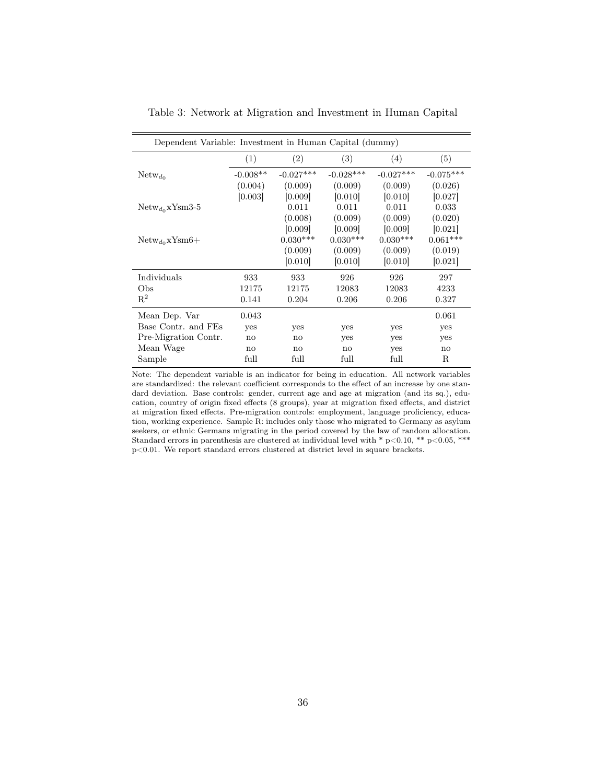| Dependent Variable: Investment in Human Capital (dummy) |                        |                   |             |             |             |  |
|---------------------------------------------------------|------------------------|-------------------|-------------|-------------|-------------|--|
|                                                         | (1)                    | $\left( 2\right)$ | (3)         | (4)         | (5)         |  |
| $Network_{d_0}$                                         | $-0.008**$             | $-0.027***$       | $-0.028***$ | $-0.027***$ | $-0.075***$ |  |
|                                                         | (0.004)                | (0.009)           | (0.009)     | (0.009)     | (0.026)     |  |
|                                                         | [0.003]                | [0.009]           | [0.010]     | [0.010]     | [0.027]     |  |
| $Network_{d_0}$ xYsm3-5                                 |                        | 0.011             | 0.011       | 0.011       | 0.033       |  |
|                                                         |                        | (0.008)           | (0.009)     | (0.009)     | (0.020)     |  |
|                                                         |                        | [0.009]           | [0.009]     | [0.009]     | [0.021]     |  |
| $Network_{d_0}xYsm6+$                                   |                        | $0.030***$        | $0.030***$  | $0.030***$  | $0.061***$  |  |
|                                                         |                        | (0.009)           | (0.009)     | (0.009)     | (0.019)     |  |
|                                                         |                        | [0.010]           | [0.010]     | [0.010]     | [0.021]     |  |
| Individuals                                             | 933                    | 933               | 926         | 926         | 297         |  |
| Obs                                                     | 12175                  | 12175             | 12083       | 12083       | 4233        |  |
| $R^2$                                                   | 0.141                  | 0.204             | 0.206       | 0.206       | 0.327       |  |
| Mean Dep. Var                                           | 0.043                  |                   |             |             | 0.061       |  |
| Base Contr. and FEs                                     | <b>ves</b>             | yes               | yes         | yes         | yes         |  |
| Pre-Migration Contr.                                    | no                     | $\mathbf{n}$      | yes         | yes         | yes         |  |
| Mean Wage                                               | $\mathbf{n}\mathbf{o}$ | no                | no          | yes         | no          |  |
| Sample                                                  | full                   | full              | full        | full        | R           |  |

<span id="page-35-0"></span>Table 3: Network at Migration and Investment in Human Capital

Note: The dependent variable is an indicator for being in education. All network variables are standardized: the relevant coefficient corresponds to the effect of an increase by one standard deviation. Base controls: gender, current age and age at migration (and its sq.), education, country of origin fixed effects (8 groups), year at migration fixed effects, and district at migration fixed effects. Pre-migration controls: employment, language proficiency, education, working experience. Sample R: includes only those who migrated to Germany as asylum seekers, or ethnic Germans migrating in the period covered by the law of random allocation. Standard errors in parenthesis are clustered at individual level with \* p<0.10, \*\* p<0.05, \*\*\*  $\rm p\hspace{-0.05cm}<\hspace{-0.05cm}0.01.$  We report standard errors clustered at district level in square brackets.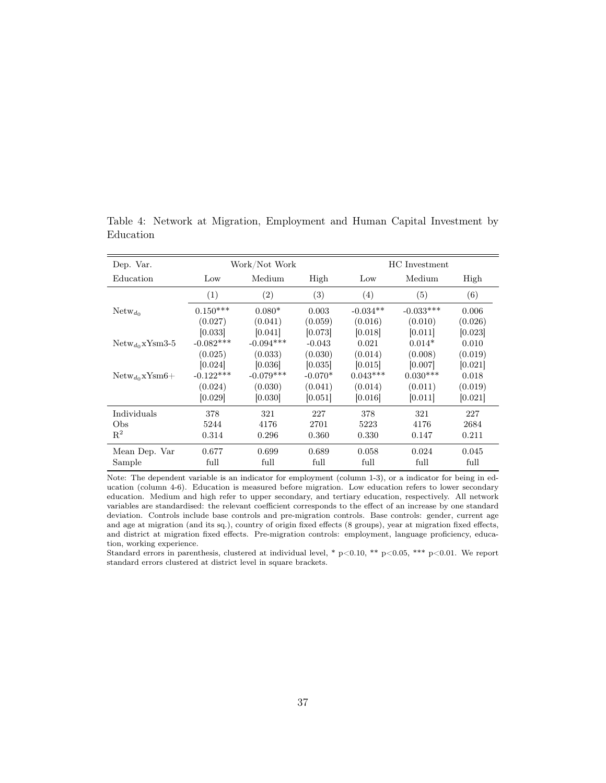| Dep. Var.                  |             | Work/Not Work     |           |            | HC Investment |         |
|----------------------------|-------------|-------------------|-----------|------------|---------------|---------|
| Education                  | Low         | Medium            | High      | Low        | Medium        | High    |
|                            | (1)         | $\left( 2\right)$ | (3)       | (4)        | (5)           | (6)     |
| $Network_{d_0}$            | $0.150***$  | $0.080*$          | 0.003     | $-0.034**$ | $-0.033***$   | 0.006   |
|                            | (0.027)     | (0.041)           | (0.059)   | (0.016)    | (0.010)       | (0.026) |
|                            | [0.033]     | [0.041]           | [0.073]   | [0.018]    | [0.011]       | [0.023] |
| ${\rm Netw}_{d_0}$ xYsm3-5 | $-0.082***$ | $-0.094***$       | $-0.043$  | 0.021      | $0.014*$      | 0.010   |
|                            | (0.025)     | (0.033)           | (0.030)   | (0.014)    | (0.008)       | (0.019) |
|                            | [0.024]     | [0.036]           | [0.035]   | [0.015]    | [0.007]       | [0.021] |
| $Network_{q_0}xYsm6+$      | $-0.122***$ | $-0.079***$       | $-0.070*$ | $0.043***$ | $0.030***$    | 0.018   |
|                            | (0.024)     | (0.030)           | (0.041)   | (0.014)    | (0.011)       | (0.019) |
|                            | [0.029]     | [0.030]           | [0.051]   | [0.016]    | [0.011]       | [0.021] |
| Individuals                | 378         | 321               | 227       | 378        | 321           | 227     |
| Obs                        | 5244        | 4176              | 2701      | 5223       | 4176          | 2684    |
| $\mathbb{R}^2$             | 0.314       | 0.296             | 0.360     | 0.330      | 0.147         | 0.211   |
| Mean Dep. Var              | 0.677       | 0.699             | 0.689     | 0.058      | 0.024         | 0.045   |
| Sample                     | full        | full              | full      | full       | full          | full    |

<span id="page-36-0"></span>Table 4: Network at Migration, Employment and Human Capital Investment by Education

Note: The dependent variable is an indicator for employment (column 1-3), or a indicator for being in education (column 4-6). Education is measured before migration. Low education refers to lower secondary education. Medium and high refer to upper secondary, and tertiary education, respectively. All network variables are standardised: the relevant coefficient corresponds to the effect of an increase by one standard deviation. Controls include base controls and pre-migration controls. Base controls: gender, current age and age at migration (and its sq.), country of origin fixed effects (8 groups), year at migration fixed effects, and district at migration fixed effects. Pre-migration controls: employment, language proficiency, education, working experience.

Standard errors in parenthesis, clustered at individual level, \* p<0.01, \*\* p<0.05, \*\*\* p<0.01. We report standard errors clustered at district level in square brackets.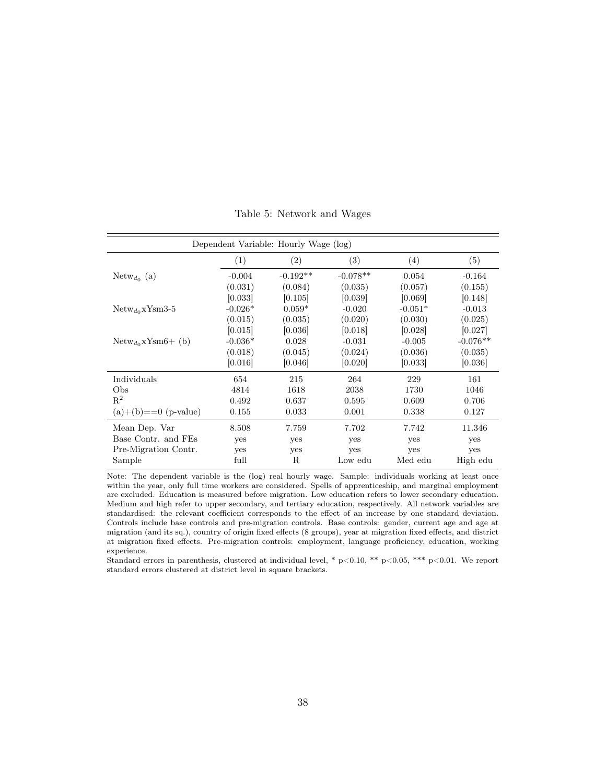<span id="page-37-0"></span>

| Dependent Variable: Hourly Wage (log) |            |            |           |            |  |  |  |
|---------------------------------------|------------|------------|-----------|------------|--|--|--|
| (1)                                   | (2)        | (3)        | (4)       | (5)        |  |  |  |
| $-0.004$                              | $-0.192**$ | $-0.078**$ | 0.054     | $-0.164$   |  |  |  |
| (0.031)                               | (0.084)    | (0.035)    | (0.057)   | (0.155)    |  |  |  |
| [0.033]                               | [0.105]    | [0.039]    | [0.069]   | [0.148]    |  |  |  |
| $-0.026*$                             | $0.059*$   | $-0.020$   | $-0.051*$ | $-0.013$   |  |  |  |
| (0.015)                               | (0.035)    | (0.020)    | (0.030)   | (0.025)    |  |  |  |
| [0.015]                               | [0.036]    | [0.018]    | [0.028]   | [0.027]    |  |  |  |
| $-0.036*$                             | 0.028      | $-0.031$   | $-0.005$  | $-0.076**$ |  |  |  |
| (0.018)                               | (0.045)    | (0.024)    | (0.036)   | (0.035)    |  |  |  |
| [0.016]                               | [0.046]    | [0.020]    | [0.033]   | [0.036]    |  |  |  |
| 654                                   | 215        | 264        | 229       | 161        |  |  |  |
| 4814                                  | 1618       | 2038       | 1730      | 1046       |  |  |  |
| 0.492                                 | 0.637      | 0.595      | 0.609     | 0.706      |  |  |  |
| 0.155                                 | 0.033      | 0.001      | 0.338     | 0.127      |  |  |  |
| 8.508                                 | 7.759      | 7.702      | 7.742     | 11.346     |  |  |  |
| yes                                   | yes        | yes        | yes       | yes        |  |  |  |
| yes                                   | yes        | yes        | yes       | yes        |  |  |  |
| full                                  | R          | Low edu    | Med edu   | High edu   |  |  |  |
|                                       |            |            |           |            |  |  |  |

Table 5: Network and Wages

Note: The dependent variable is the (log) real hourly wage. Sample: individuals working at least once within the year, only full time workers are considered. Spells of apprenticeship, and marginal employment are excluded. Education is measured before migration. Low education refers to lower secondary education. Medium and high refer to upper secondary, and tertiary education, respectively. All network variables are standardised: the relevant coefficient corresponds to the effect of an increase by one standard deviation. Controls include base controls and pre-migration controls. Base controls: gender, current age and age at migration (and its sq.), country of origin fixed effects (8 groups), year at migration fixed effects, and district at migration fixed effects. Pre-migration controls: employment, language proficiency, education, working experience.

Standard errors in parenthesis, clustered at individual level, \* p<0.10, \*\* p<0.05, \*\*\* p<0.01. We report standard errors clustered at district level in square brackets.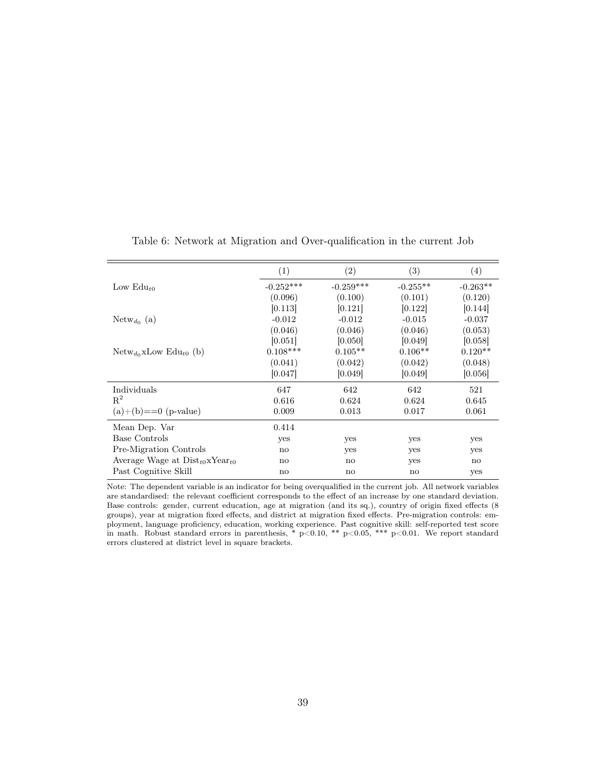|                                              | (1)          | (2)         | (3)          | (4)          |
|----------------------------------------------|--------------|-------------|--------------|--------------|
| Low $Edu_{t0}$                               | $-0.252***$  | $-0.259***$ | $-0.255**$   | $-0.263**$   |
|                                              | (0.096)      | (0.100)     | (0.101)      | (0.120)      |
|                                              | [0.113]      | [0.121]     | [0.122]      | [0.144]      |
| ${\rm Netw}_{d_0}$ (a)                       | $-0.012$     | $-0.012$    | $-0.015$     | $-0.037$     |
|                                              | (0.046)      | (0.046)     | (0.046)      | (0.053)      |
|                                              | [0.051]      | [0.050]     | [0.049]      | [0.058]      |
| ${\rm Netw}_{d_0}$ xLow ${\rm Edu}_{t0}$ (b) | $0.108***$   | $0.105**$   | $0.106**$    | $0.120**$    |
|                                              | (0.041)      | (0.042)     | (0.042)      | (0.048)      |
|                                              | [0.047]      | [0.049]     | [0.049]      | [0.056]      |
| Individuals                                  | 647          | 642         | 642          | 521          |
| $R^2$                                        | 0.616        | 0.624       | 0.624        | 0.645        |
| $(a)+(b) == 0$ (p-value)                     | 0.009        | 0.013       | 0.017        | 0.061        |
| Mean Dep. Var                                | 0.414        |             |              |              |
| Base Controls                                | yes          | yes         | yes          | yes          |
| Pre-Migration Controls                       | no           | yes         | yes          | yes          |
| Average Wage at $Dist_{t0}xYear_{t0}$        | $\mathbf{n}$ | no          | yes          | $\mathbf{n}$ |
| Past Cognitive Skill                         | no           | no          | $\mathbf{n}$ | yes          |
|                                              |              |             |              |              |

<span id="page-38-0"></span>Table 6: Network at Migration and Over-qualification in the current Job

Note: The dependent variable is an indicator for being overqualified in the current job. All network variables are standardised: the relevant coefficient corresponds to the effect of an increase by one standard deviation. Base controls: gender, current education, age at migration (and its sq.), country of origin fixed effects (8 groups), year at migration fixed effects, and district at migration fixed effects. Pre-migration controls: employment, language proficiency, education, working experience. Past cognitive skill: self-reported test score in math. Robust standard errors in parenthesis, \* p<0.10, \*\* p<0.05, \*\*\* p<0.01. We report standard errors clustered at district level in square brackets.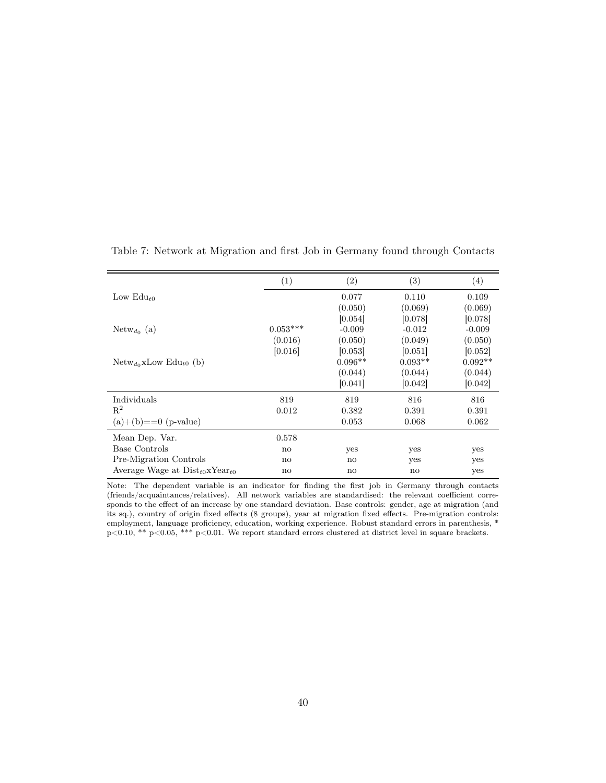|                                              | (1)          | (2)          | (3)       | (4)       |
|----------------------------------------------|--------------|--------------|-----------|-----------|
| Low $Edu_{t0}$                               |              | 0.077        | 0.110     | 0.109     |
|                                              |              | (0.050)      | (0.069)   | (0.069)   |
|                                              |              | [0.054]      | [0.078]   | [0.078]   |
| $Netw_{d_0}$ (a)                             | $0.053***$   | $-0.009$     | $-0.012$  | $-0.009$  |
|                                              | (0.016)      | (0.050)      | (0.049)   | (0.050)   |
|                                              | [0.016]      | 0.053        | [0.051]   | [0.052]   |
| ${\rm Netw}_{d_0}$ xLow ${\rm Edu}_{t0}$ (b) |              | $0.096**$    | $0.093**$ | $0.092**$ |
|                                              |              | (0.044)      | (0.044)   | (0.044)   |
|                                              |              | [0.041]      | [0.042]   | [0.042]   |
| Individuals                                  | 819          | 819          | 816       | 816       |
| $R^2$                                        | 0.012        | 0.382        | 0.391     | 0.391     |
| $(a)+(b) == 0$ (p-value)                     |              | 0.053        | 0.068     | 0.062     |
| Mean Dep. Var.                               | 0.578        |              |           |           |
| Base Controls                                | $\mathbf{n}$ | yes          | yes       | yes       |
| Pre-Migration Controls                       | no           | no           | yes       | yes       |
| Average Wage at $Dist_{t0}xYear_{t0}$        | no           | $\mathbf{n}$ | no        | yes       |

<span id="page-39-0"></span>Table 7: Network at Migration and first Job in Germany found through Contacts

Note: The dependent variable is an indicator for finding the first job in Germany through contacts (friends/acquaintances/relatives). All network variables are standardised: the relevant coefficient corresponds to the effect of an increase by one standard deviation. Base controls: gender, age at migration (and its sq.), country of origin fixed effects (8 groups), year at migration fixed effects. Pre-migration controls: employment, language proficiency, education, working experience. Robust standard errors in parenthesis, \*  $p<0.10$ , \*\*  $p<0.05$ , \*\*\*  $p<0.01$ . We report standard errors clustered at district level in square brackets.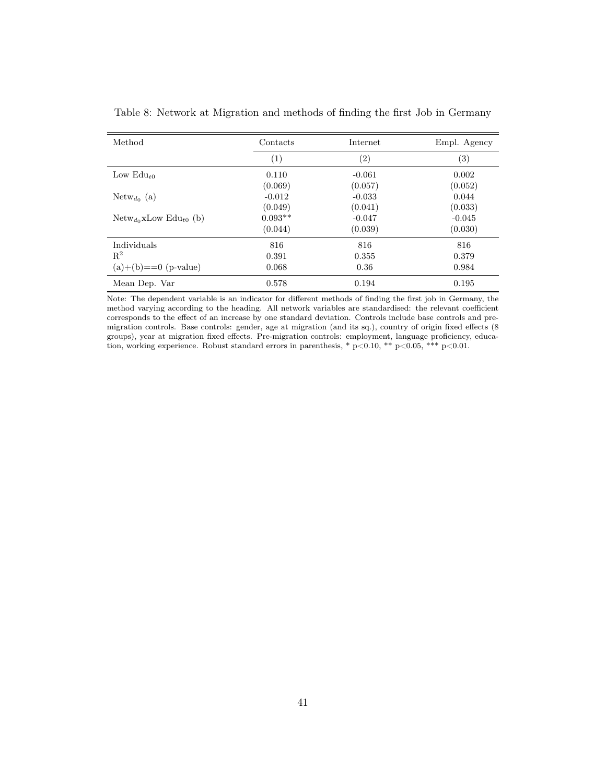| Method                                       | Contacts  | Internet          | Empl. Agency      |
|----------------------------------------------|-----------|-------------------|-------------------|
|                                              | (1)       | $\left( 2\right)$ | $\left( 3\right)$ |
| Low $Edu_{t0}$                               | 0.110     | $-0.061$          | 0.002             |
|                                              | (0.069)   | (0.057)           | (0.052)           |
| $\text{Network}_{d_0}$ (a)                   | $-0.012$  | $-0.033$          | 0.044             |
|                                              | (0.049)   | (0.041)           | (0.033)           |
| ${\rm Netw}_{d_0}$ xLow ${\rm Edu}_{t0}$ (b) | $0.093**$ | $-0.047$          | $-0.045$          |
|                                              | (0.044)   | (0.039)           | (0.030)           |
| Individuals                                  | 816       | 816               | 816               |
| $R^2$                                        | 0.391     | 0.355             | 0.379             |
| $(a)+(b) == 0$ (p-value)                     | 0.068     | 0.36              | 0.984             |
| Mean Dep. Var                                | 0.578     | 0.194             | 0.195             |

<span id="page-40-0"></span>Table 8: Network at Migration and methods of finding the first Job in Germany

Note: The dependent variable is an indicator for different methods of finding the first job in Germany, the method varying according to the heading. All network variables are standardised: the relevant coefficient corresponds to the effect of an increase by one standard deviation. Controls include base controls and premigration controls. Base controls: gender, age at migration (and its sq.), country of origin fixed effects (8 groups), year at migration fixed effects. Pre-migration controls: employment, language proficiency, education, working experience. Robust standard errors in parenthesis, \* p<0.10, \*\* p<0.05, \*\*\* p<0.01.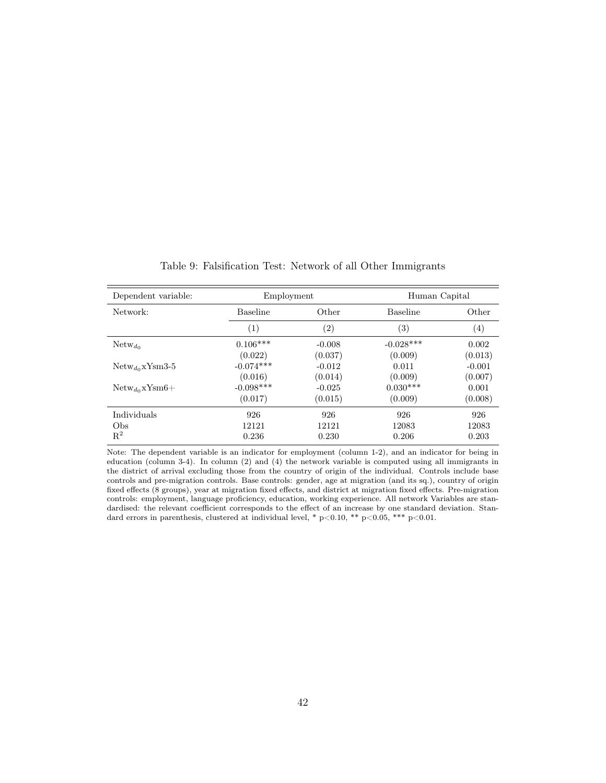<span id="page-41-0"></span>

| Dependent variable:      | Employment       |                   | Human Capital     |                   |
|--------------------------|------------------|-------------------|-------------------|-------------------|
| Network:                 | <b>Baseline</b>  | Other             | <b>Baseline</b>   | Other             |
|                          | $\left(1\right)$ | $\left( 2\right)$ | $\left( 3\right)$ | $\left( 4\right)$ |
| $Network_{d_0}$          | $0.106***$       | $-0.008$          | $-0.028***$       | 0.002             |
|                          | (0.022)          | (0.037)           | (0.009)           | (0.013)           |
| $Network_{do}$ xYsm3-5   | $-0.074***$      | $-0.012$          | 0.011             | $-0.001$          |
|                          | (0.016)          | (0.014)           | (0.009)           | (0.007)           |
| $Network_{do}$ x $Ysm6+$ | $-0.098***$      | $-0.025$          | $0.030***$        | 0.001             |
|                          | (0.017)          | (0.015)           | (0.009)           | (0.008)           |
| Individuals              | 926              | 926               | 926               | 926               |
| Obs                      | 12121            | 12121             | 12083             | 12083             |
| $R^2$                    | 0.236            | 0.230             | 0.206             | 0.203             |

Table 9: Falsification Test: Network of all Other Immigrants

Note: The dependent variable is an indicator for employment (column 1-2), and an indicator for being in education (column 3-4). In column (2) and (4) the network variable is computed using all immigrants in the district of arrival excluding those from the country of origin of the individual. Controls include base controls and pre-migration controls. Base controls: gender, age at migration (and its sq.), country of origin fixed effects (8 groups), year at migration fixed effects, and district at migration fixed effects. Pre-migration controls: employment, language proficiency, education, working experience. All network Variables are standardised: the relevant coefficient corresponds to the effect of an increase by one standard deviation. Standard errors in parenthesis, clustered at individual level, \* p<0.10, \*\* p<0.05, \*\*\* p<0.01.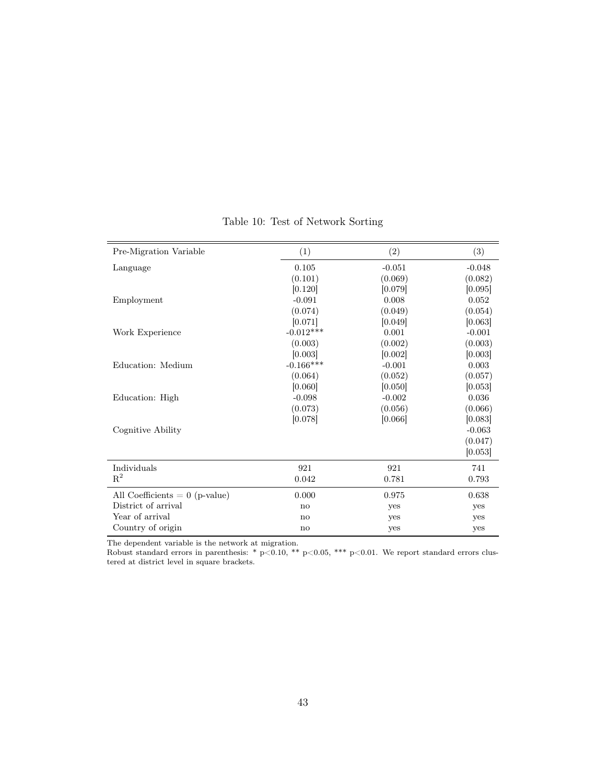<span id="page-42-0"></span>

| Pre-Migration Variable           | (1)         | (2)      | (3)      |
|----------------------------------|-------------|----------|----------|
| Language                         | 0.105       | $-0.051$ | $-0.048$ |
|                                  | (0.101)     | (0.069)  | (0.082)  |
|                                  | [0.120]     | [0.079]  | [0.095]  |
| Employment                       | $-0.091$    | 0.008    | 0.052    |
|                                  | (0.074)     | (0.049)  | (0.054)  |
|                                  | [0.071]     | [0.049]  | [0.063]  |
| Work Experience                  | $-0.012***$ | 0.001    | $-0.001$ |
|                                  | (0.003)     | (0.002)  | (0.003)  |
|                                  | [0.003]     | [0.002]  | [0.003]  |
| Education: Medium                | $-0.166***$ | $-0.001$ | 0.003    |
|                                  | (0.064)     | (0.052)  | (0.057)  |
|                                  | [0.060]     | [0.050]  | [0.053]  |
| Education: High                  | $-0.098$    | $-0.002$ | 0.036    |
|                                  | (0.073)     | (0.056)  | (0.066)  |
|                                  | [0.078]     | [0.066]  | [0.083]  |
| Cognitive Ability                |             |          | $-0.063$ |
|                                  |             |          | (0.047)  |
|                                  |             |          | [0.053]  |
| Individuals                      | 921         | 921      | 741      |
| $R^2$                            | 0.042       | 0.781    | 0.793    |
| All Coefficients $= 0$ (p-value) | 0.000       | 0.975    | 0.638    |
| District of arrival              | no          | yes      | yes      |
| Year of arrival                  | no          | yes      | yes      |
| Country of origin                | no          | yes      | yes      |

Table 10: Test of Network Sorting

The dependent variable is the network at migration.

Robust standard errors in parenthesis: \*  $p<0.10$ , \*\*  $p<0.05$ , \*\*\*  $p<0.01$ . We report standard errors clustered at district level in square brackets.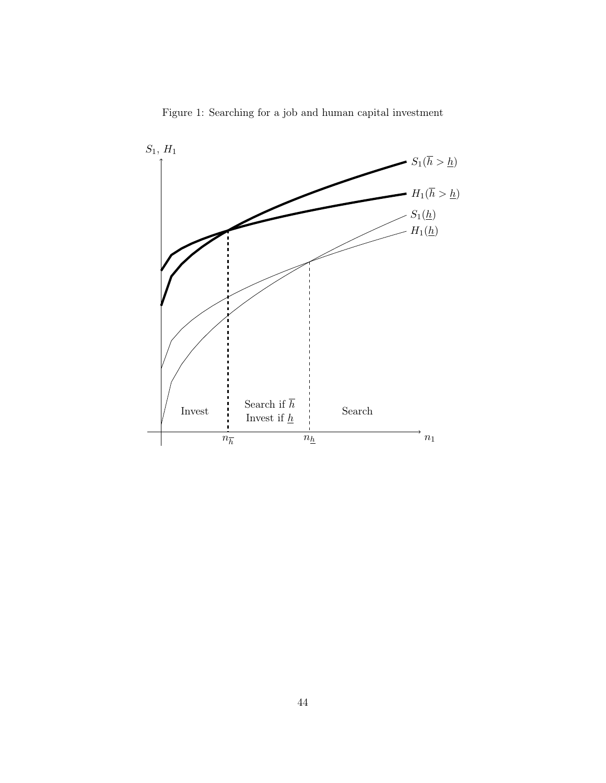<span id="page-43-0"></span>

Figure 1: Searching for a job and human capital investment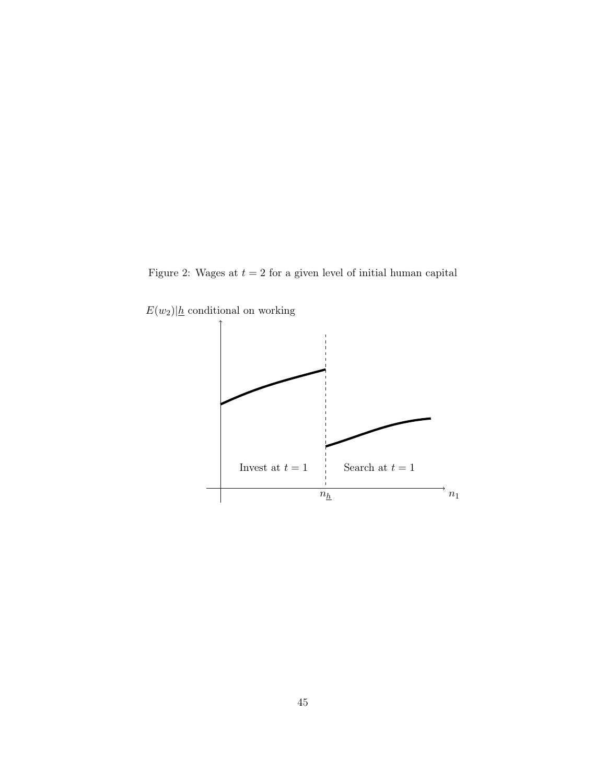<span id="page-44-0"></span>Figure 2: Wages at  $t = 2$  for a given level of initial human capital



 $E(w_2)|\underline{h}$  conditional on working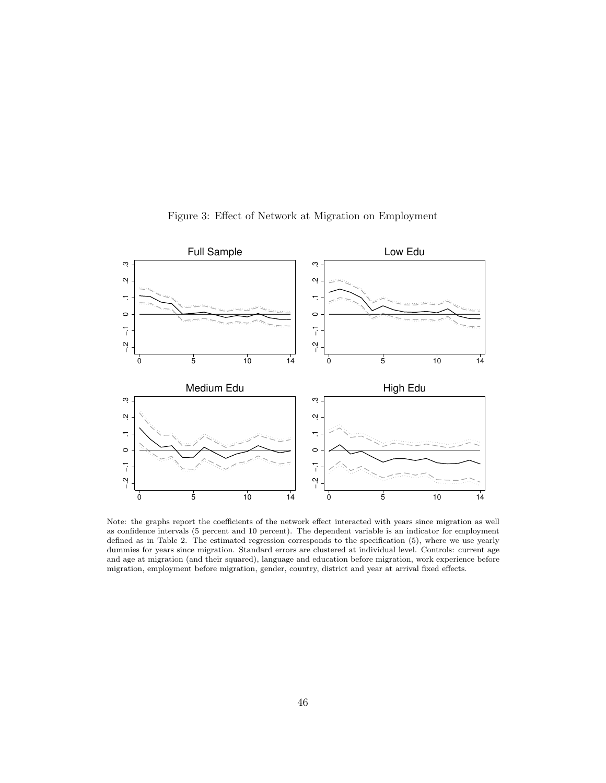<span id="page-45-0"></span>

Figure 3: Effect of Network at Migration on Employment

Note: the graphs report the coefficients of the network effect interacted with years since migration as well as confidence intervals (5 percent and 10 percent). The dependent variable is an indicator for employment defined as in Table [2.](#page-34-0) The estimated regression corresponds to the specification [\(5\)](#page-19-0), where we use yearly dummies for years since migration. Standard errors are clustered at individual level. Controls: current age and age at migration (and their squared), language and education before migration, work experience before migration, employment before migration, gender, country, district and year at arrival fixed effects.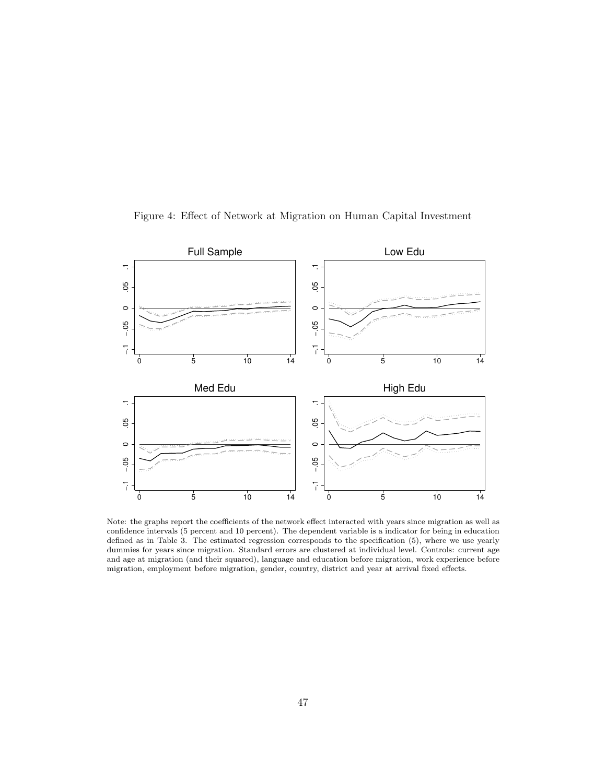

<span id="page-46-0"></span>Figure 4: Effect of Network at Migration on Human Capital Investment

Note: the graphs report the coefficients of the network effect interacted with years since migration as well as confidence intervals (5 percent and 10 percent). The dependent variable is a indicator for being in education defined as in Table [3.](#page-35-0) The estimated regression corresponds to the specification [\(5\)](#page-19-0), where we use yearly dummies for years since migration. Standard errors are clustered at individual level. Controls: current age and age at migration (and their squared), language and education before migration, work experience before migration, employment before migration, gender, country, district and year at arrival fixed effects.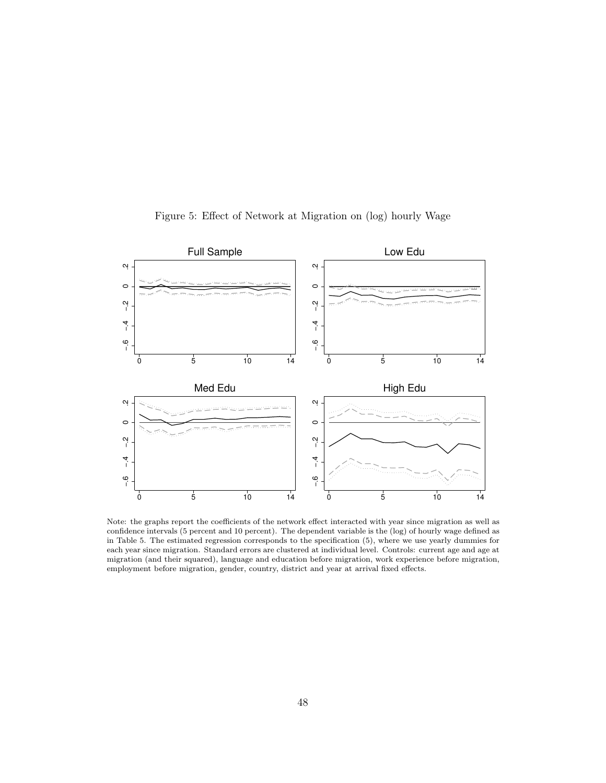<span id="page-47-0"></span>

Figure 5: Effect of Network at Migration on (log) hourly Wage

Note: the graphs report the coefficients of the network effect interacted with year since migration as well as confidence intervals (5 percent and 10 percent). The dependent variable is the (log) of hourly wage defined as in Table [5.](#page-37-0) The estimated regression corresponds to the specification [\(5\)](#page-19-0), where we use yearly dummies for each year since migration. Standard errors are clustered at individual level. Controls: current age and age at migration (and their squared), language and education before migration, work experience before migration, employment before migration, gender, country, district and year at arrival fixed effects.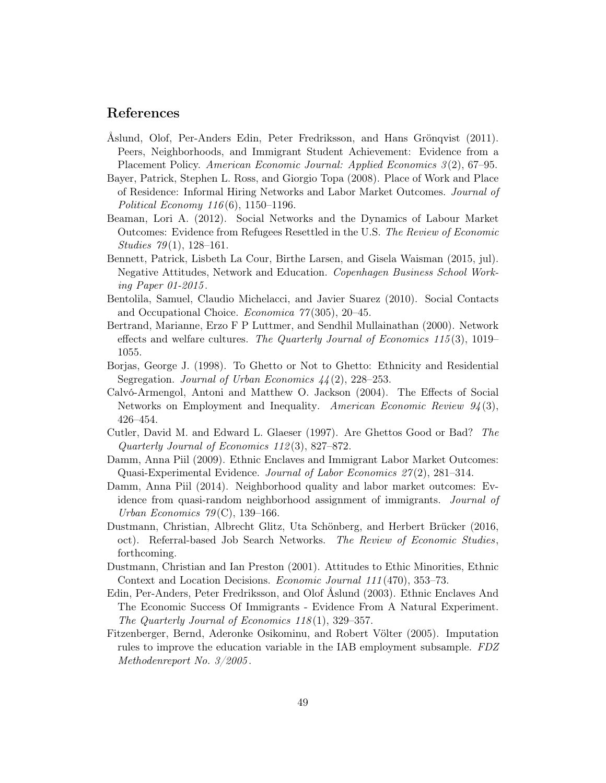## References

- <span id="page-48-12"></span>Åslund, Olof, Per-Anders Edin, Peter Fredriksson, and Hans Grönqvist (2011). Peers, Neighborhoods, and Immigrant Student Achievement: Evidence from a Placement Policy. American Economic Journal: Applied Economics 3 (2), 67–95.
- <span id="page-48-9"></span>Bayer, Patrick, Stephen L. Ross, and Giorgio Topa (2008). Place of Work and Place of Residence: Informal Hiring Networks and Labor Market Outcomes. Journal of Political Economy 116 (6), 1150–1196.
- <span id="page-48-8"></span>Beaman, Lori A. (2012). Social Networks and the Dynamics of Labour Market Outcomes: Evidence from Refugees Resettled in the U.S. The Review of Economic Studies  $79(1)$ , 128-161.
- <span id="page-48-11"></span>Bennett, Patrick, Lisbeth La Cour, Birthe Larsen, and Gisela Waisman (2015, jul). Negative Attitudes, Network and Education. Copenhagen Business School Working Paper 01-2015 .
- <span id="page-48-14"></span>Bentolila, Samuel, Claudio Michelacci, and Javier Suarez (2010). Social Contacts and Occupational Choice. Economica 77 (305), 20–45.
- <span id="page-48-3"></span>Bertrand, Marianne, Erzo F P Luttmer, and Sendhil Mullainathan (2000). Network effects and welfare cultures. The Quarterly Journal of Economics  $115(3)$ ,  $1019-$ 1055.
- <span id="page-48-1"></span>Borjas, George J. (1998). To Ghetto or Not to Ghetto: Ethnicity and Residential Segregation. Journal of Urban Economics  $44(2)$ , 228–253.
- <span id="page-48-7"></span>Calvó-Armengol, Antoni and Matthew O. Jackson (2004). The Effects of Social Networks on Employment and Inequality. American Economic Review  $94(3)$ , 426–454.
- <span id="page-48-0"></span>Cutler, David M. and Edward L. Glaeser (1997). Are Ghettos Good or Bad? The Quarterly Journal of Economics 112 (3), 827–872.
- <span id="page-48-5"></span>Damm, Anna Piil (2009). Ethnic Enclaves and Immigrant Labor Market Outcomes: Quasi-Experimental Evidence. Journal of Labor Economics 27 (2), 281–314.
- <span id="page-48-10"></span>Damm, Anna Piil (2014). Neighborhood quality and labor market outcomes: Evidence from quasi-random neighborhood assignment of immigrants. Journal of Urban Economics  $79^{\circ}$ C), 139–166.
- <span id="page-48-6"></span>Dustmann, Christian, Albrecht Glitz, Uta Schönberg, and Herbert Brücker (2016, oct). Referral-based Job Search Networks. The Review of Economic Studies, forthcoming.
- <span id="page-48-4"></span>Dustmann, Christian and Ian Preston (2001). Attitudes to Ethic Minorities, Ethnic Context and Location Decisions. Economic Journal 111 (470), 353–73.
- <span id="page-48-2"></span>Edin, Per-Anders, Peter Fredriksson, and Olof Åslund (2003). Ethnic Enclaves And The Economic Success Of Immigrants - Evidence From A Natural Experiment. The Quarterly Journal of Economics 118 (1), 329–357.
- <span id="page-48-13"></span>Fitzenberger, Bernd, Aderonke Osikominu, and Robert Völter (2005). Imputation rules to improve the education variable in the IAB employment subsample. FDZ Methodenreport No. 3/2005 .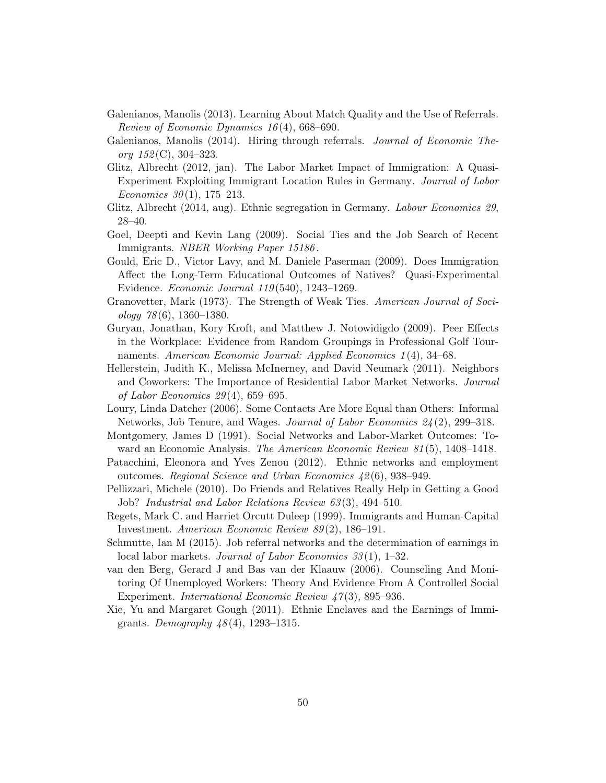- <span id="page-49-3"></span>Galenianos, Manolis (2013). Learning About Match Quality and the Use of Referrals. Review of Economic Dynamics 16 (4), 668–690.
- <span id="page-49-4"></span>Galenianos, Manolis (2014). Hiring through referrals. Journal of Economic Theory  $152(C)$ , 304–323.
- <span id="page-49-2"></span>Glitz, Albrecht (2012, jan). The Labor Market Impact of Immigration: A Quasi-Experiment Exploiting Immigrant Location Rules in Germany. Journal of Labor Economics  $30(1)$ , 175–213.
- <span id="page-49-0"></span>Glitz, Albrecht (2014, aug). Ethnic segregation in Germany. Labour Economics 29, 28–40.
- <span id="page-49-1"></span>Goel, Deepti and Kevin Lang (2009). Social Ties and the Job Search of Recent Immigrants. NBER Working Paper 15186 .
- <span id="page-49-8"></span>Gould, Eric D., Victor Lavy, and M. Daniele Paserman (2009). Does Immigration Affect the Long-Term Educational Outcomes of Natives? Quasi-Experimental Evidence. Economic Journal 119 (540), 1243–1269.
- <span id="page-49-13"></span>Granovetter, Mark (1973). The Strength of Weak Ties. American Journal of Soci $ology 78(6), 1360-1380.$
- <span id="page-49-15"></span>Guryan, Jonathan, Kory Kroft, and Matthew J. Notowidigdo (2009). Peer Effects in the Workplace: Evidence from Random Groupings in Professional Golf Tournaments. American Economic Journal: Applied Economics 1(4), 34–68.
- <span id="page-49-6"></span>Hellerstein, Judith K., Melissa McInerney, and David Neumark (2011). Neighbors and Coworkers: The Importance of Residential Labor Market Networks. Journal of Labor Economics 29 (4), 659–695.
- <span id="page-49-14"></span>Loury, Linda Datcher (2006). Some Contacts Are More Equal than Others: Informal Networks, Job Tenure, and Wages. Journal of Labor Economics 24 (2), 299–318.
- <span id="page-49-10"></span>Montgomery, James D (1991). Social Networks and Labor-Market Outcomes: Toward an Economic Analysis. The American Economic Review 81 (5), 1408–1418.
- <span id="page-49-9"></span>Patacchini, Eleonora and Yves Zenou (2012). Ethnic networks and employment outcomes. Regional Science and Urban Economics 42 (6), 938–949.
- <span id="page-49-7"></span>Pellizzari, Michele (2010). Do Friends and Relatives Really Help in Getting a Good Job? Industrial and Labor Relations Review 63 (3), 494–510.
- <span id="page-49-12"></span>Regets, Mark C. and Harriet Orcutt Duleep (1999). Immigrants and Human-Capital Investment. American Economic Review 89 (2), 186–191.
- <span id="page-49-16"></span>Schmutte, Ian M (2015). Job referral networks and the determination of earnings in local labor markets. *Journal of Labor Economics* 33(1), 1–32.
- <span id="page-49-11"></span>van den Berg, Gerard J and Bas van der Klaauw (2006). Counseling And Monitoring Of Unemployed Workers: Theory And Evidence From A Controlled Social Experiment. *International Economic Review 47(3)*, 895–936.
- <span id="page-49-5"></span>Xie, Yu and Margaret Gough (2011). Ethnic Enclaves and the Earnings of Immigrants. *Demography*  $48(4)$ , 1293–1315.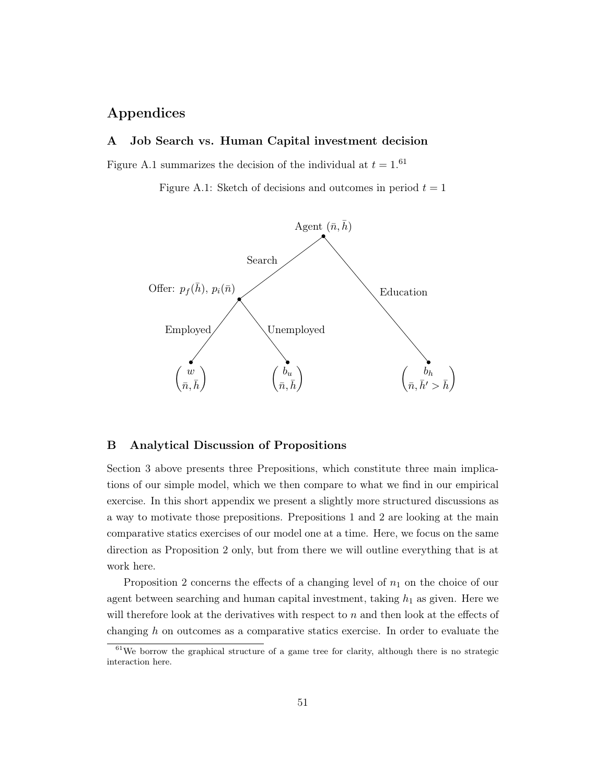## Appendices

### A Job Search vs. Human Capital investment decision

<span id="page-50-0"></span>Figure [A.1](#page-50-0) summarizes the decision of the individual at  $t = 1.61$  $t = 1.61$ 

Figure A.1: Sketch of decisions and outcomes in period  $t = 1$ 



#### <span id="page-50-1"></span>B Analytical Discussion of Propositions

Section [3](#page-7-0) above presents three Prepositions, which constitute three main implications of our simple model, which we then compare to what we find in our empirical exercise. In this short appendix we present a slightly more structured discussions as a way to motivate those prepositions. Prepositions [1](#page-11-1) and [2](#page-12-2) are looking at the main comparative statics exercises of our model one at a time. Here, we focus on the same direction as Proposition [2](#page-12-2) only, but from there we will outline everything that is at work here.

Proposition [2](#page-12-2) concerns the effects of a changing level of  $n_1$  on the choice of our agent between searching and human capital investment, taking  $h_1$  as given. Here we will therefore look at the derivatives with respect to  $n$  and then look at the effects of changing h on outcomes as a comparative statics exercise. In order to evaluate the

<span id="page-50-2"></span> $61$ We borrow the graphical structure of a game tree for clarity, although there is no strategic interaction here.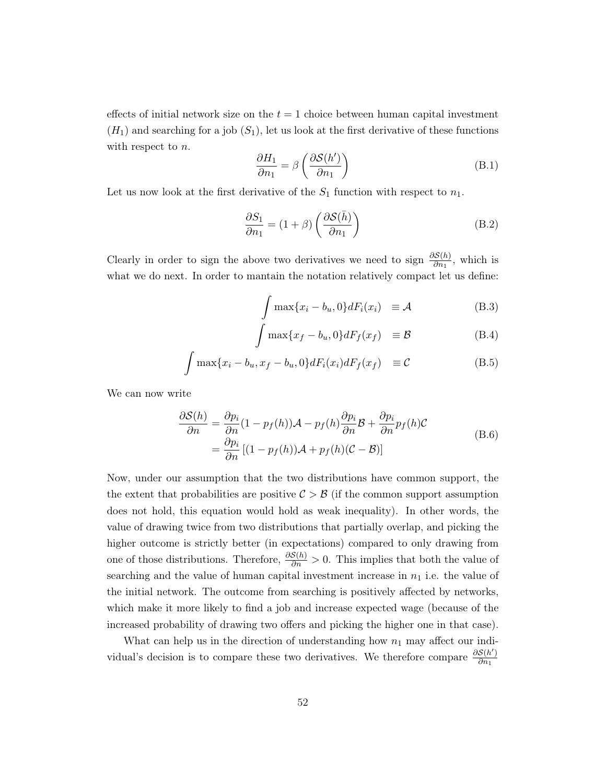effects of initial network size on the  $t = 1$  choice between human capital investment  $(H_1)$  and searching for a job  $(S_1)$ , let us look at the first derivative of these functions with respect to n.

$$
\frac{\partial H_1}{\partial n_1} = \beta \left( \frac{\partial S(h')}{\partial n_1} \right) \tag{B.1}
$$

Let us now look at the first derivative of the  $S_1$  function with respect to  $n_1$ .

J

$$
\frac{\partial S_1}{\partial n_1} = (1 + \beta) \left( \frac{\partial \mathcal{S}(\bar{h})}{\partial n_1} \right) \tag{B.2}
$$

Clearly in order to sign the above two derivatives we need to sign  $\frac{\partial S(h)}{\partial n_1}$ , which is what we do next. In order to mantain the notation relatively compact let us define:

$$
\int \max\{x_i - b_u, 0\} dF_i(x_i) \equiv \mathcal{A}
$$
\n(B.3)

$$
\int \max\{x_f - b_u, 0\} dF_f(x_f) \quad \equiv \mathcal{B} \tag{B.4}
$$

$$
\int \max\{x_i - b_u, x_f - b_u, 0\} dF_i(x_i) dF_f(x_f) \equiv \mathcal{C}
$$
\n(B.5)

We can now write

$$
\frac{\partial S(h)}{\partial n} = \frac{\partial p_i}{\partial n} (1 - p_f(h)) \mathcal{A} - p_f(h) \frac{\partial p_i}{\partial n} \mathcal{B} + \frac{\partial p_i}{\partial n} p_f(h) \mathcal{C}
$$
\n
$$
= \frac{\partial p_i}{\partial n} [(1 - p_f(h)) \mathcal{A} + p_f(h) (\mathcal{C} - \mathcal{B})]
$$
\n(B.6)

Now, under our assumption that the two distributions have common support, the the extent that probabilities are positive  $C > B$  (if the common support assumption does not hold, this equation would hold as weak inequality). In other words, the value of drawing twice from two distributions that partially overlap, and picking the higher outcome is strictly better (in expectations) compared to only drawing from one of those distributions. Therefore,  $\frac{\partial S(h)}{\partial n} > 0$ . This implies that both the value of searching and the value of human capital investment increase in  $n_1$  i.e. the value of the initial network. The outcome from searching is positively affected by networks, which make it more likely to find a job and increase expected wage (because of the increased probability of drawing two offers and picking the higher one in that case).

What can help us in the direction of understanding how  $n_1$  may affect our individual's decision is to compare these two derivatives. We therefore compare  $\frac{\partial S(h')}{\partial m}$  $\overline{\partial n_1}$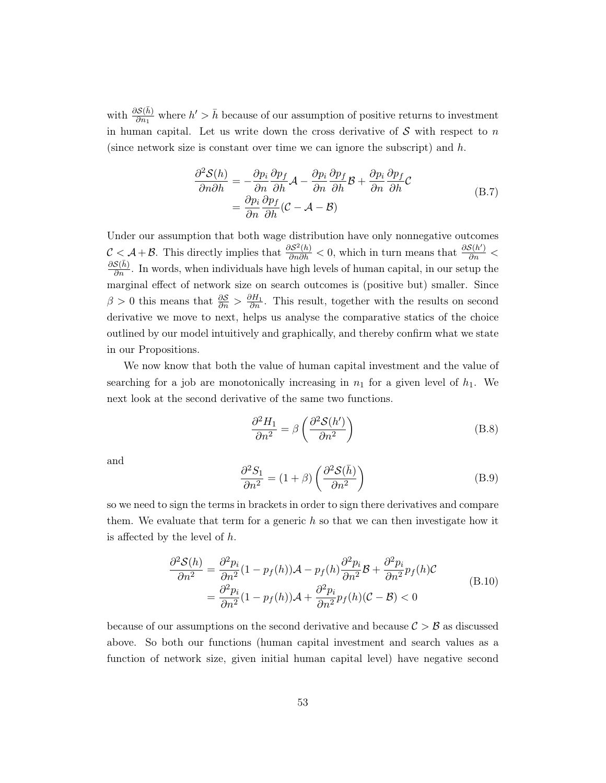with  $\frac{\partial S(\bar{h})}{\partial n_1}$  where  $h' > \bar{h}$  because of our assumption of positive returns to investment in human capital. Let us write down the cross derivative of  $S$  with respect to n (since network size is constant over time we can ignore the subscript) and  $h$ .

$$
\frac{\partial^2 \mathcal{S}(h)}{\partial n \partial h} = -\frac{\partial p_i}{\partial n} \frac{\partial p_f}{\partial h} \mathcal{A} - \frac{\partial p_i}{\partial n} \frac{\partial p_f}{\partial h} \mathcal{B} + \frac{\partial p_i}{\partial n} \frac{\partial p_f}{\partial h} \mathcal{C}
$$
\n
$$
= \frac{\partial p_i}{\partial n} \frac{\partial p_f}{\partial h} (\mathcal{C} - \mathcal{A} - \mathcal{B})
$$
\n(B.7)

<span id="page-52-0"></span>Under our assumption that both wage distribution have only nonnegative outcomes  $\mathcal{C} \leq \mathcal{A} + \mathcal{B}$ . This directly implies that  $\frac{\partial \mathcal{S}^2(h)}{\partial n \partial h} < 0$ , which in turn means that  $\frac{\partial \mathcal{S}(h')}{\partial n} <$  $\frac{\partial \mathcal{S}(\bar{h})}{\partial n}$ . In words, when individuals have high levels of human capital, in our setup the marginal effect of network size on search outcomes is (positive but) smaller. Since  $\beta > 0$  this means that  $\frac{\partial S}{\partial n} > \frac{\partial H_1}{\partial n}$ . This result, together with the results on second derivative we move to next, helps us analyse the comparative statics of the choice outlined by our model intuitively and graphically, and thereby confirm what we state in our Propositions.

We now know that both the value of human capital investment and the value of searching for a job are monotonically increasing in  $n_1$  for a given level of  $h_1$ . We next look at the second derivative of the same two functions.

$$
\frac{\partial^2 H_1}{\partial n^2} = \beta \left( \frac{\partial^2 S(h')}{\partial n^2} \right) \tag{B.8}
$$

and

$$
\frac{\partial^2 S_1}{\partial n^2} = (1+\beta) \left( \frac{\partial^2 S(\bar{h})}{\partial n^2} \right)
$$
 (B.9)

so we need to sign the terms in brackets in order to sign there derivatives and compare them. We evaluate that term for a generic  $h$  so that we can then investigate how it is affected by the level of  $h$ .

$$
\frac{\partial^2 \mathcal{S}(h)}{\partial n^2} = \frac{\partial^2 p_i}{\partial n^2} (1 - p_f(h)) \mathcal{A} - p_f(h) \frac{\partial^2 p_i}{\partial n^2} \mathcal{B} + \frac{\partial^2 p_i}{\partial n^2} p_f(h) \mathcal{C}
$$
\n
$$
= \frac{\partial^2 p_i}{\partial n^2} (1 - p_f(h)) \mathcal{A} + \frac{\partial^2 p_i}{\partial n^2} p_f(h) (\mathcal{C} - \mathcal{B}) < 0
$$
\n(B.10)

because of our assumptions on the second derivative and because  $\mathcal{C} > \mathcal{B}$  as discussed above. So both our functions (human capital investment and search values as a function of network size, given initial human capital level) have negative second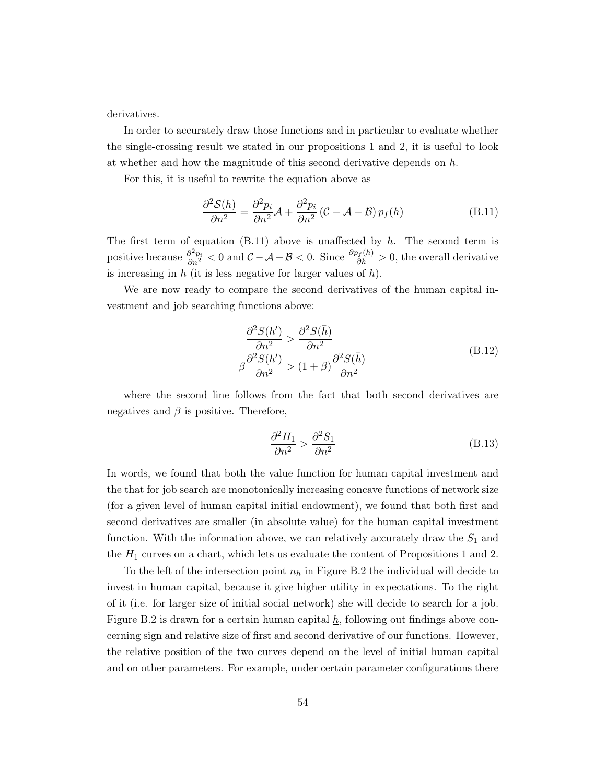derivatives.

In order to accurately draw those functions and in particular to evaluate whether the single-crossing result we stated in our propositions [1](#page-11-1) and [2,](#page-12-2) it is useful to look at whether and how the magnitude of this second derivative depends on  $h$ .

For this, it is useful to rewrite the equation above as

<span id="page-53-0"></span>
$$
\frac{\partial^2 \mathcal{S}(h)}{\partial n^2} = \frac{\partial^2 p_i}{\partial n^2} \mathcal{A} + \frac{\partial^2 p_i}{\partial n^2} (\mathcal{C} - \mathcal{A} - \mathcal{B}) p_f(h)
$$
(B.11)

The first term of equation  $(B.11)$  above is unaffected by h. The second term is positive because  $\frac{\partial^2 p_i}{\partial n^2} < 0$  and  $\mathcal{C} - \mathcal{A} - \mathcal{B} < 0$ . Since  $\frac{\partial p_f(h)}{\partial h} > 0$ , the overall derivative is increasing in  $h$  (it is less negative for larger values of  $h$ ).

We are now ready to compare the second derivatives of the human capital investment and job searching functions above:

$$
\frac{\partial^2 S(h')}{\partial n^2} > \frac{\partial^2 S(\bar{h})}{\partial n^2} \beta \frac{\partial^2 S(h')}{\partial n^2} > (1+\beta) \frac{\partial^2 S(\bar{h})}{\partial n^2}
$$
\n(B.12)

where the second line follows from the fact that both second derivatives are negatives and  $\beta$  is positive. Therefore,

$$
\frac{\partial^2 H_1}{\partial n^2} > \frac{\partial^2 S_1}{\partial n^2} \tag{B.13}
$$

In words, we found that both the value function for human capital investment and the that for job search are monotonically increasing concave functions of network size (for a given level of human capital initial endowment), we found that both first and second derivatives are smaller (in absolute value) for the human capital investment function. With the information above, we can relatively accurately draw the  $S_1$  and the  $H_1$  curves on a chart, which lets us evaluate the content of Propositions 1 and 2.

To the left of the intersection point  $n_h$  in Figure [B.2](#page-54-0) the individual will decide to invest in human capital, because it give higher utility in expectations. To the right of it (i.e. for larger size of initial social network) she will decide to search for a job. Figure [B.2](#page-54-0) is drawn for a certain human capital  $h$ , following out findings above concerning sign and relative size of first and second derivative of our functions. However, the relative position of the two curves depend on the level of initial human capital and on other parameters. For example, under certain parameter configurations there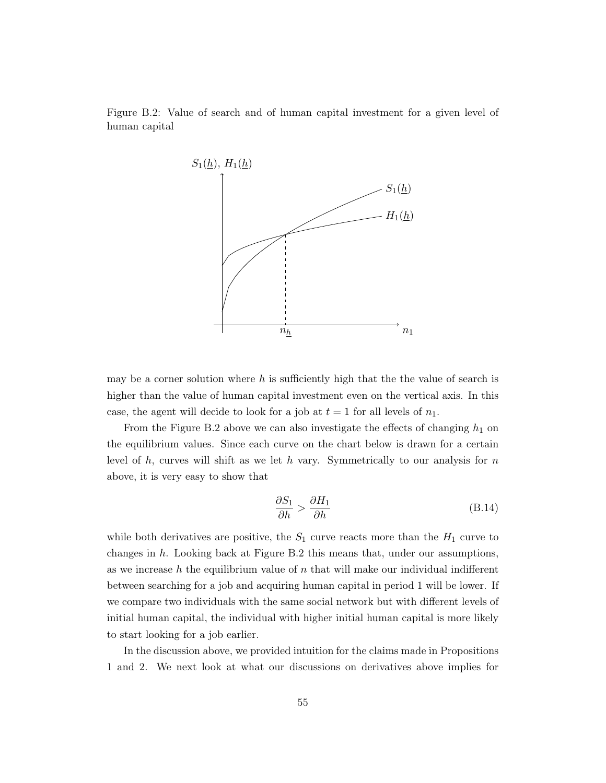<span id="page-54-0"></span>Figure B.2: Value of search and of human capital investment for a given level of human capital



may be a corner solution where  $h$  is sufficiently high that the value of search is higher than the value of human capital investment even on the vertical axis. In this case, the agent will decide to look for a job at  $t = 1$  for all levels of  $n_1$ .

From the Figure [B.2](#page-54-0) above we can also investigate the effects of changing  $h_1$  on the equilibrium values. Since each curve on the chart below is drawn for a certain level of h, curves will shift as we let h vary. Symmetrically to our analysis for  $n$ above, it is very easy to show that

$$
\frac{\partial S_1}{\partial h} > \frac{\partial H_1}{\partial h} \tag{B.14}
$$

while both derivatives are positive, the  $S_1$  curve reacts more than the  $H_1$  curve to changes in  $h$ . Looking back at Figure [B.2](#page-54-0) this means that, under our assumptions, as we increase  $h$  the equilibrium value of  $n$  that will make our individual indifferent between searching for a job and acquiring human capital in period 1 will be lower. If we compare two individuals with the same social network but with different levels of initial human capital, the individual with higher initial human capital is more likely to start looking for a job earlier.

In the discussion above, we provided intuition for the claims made in Propositions [1](#page-11-1) and [2.](#page-12-2) We next look at what our discussions on derivatives above implies for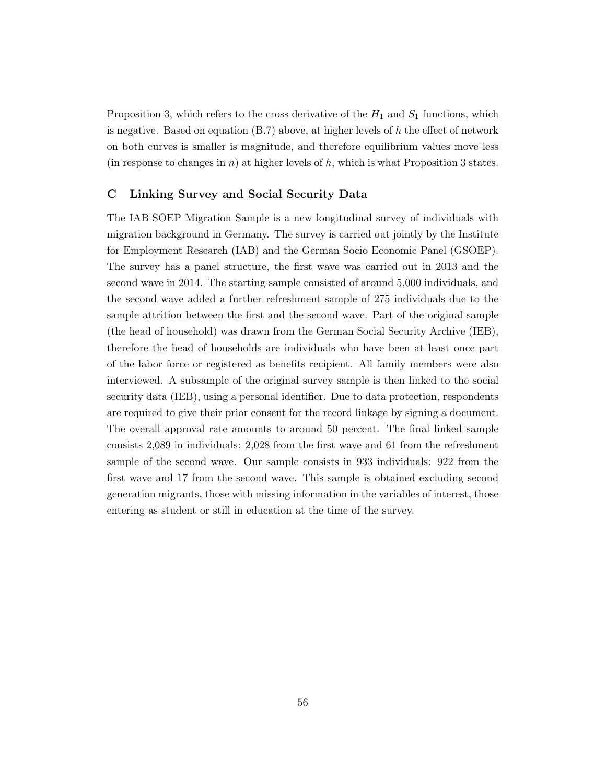Proposition [3,](#page-12-3) which refers to the cross derivative of the  $H_1$  and  $S_1$  functions, which is negative. Based on equation  $(B.7)$  above, at higher levels of h the effect of network on both curves is smaller is magnitude, and therefore equilibrium values move less (in response to changes in n) at higher levels of h, which is what Proposition [3](#page-12-3) states.

#### <span id="page-55-0"></span>C Linking Survey and Social Security Data

The IAB-SOEP Migration Sample is a new longitudinal survey of individuals with migration background in Germany. The survey is carried out jointly by the Institute for Employment Research (IAB) and the German Socio Economic Panel (GSOEP). The survey has a panel structure, the first wave was carried out in 2013 and the second wave in 2014. The starting sample consisted of around 5,000 individuals, and the second wave added a further refreshment sample of 275 individuals due to the sample attrition between the first and the second wave. Part of the original sample (the head of household) was drawn from the German Social Security Archive (IEB), therefore the head of households are individuals who have been at least once part of the labor force or registered as benefits recipient. All family members were also interviewed. A subsample of the original survey sample is then linked to the social security data (IEB), using a personal identifier. Due to data protection, respondents are required to give their prior consent for the record linkage by signing a document. The overall approval rate amounts to around 50 percent. The final linked sample consists 2,089 in individuals: 2,028 from the first wave and 61 from the refreshment sample of the second wave. Our sample consists in 933 individuals: 922 from the first wave and 17 from the second wave. This sample is obtained excluding second generation migrants, those with missing information in the variables of interest, those entering as student or still in education at the time of the survey.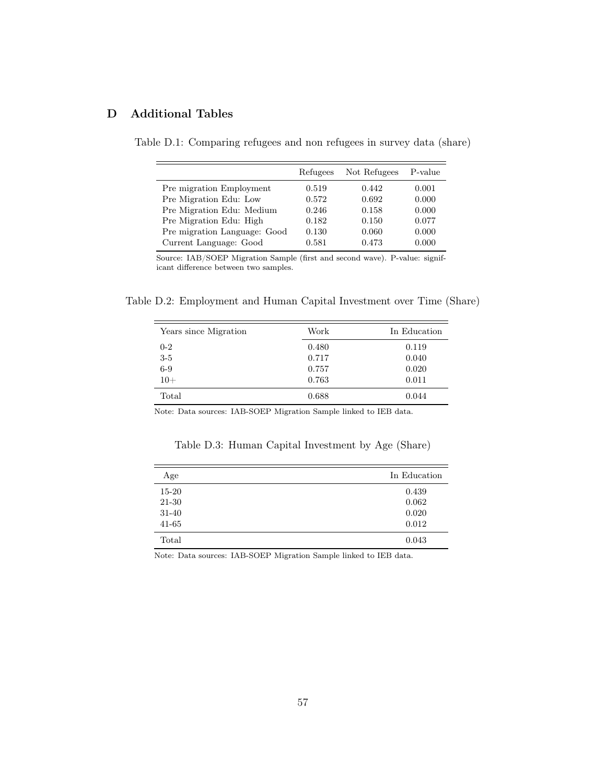## <span id="page-56-1"></span><span id="page-56-0"></span>D Additional Tables

|                              | Refugees | Not Refugees | P-value |
|------------------------------|----------|--------------|---------|
| Pre migration Employment     | 0.519    | 0.442        | 0.001   |
| Pre Migration Edu: Low       | 0.572    | 0.692        | 0.000   |
| Pre Migration Edu: Medium    | 0.246    | 0.158        | 0.000   |
| Pre Migration Edu: High      | 0.182    | 0.150        | 0.077   |
| Pre migration Language: Good | 0.130    | 0.060        | 0.000   |
| Current Language: Good       | 0.581    | 0.473        | 0.000   |

Table D.1: Comparing refugees and non refugees in survey data (share)

Source: IAB/SOEP Migration Sample (first and second wave). P-value: significant difference between two samples.

<span id="page-56-2"></span>Table D.2: Employment and Human Capital Investment over Time (Share)

| Years since Migration | Work  | In Education |
|-----------------------|-------|--------------|
| $0-2$                 | 0.480 | 0.119        |
| $3-5$                 | 0.717 | 0.040        |
| $6-9$                 | 0.757 | 0.020        |
| $10+$                 | 0.763 | 0.011        |
| Total                 | 0.688 | 0.044        |

<span id="page-56-3"></span>Note: Data sources: IAB-SOEP Migration Sample linked to IEB data.

Table D.3: Human Capital Investment by Age (Share)

| Age       | In Education |
|-----------|--------------|
| $15 - 20$ | 0.439        |
| 21-30     | 0.062        |
| 31-40     | 0.020        |
| $41 - 65$ | 0.012        |
| Total     | 0.043        |

Note: Data sources: IAB-SOEP Migration Sample linked to IEB data.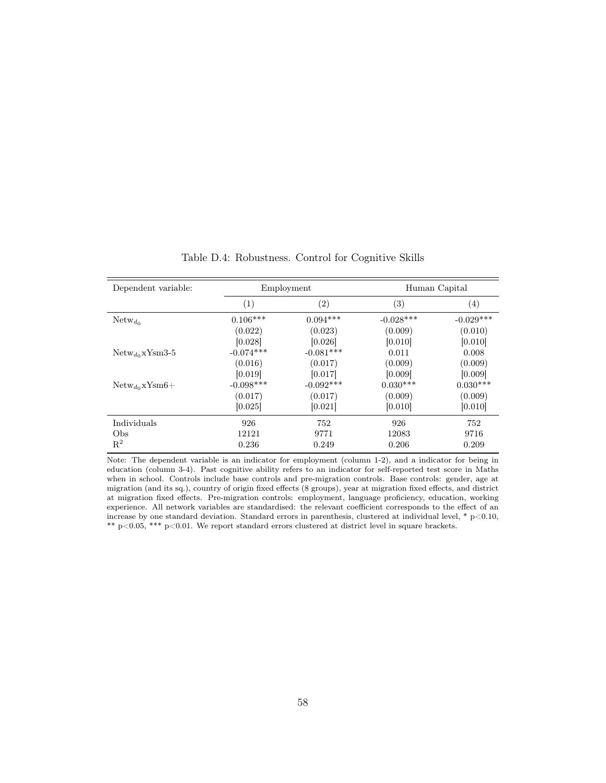<span id="page-57-0"></span>

| Dependent variable:      |                   | Employment        |                   | Human Capital     |
|--------------------------|-------------------|-------------------|-------------------|-------------------|
|                          | $\left( 1\right)$ | $\left( 2\right)$ | $\left( 3\right)$ | $\left( 4\right)$ |
| $Network_{d_0}$          | $0.106***$        | $0.094***$        | $-0.028***$       | $-0.029***$       |
|                          | (0.022)           | (0.023)           | (0.009)           | (0.010)           |
|                          | [0.028]           | [0.026]           | [0.010]           | [0.010]           |
| $Network_{do}$ xYsm3-5   | $-0.074***$       | $-0.081***$       | 0.011             | 0.008             |
|                          | (0.016)           | (0.017)           | (0.009)           | (0.009)           |
|                          | [0.019]           | [0.017]           | [0.009]           | [0.009]           |
| $Network_{do}$ x $Ysm6+$ | $-0.098***$       | $-0.092***$       | $0.030***$        | $0.030***$        |
|                          | (0.017)           | (0.017)           | (0.009)           | (0.009)           |
|                          | [0.025]           | [0.021]           | [0.010]           | [0.010]           |
| Individuals              | 926               | 752               | 926               | 752               |
| Obs                      | 12121             | 9771              | 12083             | 9716              |
| $R^2$                    | 0.236             | 0.249             | 0.206             | 0.209             |

Table D.4: Robustness. Control for Cognitive Skills

Note: The dependent variable is an indicator for employment (column 1-2), and a indicator for being in education (column 3-4). Past cognitive ability refers to an indicator for self-reported test score in Maths when in school. Controls include base controls and pre-migration controls. Base controls: gender, age at migration (and its sq.), country of origin fixed effects (8 groups), year at migration fixed effects, and district at migration fixed effects. Pre-migration controls: employment, language proficiency, education, working experience. All network variables are standardised: the relevant coefficient corresponds to the effect of an increase by one standard deviation. Standard errors in parenthesis, clustered at individual level, \*  $p<0.10$ ,  $^{\ast\ast}$  p<0.05,  $^{\ast\ast\ast}$  p<0.01. We report standard errors clustered at district level in square brackets.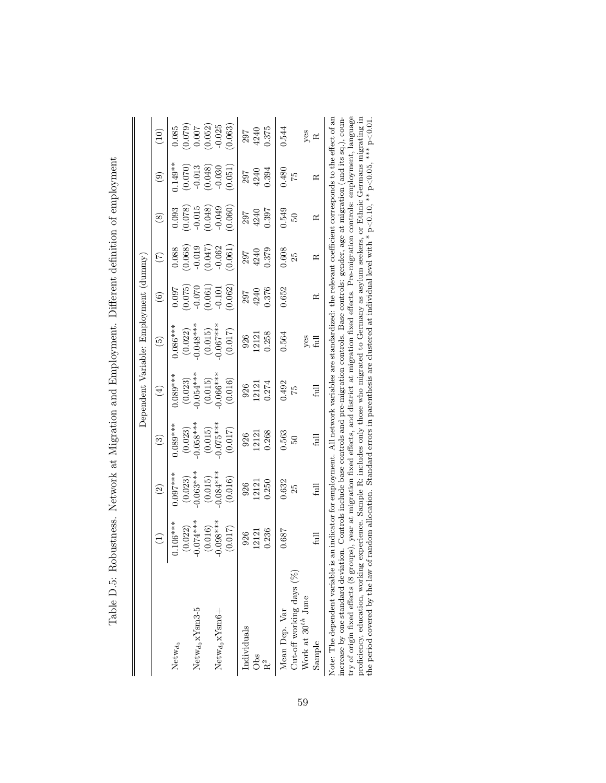<span id="page-58-0"></span>

|                                                                                                                                                                                                                                                                                                                              |                       |                       |                        | Dependent Variable: Employment (dummy) |                       |                  |                  |                     |                     |          |
|------------------------------------------------------------------------------------------------------------------------------------------------------------------------------------------------------------------------------------------------------------------------------------------------------------------------------|-----------------------|-----------------------|------------------------|----------------------------------------|-----------------------|------------------|------------------|---------------------|---------------------|----------|
|                                                                                                                                                                                                                                                                                                                              | $\left(1\right)$      | $\widehat{\Omega}$    | ව                      | $\bigoplus$                            | $\tilde{\mathbf{e}}$  | ව                | E                | $\circledast$       | ම                   | $\Xi$    |
| Netw $_{d_0}$                                                                                                                                                                                                                                                                                                                | $.106***$             | $0.097***$            | $0.089***$             | $0.089***$                             | $0.086***$            | 1.007            | 0.088            | 0.093               | $0.149**$           | 0.085    |
| $Newton_{d_0}xY$ sm3-5                                                                                                                                                                                                                                                                                                       | $0.074***$<br>(0.022) | $0.063***$<br>(0.023) | $-0.058***$<br>(0.023) | $-0.054***$<br>(0.023)                 | $0.048***$<br>(0.022) | (0.075)<br>0.070 | 0.019<br>(0.068) | (820.0)<br>$-0.015$ | (0.070)<br>$-0.013$ | (620.0)  |
|                                                                                                                                                                                                                                                                                                                              | (0.016)               | (0.015)               | (0.015)                | (0.015)                                | (0.015)               | (0.061)          | (0.047)          | (0.048)             | (0.048)             | (0.052)  |
| $Newton_{d_0}xY_{sm6} +$                                                                                                                                                                                                                                                                                                     | $0.098***$            | $0.084***$            | $-0.075***$            | $0.066***$                             | $0.067***$            | $-0.101$         | $-0.062$         | $-0.049$            | $-0.030$            | 0.025    |
|                                                                                                                                                                                                                                                                                                                              | (0.017)               | (0.016)               | (0.017)                | (0.016)                                | (0.017)               | (0.062)          | (0.061)          | (0.060)             | 0.051               | 0.063)   |
| Individuals                                                                                                                                                                                                                                                                                                                  | 926                   | 926                   | 926                    | 926                                    | 926                   | 297              | 702              | 297                 | 297                 | 297      |
| Obs                                                                                                                                                                                                                                                                                                                          | 12121                 | 12121                 | 12121                  | 12121                                  | 12121                 | 4240             | 4240             | 4240                | 4240                | 4240     |
| R <sup>2</sup>                                                                                                                                                                                                                                                                                                               | 0.236                 | 0.250                 | 0.268                  | 0.274                                  | 0.258                 | 0.376            | 0.379            | 1.397               | 0.394               | 0.375    |
| Mean Dep. Var                                                                                                                                                                                                                                                                                                                | 0.687                 | 0.632                 | 0.563                  | 0.492                                  | 0.564                 | 0.652            | 0.608            | 0.549               | 0.480               | 0.544    |
| Cut-off working days $(%$                                                                                                                                                                                                                                                                                                    |                       | 25                    | B                      | 52                                     |                       |                  | 25               | 50                  | 52                  |          |
| Work at $30^{th}$ June                                                                                                                                                                                                                                                                                                       |                       |                       |                        |                                        |                       |                  |                  |                     |                     |          |
| Sample                                                                                                                                                                                                                                                                                                                       | full                  | full                  | full                   | full                                   | yes<br>full           | $\approx$        | $\approx$        | $\approx$           | $\approx$           | yes<br>R |
| Note: The dependent variable is an indicator for employment. All network variables are standardized: the relevant coefficient corresponds to the effect of an<br>increase by one standard deviation. Controls include base controls and pre-migration controls. Base controls: gender, age at migration (and its sq.), coun- |                       |                       |                        |                                        |                       |                  |                  |                     |                     |          |

| ì                                                                                              |
|------------------------------------------------------------------------------------------------|
|                                                                                                |
|                                                                                                |
| l                                                                                              |
| l<br>֖֖֖֖֖֖֧ׅ֖ׅׅ֖֧֪֪ׅ֪֪֧֪֪֪֧֪ׅ֪֪ׅ֪֪ׅ֪֪ׅ֪֪֪֪֪֪֧֚֚֚֚֚֚֚֚֚֚֚֚֚֚֚֚֚֚֚֚֚֚֚֚֚֚֚֚֬֝֝֝֬֓֝֓֞֝           |
| ׇ֚֘֡                                                                                           |
| 5                                                                                              |
|                                                                                                |
| $\frac{1}{2}$                                                                                  |
|                                                                                                |
|                                                                                                |
|                                                                                                |
|                                                                                                |
|                                                                                                |
|                                                                                                |
| $\frac{1}{2}$<br>ł<br>Î                                                                        |
|                                                                                                |
| I<br>I                                                                                         |
|                                                                                                |
| í<br>$\frac{1}{2}$<br>j                                                                        |
| ĺ<br>$\frac{1}{2}$                                                                             |
| i<br>I<br>I<br>I<br>I                                                                          |
| $\mathbf{\hat{i}}$                                                                             |
| S<br>S<br>Í                                                                                    |
| ֧֧֧֧֧֧֧֧֧ׅ֧֧֧֧֧֧ׅ֧֛֪֧֛֪֧֛֪֧֛֪֧֛֪֧֛֪֧֛֚֚֚֚֚֚֚֚֚֚֚֚֚֚֚֚֚֚֚֚֚֚֡֝֓֝֓֝֓֝֬֝֓֝֬֝֓֝֬֜֝֬֝֬֝֬֜<br>֚<br>ļ |
| Ī                                                                                              |
| ;<br>;                                                                                         |
|                                                                                                |
|                                                                                                |
|                                                                                                |
|                                                                                                |
| ١                                                                                              |
| ı                                                                                              |
| i                                                                                              |
|                                                                                                |
| $\vdots$                                                                                       |
| $\frac{1}{2}$                                                                                  |
|                                                                                                |
|                                                                                                |
|                                                                                                |
| $\frac{1}{2}$<br>Ì<br>;<br>;                                                                   |
|                                                                                                |
| j                                                                                              |
|                                                                                                |
|                                                                                                |
| I                                                                                              |
|                                                                                                |
| $\overline{a}$<br>$\frac{1}{2}$                                                                |
| $\sqrt{2}$<br>≀                                                                                |
| $\frac{1}{2}$                                                                                  |
| $\frac{1}{2}$<br>j                                                                             |
|                                                                                                |
|                                                                                                |

59

 $\overline{1}$ try of origin fixed effects (8 groups), year at migration fixed effects, and district at migration fixed effects. Pre-migration controls: employment, language<br>proficiency, education, working experience. Sample R: includes Note: The dependent variable is an indicator for employment. All network variables are standardized: the relevant coefficient corresponds to the effect of an increase by one standard deviation. Controls include base controls and pre-migration controls. Base controls: gender, age at migration (and its sq.), country of origin fixed effects (8 groups), year at migration fixed effects, and district at migration fixed effects. Pre-migration controls: employment, language proficiency, education, working experience. Sample R: includes only those who migrated to Germany as asylum seekers, or Ethnic Germans migrating in the period covered by the law of random allocation. Standard errors in parenthesis are clustered at individual level with  $* \text{p} < 0.10$ ,  $** \text{p} < 0.01$ ,  $*** \text{p} < 0.01$ . ΙZ